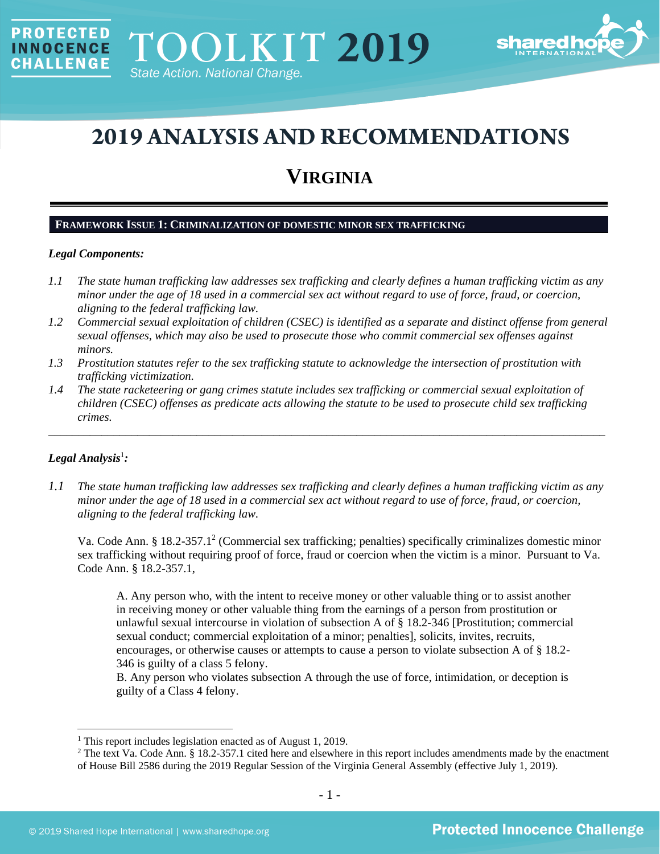

# **2019 ANALYSIS AND RECOMMENDATIONS**

# **VIRGINIA**

# **FRAMEWORK ISSUE 1: CRIMINALIZATION OF DOMESTIC MINOR SEX TRAFFICKING**

#### *Legal Components:*

**PROTECTED** 

**INNOCENCE CHALLENGE** 

- *1.1 The state human trafficking law addresses sex trafficking and clearly defines a human trafficking victim as any minor under the age of 18 used in a commercial sex act without regard to use of force, fraud, or coercion, aligning to the federal trafficking law.*
- *1.2 Commercial sexual exploitation of children (CSEC) is identified as a separate and distinct offense from general sexual offenses, which may also be used to prosecute those who commit commercial sex offenses against minors.*
- *1.3 Prostitution statutes refer to the sex trafficking statute to acknowledge the intersection of prostitution with trafficking victimization.*
- *1.4 The state racketeering or gang crimes statute includes sex trafficking or commercial sexual exploitation of children (CSEC) offenses as predicate acts allowing the statute to be used to prosecute child sex trafficking crimes.*

\_\_\_\_\_\_\_\_\_\_\_\_\_\_\_\_\_\_\_\_\_\_\_\_\_\_\_\_\_\_\_\_\_\_\_\_\_\_\_\_\_\_\_\_\_\_\_\_\_\_\_\_\_\_\_\_\_\_\_\_\_\_\_\_\_\_\_\_\_\_\_\_\_\_\_\_\_\_\_\_\_\_\_\_\_\_\_\_\_\_\_\_\_\_

# $Legal$  Analysis<sup>1</sup>:

*1.1 The state human trafficking law addresses sex trafficking and clearly defines a human trafficking victim as any minor under the age of 18 used in a commercial sex act without regard to use of force, fraud, or coercion, aligning to the federal trafficking law.*

Va. Code Ann. § 18.2-357.1<sup>2</sup> (Commercial sex trafficking; penalties) specifically criminalizes domestic minor sex trafficking without requiring proof of force, fraud or coercion when the victim is a minor. Pursuant to Va. Code Ann. § 18.2-357.1,

A. Any person who, with the intent to receive money or other valuable thing or to assist another in receiving money or other valuable thing from the earnings of a person from prostitution or unlawful sexual intercourse in violation of subsection A of § 18.2-346 [Prostitution; commercial sexual conduct; commercial exploitation of a minor; penalties], solicits, invites, recruits, encourages, or otherwise causes or attempts to cause a person to violate subsection A of § 18.2- 346 is guilty of a class 5 felony.

B. Any person who violates subsection A through the use of force, intimidation, or deception is guilty of a Class 4 felony.

<sup>&</sup>lt;sup>1</sup> This report includes legislation enacted as of August 1, 2019.

<sup>&</sup>lt;sup>2</sup> The text Va. Code Ann. § 18.2-357.1 cited here and elsewhere in this report includes amendments made by the enactment of House Bill 2586 during the 2019 Regular Session of the Virginia General Assembly (effective July 1, 2019).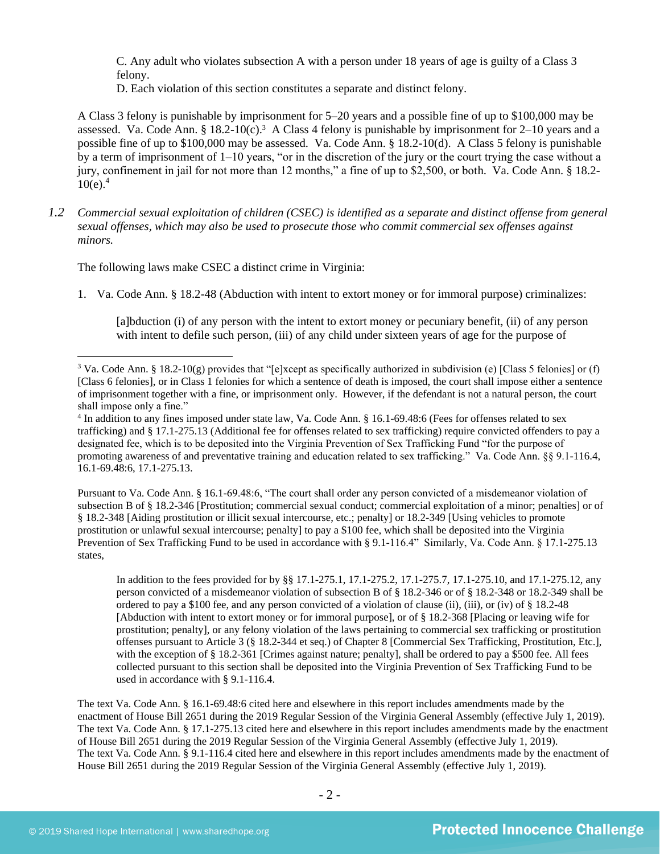C. Any adult who violates subsection A with a person under 18 years of age is guilty of a Class 3 felony.

<span id="page-1-0"></span>D. Each violation of this section constitutes a separate and distinct felony.

A Class 3 felony is punishable by imprisonment for 5–20 years and a possible fine of up to \$100,000 may be assessed. Va. Code Ann. § 18.2-10(c).<sup>3</sup> A Class 4 felony is punishable by imprisonment for 2–10 years and a possible fine of up to \$100,000 may be assessed. Va. Code Ann. § 18.2-10(d). A Class 5 felony is punishable by a term of imprisonment of  $1-10$  years, "or in the discretion of the jury or the court trying the case without a jury, confinement in jail for not more than 12 months," a fine of up to \$2,500, or both. Va. Code Ann. § 18.2- $10(e)^4$ .

*1.2 Commercial sexual exploitation of children (CSEC) is identified as a separate and distinct offense from general sexual offenses, which may also be used to prosecute those who commit commercial sex offenses against minors.*

The following laws make CSEC a distinct crime in Virginia:

1. Va. Code Ann. § 18.2-48 (Abduction with intent to extort money or for immoral purpose) criminalizes:

[a]bduction (i) of any person with the intent to extort money or pecuniary benefit, (ii) of any person with intent to defile such person, (iii) of any child under sixteen years of age for the purpose of

Pursuant to Va. Code Ann. § 16.1-69.48:6, "The court shall order any person convicted of a misdemeanor violation of subsection B of § 18.2-346 [Prostitution; commercial sexual conduct; commercial exploitation of a minor; penalties] or of § 18.2-348 [Aiding prostitution or illicit sexual intercourse, etc.; penalty] or 18.2-349 [Using vehicles to promote prostitution or unlawful sexual intercourse; penalty] to pay a \$100 fee, which shall be deposited into the Virginia Prevention of Sex Trafficking Fund to be used in accordance with § 9.1-116.4" Similarly, Va. Code Ann. § 17.1-275.13 states,

In addition to the fees provided for by §§ 17.1-275.1, 17.1-275.2, 17.1-275.7, 17.1-275.10, and 17.1-275.12, any person convicted of a misdemeanor violation of subsection B of § 18.2-346 or of § 18.2-348 or 18.2-349 shall be ordered to pay a \$100 fee, and any person convicted of a violation of clause (ii), (iii), or (iv) of § 18.2-48 [Abduction with intent to extort money or for immoral purpose], or of § 18.2-368 [Placing or leaving wife for prostitution; penalty], or any felony violation of the laws pertaining to commercial sex trafficking or prostitution offenses pursuant to Article 3 (§ 18.2-344 et seq.) of Chapter 8 [Commercial Sex Trafficking, Prostitution, Etc.], with the exception of § 18.2-361 [Crimes against nature; penalty], shall be ordered to pay a \$500 fee. All fees collected pursuant to this section shall be deposited into the Virginia Prevention of Sex Trafficking Fund to be used in accordance with § 9.1-116.4.

The text Va. Code Ann. § 16.1-69.48:6 cited here and elsewhere in this report includes amendments made by the enactment of House Bill 2651 during the 2019 Regular Session of the Virginia General Assembly (effective July 1, 2019). The text Va. Code Ann. § 17.1-275.13 cited here and elsewhere in this report includes amendments made by the enactment of House Bill 2651 during the 2019 Regular Session of the Virginia General Assembly (effective July 1, 2019). The text Va. Code Ann. § 9.1-116.4 cited here and elsewhere in this report includes amendments made by the enactment of House Bill 2651 during the 2019 Regular Session of the Virginia General Assembly (effective July 1, 2019).

<sup>&</sup>lt;sup>3</sup> Va. Code Ann. § 18.2-10(g) provides that "[e]xcept as specifically authorized in subdivision (e) [Class 5 felonies] or (f) [Class 6 felonies], or in Class 1 felonies for which a sentence of death is imposed, the court shall impose either a sentence of imprisonment together with a fine, or imprisonment only. However, if the defendant is not a natural person, the court shall impose only a fine."

<sup>4</sup> In addition to any fines imposed under state law, Va. Code Ann. § 16.1-69.48:6 (Fees for offenses related to sex trafficking) and § 17.1-275.13 (Additional fee for offenses related to sex trafficking) require convicted offenders to pay a designated fee, which is to be deposited into the Virginia Prevention of Sex Trafficking Fund "for the purpose of promoting awareness of and preventative training and education related to sex trafficking." Va. Code Ann. §§ 9.1-116.4, 16.1-69.48:6, 17.1-275.13.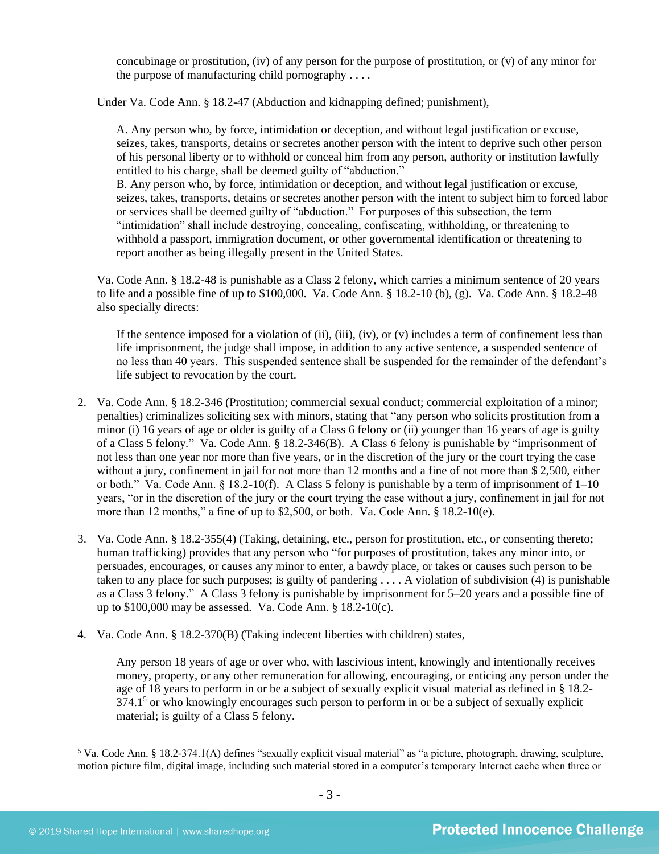concubinage or prostitution, (iv) of any person for the purpose of prostitution, or (v) of any minor for the purpose of manufacturing child pornography . . . .

Under Va. Code Ann. § 18.2-47 (Abduction and kidnapping defined; punishment),

A. Any person who, by force, intimidation or deception, and without legal justification or excuse, seizes, takes, transports, detains or secretes another person with the intent to deprive such other person of his personal liberty or to withhold or conceal him from any person, authority or institution lawfully entitled to his charge, shall be deemed guilty of "abduction."

B. Any person who, by force, intimidation or deception, and without legal justification or excuse, seizes, takes, transports, detains or secretes another person with the intent to subject him to forced labor or services shall be deemed guilty of "abduction." For purposes of this subsection, the term "intimidation" shall include destroying, concealing, confiscating, withholding, or threatening to withhold a passport, immigration document, or other governmental identification or threatening to report another as being illegally present in the United States.

Va. Code Ann. § 18.2-48 is punishable as a Class 2 felony, which carries a minimum sentence of 20 years to life and a possible fine of up to \$100,000. Va. Code Ann. § 18.2-10 (b), (g). Va. Code Ann. § 18.2-48 also specially directs:

If the sentence imposed for a violation of (ii), (iii), (iv), or (v) includes a term of confinement less than life imprisonment, the judge shall impose, in addition to any active sentence, a suspended sentence of no less than 40 years. This suspended sentence shall be suspended for the remainder of the defendant's life subject to revocation by the court.

- 2. Va. Code Ann. § 18.2-346 (Prostitution; commercial sexual conduct; commercial exploitation of a minor; penalties) criminalizes soliciting sex with minors, stating that "any person who solicits prostitution from a minor (i) 16 years of age or older is guilty of a Class 6 felony or (ii) younger than 16 years of age is guilty of a Class 5 felony*.*" Va. Code Ann. § 18.2-346(B). A Class 6 felony is punishable by "imprisonment of not less than one year nor more than five years, or in the discretion of the jury or the court trying the case without a jury, confinement in jail for not more than 12 months and a fine of not more than \$ 2,500, either or both." Va. Code Ann.  $\S$  18.2-10(f). A Class 5 felony is punishable by a term of imprisonment of  $1-10$ years, "or in the discretion of the jury or the court trying the case without a jury, confinement in jail for not more than 12 months," a fine of up to \$2,500, or both. Va. Code Ann. § 18.2-10(e).
- 3. Va. Code Ann. § 18.2-355(4) (Taking, detaining, etc., person for prostitution, etc., or consenting thereto; human trafficking) provides that any person who "for purposes of prostitution, takes any minor into, or persuades, encourages, or causes any minor to enter, a bawdy place, or takes or causes such person to be taken to any place for such purposes; is guilty of pandering . . . . A violation of subdivision (4) is punishable as a Class 3 felony." A Class 3 felony is punishable by imprisonment for 5–20 years and a possible fine of up to \$100,000 may be assessed. Va. Code Ann. § 18.2-10(c).
- 4. Va. Code Ann. § 18.2-370(B) (Taking indecent liberties with children) states,

Any person 18 years of age or over who, with lascivious intent, knowingly and intentionally receives money, property, or any other remuneration for allowing, encouraging, or enticing any person under the age of 18 years to perform in or be a subject of sexually explicit visual material as defined in § 18.2-  $374.1<sup>5</sup>$  or who knowingly encourages such person to perform in or be a subject of sexually explicit material; is guilty of a Class 5 felony.

<sup>5</sup> Va. Code Ann. § 18.2-374.1(A) defines "sexually explicit visual material" as "a picture, photograph, drawing, sculpture, motion picture film, digital image, including such material stored in a computer's temporary Internet cache when three or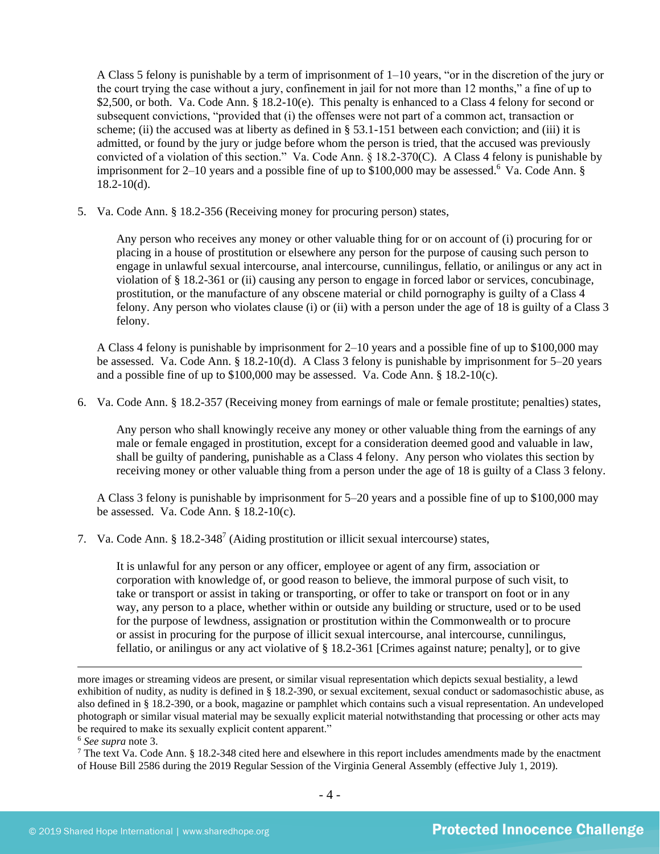A Class 5 felony is punishable by a term of imprisonment of 1–10 years, "or in the discretion of the jury or the court trying the case without a jury, confinement in jail for not more than 12 months," a fine of up to \$2,500, or both. Va. Code Ann. § 18.2-10(e). This penalty is enhanced to a Class 4 felony for second or subsequent convictions, "provided that (i) the offenses were not part of a common act, transaction or scheme; (ii) the accused was at liberty as defined in § 53.1-151 between each conviction; and (iii) it is admitted, or found by the jury or judge before whom the person is tried, that the accused was previously convicted of a violation of this section." Va. Code Ann. § 18.2-370(C). A Class 4 felony is punishable by imprisonment for 2–10 years and a possible fine of up to  $$100,000$  may be assessed.<sup>6</sup> Va. Code Ann. § 18.2-10(d).

5. Va. Code Ann. § 18.2-356 (Receiving money for procuring person) states,

Any person who receives any money or other valuable thing for or on account of (i) procuring for or placing in a house of prostitution or elsewhere any person for the purpose of causing such person to engage in unlawful sexual intercourse, anal intercourse, cunnilingus, fellatio, or anilingus or any act in violation of § 18.2-361 or (ii) causing any person to engage in forced labor or services, concubinage, prostitution, or the manufacture of any obscene material or child pornography is guilty of a Class 4 felony. Any person who violates clause (i) or (ii) with a person under the age of 18 is guilty of a Class 3 felony.

A Class 4 felony is punishable by imprisonment for 2–10 years and a possible fine of up to \$100,000 may be assessed. Va. Code Ann. § 18.2-10(d). A Class 3 felony is punishable by imprisonment for 5–20 years and a possible fine of up to \$100,000 may be assessed. Va. Code Ann. § 18.2-10(c).

6. Va. Code Ann. § 18.2-357 (Receiving money from earnings of male or female prostitute; penalties) states,

Any person who shall knowingly receive any money or other valuable thing from the earnings of any male or female engaged in prostitution, except for a consideration deemed good and valuable in law, shall be guilty of pandering, punishable as a Class 4 felony. Any person who violates this section by receiving money or other valuable thing from a person under the age of 18 is guilty of a Class 3 felony.

A Class 3 felony is punishable by imprisonment for 5–20 years and a possible fine of up to \$100,000 may be assessed. Va. Code Ann. § 18.2-10(c).

7. Va. Code Ann. §  $18.2 - 348^7$  (Aiding prostitution or illicit sexual intercourse) states,

<span id="page-3-0"></span>It is unlawful for any person or any officer, employee or agent of any firm, association or corporation with knowledge of, or good reason to believe, the immoral purpose of such visit, to take or transport or assist in taking or transporting, or offer to take or transport on foot or in any way, any person to a place, whether within or outside any building or structure, used or to be used for the purpose of lewdness, assignation or prostitution within the Commonwealth or to procure or assist in procuring for the purpose of illicit sexual intercourse, anal intercourse, cunnilingus, fellatio, or anilingus or any act violative of § 18.2-361 [Crimes against nature; penalty], or to give

more images or streaming videos are present, or similar visual representation which depicts sexual bestiality, a lewd exhibition of nudity, as nudity is defined in § 18.2-390, or sexual excitement, sexual conduct or sadomasochistic abuse, as also defined in § 18.2-390, or a book, magazine or pamphlet which contains such a visual representation. An undeveloped photograph or similar visual material may be sexually explicit material notwithstanding that processing or other acts may be required to make its sexually explicit content apparent."

<sup>6</sup> *See supra* note [3.](#page-1-0)

<sup>7</sup> The text Va. Code Ann. § 18.2-348 cited here and elsewhere in this report includes amendments made by the enactment of House Bill 2586 during the 2019 Regular Session of the Virginia General Assembly (effective July 1, 2019).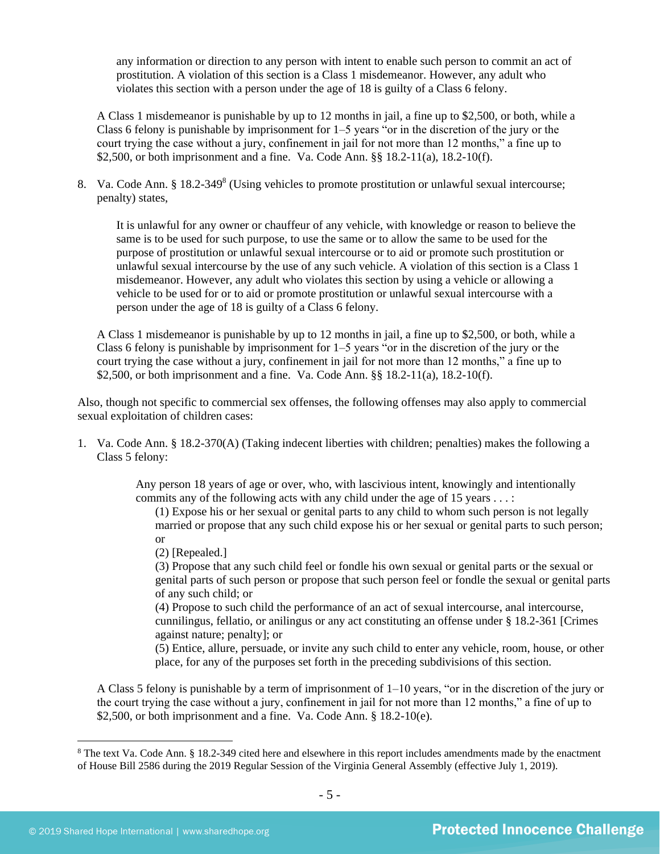any information or direction to any person with intent to enable such person to commit an act of prostitution. A violation of this section is a Class 1 misdemeanor. However, any adult who violates this section with a person under the age of 18 is guilty of a Class 6 felony.

A Class 1 misdemeanor is punishable by up to 12 months in jail, a fine up to \$2,500, or both, while a Class 6 felony is punishable by imprisonment for 1–5 years "or in the discretion of the jury or the court trying the case without a jury, confinement in jail for not more than 12 months," a fine up to \$2,500, or both imprisonment and a fine. Va. Code Ann. §§ 18.2-11(a), 18.2-10(f).

8. Va. Code Ann. § 18.2-349<sup>8</sup> (Using vehicles to promote prostitution or unlawful sexual intercourse; penalty) states,

<span id="page-4-0"></span>It is unlawful for any owner or chauffeur of any vehicle, with knowledge or reason to believe the same is to be used for such purpose, to use the same or to allow the same to be used for the purpose of prostitution or unlawful sexual intercourse or to aid or promote such prostitution or unlawful sexual intercourse by the use of any such vehicle. A violation of this section is a Class 1 misdemeanor. However, any adult who violates this section by using a vehicle or allowing a vehicle to be used for or to aid or promote prostitution or unlawful sexual intercourse with a person under the age of 18 is guilty of a Class 6 felony.

A Class 1 misdemeanor is punishable by up to 12 months in jail, a fine up to \$2,500, or both, while a Class 6 felony is punishable by imprisonment for 1–5 years "or in the discretion of the jury or the court trying the case without a jury, confinement in jail for not more than 12 months," a fine up to \$2,500, or both imprisonment and a fine. Va. Code Ann. §§ 18.2-11(a), 18.2-10(f).

Also, though not specific to commercial sex offenses, the following offenses may also apply to commercial sexual exploitation of children cases:

1. Va. Code Ann. § 18.2-370(A) (Taking indecent liberties with children; penalties) makes the following a Class 5 felony:

> Any person 18 years of age or over, who, with lascivious intent, knowingly and intentionally commits any of the following acts with any child under the age of 15 years . . . :

(1) Expose his or her sexual or genital parts to any child to whom such person is not legally married or propose that any such child expose his or her sexual or genital parts to such person; or

(2) [Repealed.]

(3) Propose that any such child feel or fondle his own sexual or genital parts or the sexual or genital parts of such person or propose that such person feel or fondle the sexual or genital parts of any such child; or

(4) Propose to such child the performance of an act of sexual intercourse, anal intercourse, cunnilingus, fellatio, or anilingus or any act constituting an offense under § 18.2-361 [Crimes against nature; penalty]; or

(5) Entice, allure, persuade, or invite any such child to enter any vehicle, room, house, or other place, for any of the purposes set forth in the preceding subdivisions of this section.

A Class 5 felony is punishable by a term of imprisonment of 1–10 years, "or in the discretion of the jury or the court trying the case without a jury, confinement in jail for not more than 12 months," a fine of up to \$2,500, or both imprisonment and a fine. Va. Code Ann. § 18.2-10(e).

<sup>8</sup> The text Va. Code Ann. § 18.2-349 cited here and elsewhere in this report includes amendments made by the enactment of House Bill 2586 during the 2019 Regular Session of the Virginia General Assembly (effective July 1, 2019).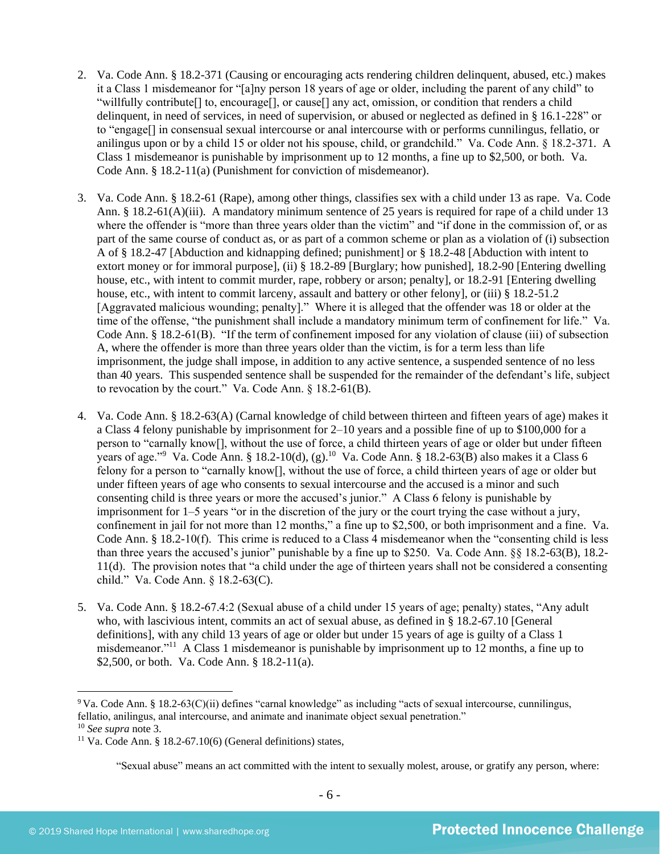- 2. Va. Code Ann. § 18.2-371 (Causing or encouraging acts rendering children delinquent, abused, etc.) makes it a Class 1 misdemeanor for "[a]ny person 18 years of age or older, including the parent of any child" to "willfully contribute[] to, encourage[], or cause[] any act, omission, or condition that renders a child delinquent, in need of services, in need of supervision, or abused or neglected as defined in § 16.1-228" or to "engage[] in consensual sexual intercourse or anal intercourse with or performs cunnilingus, fellatio, or anilingus upon or by a child 15 or older not his spouse, child, or grandchild." Va. Code Ann. § 18.2-371. A Class 1 misdemeanor is punishable by imprisonment up to 12 months, a fine up to \$2,500, or both. Va. Code Ann. § 18.2-11(a) (Punishment for conviction of misdemeanor).
- 3. Va. Code Ann. § 18.2-61 (Rape), among other things, classifies sex with a child under 13 as rape. Va. Code Ann. § 18.2-61(A)(iii). A mandatory minimum sentence of 25 years is required for rape of a child under 13 where the offender is "more than three years older than the victim" and "if done in the commission of, or as part of the same course of conduct as, or as part of a common scheme or plan as a violation of (i) subsection A of § 18.2-47 [Abduction and kidnapping defined; punishment] or § 18.2-48 [Abduction with intent to extort money or for immoral purpose], (ii) § 18.2-89 [Burglary; how punished], 18.2-90 [Entering dwelling house, etc., with intent to commit murder, rape, robbery or arson; penalty], or 18.2-91 [Entering dwelling house, etc., with intent to commit larceny, assault and battery or other felony], or (iii) § 18.2-51.2 [Aggravated malicious wounding; penalty]." Where it is alleged that the offender was 18 or older at the time of the offense, "the punishment shall include a mandatory minimum term of confinement for life." Va. Code Ann. § 18.2-61(B). "If the term of confinement imposed for any violation of clause (iii) of subsection A, where the offender is more than three years older than the victim, is for a term less than life imprisonment, the judge shall impose, in addition to any active sentence, a suspended sentence of no less than 40 years. This suspended sentence shall be suspended for the remainder of the defendant's life, subject to revocation by the court." Va. Code Ann. § 18.2-61(B).
- 4. Va. Code Ann. § 18.2-63(A) (Carnal knowledge of child between thirteen and fifteen years of age) makes it a Class 4 felony punishable by imprisonment for 2–10 years and a possible fine of up to \$100,000 for a person to "carnally know[], without the use of force, a child thirteen years of age or older but under fifteen years of age."<sup>9</sup> Va. Code Ann. § 18.2-10(d), (g).<sup>10</sup> Va. Code Ann. § 18.2-63(B) also makes it a Class 6 felony for a person to "carnally know[], without the use of force, a child thirteen years of age or older but under fifteen years of age who consents to sexual intercourse and the accused is a minor and such consenting child is three years or more the accused's junior." A Class 6 felony is punishable by imprisonment for 1–5 years "or in the discretion of the jury or the court trying the case without a jury, confinement in jail for not more than 12 months," a fine up to \$2,500, or both imprisonment and a fine. Va. Code Ann. § 18.2-10(f). This crime is reduced to a Class 4 misdemeanor when the "consenting child is less than three years the accused's junior" punishable by a fine up to \$250. Va. Code Ann. §§ 18.2-63(B), 18.2- 11(d). The provision notes that "a child under the age of thirteen years shall not be considered a consenting child." Va. Code Ann. § 18.2-63(C).
- <span id="page-5-0"></span>5. Va. Code Ann. § 18.2-67.4:2 (Sexual abuse of a child under 15 years of age; penalty) states, "Any adult who, with lascivious intent, commits an act of sexual abuse, as defined in § 18.2-67.10 [General definitions], with any child 13 years of age or older but under 15 years of age is guilty of a Class 1 misdemeanor."<sup>11</sup> A Class 1 misdemeanor is punishable by imprisonment up to 12 months, a fine up to \$2,500, or both. Va. Code Ann. § 18.2-11(a).

<sup>9</sup> Va. Code Ann. § 18.2-63(C)(ii) defines "carnal knowledge" as including "acts of sexual intercourse, cunnilingus, fellatio, anilingus, anal intercourse, and animate and inanimate object sexual penetration." <sup>10</sup> *See supra* note [3.](#page-1-0)

<sup>&</sup>lt;sup>11</sup> Va. Code Ann. § 18.2-67.10(6) (General definitions) states,

<sup>&</sup>quot;Sexual abuse" means an act committed with the intent to sexually molest, arouse, or gratify any person, where: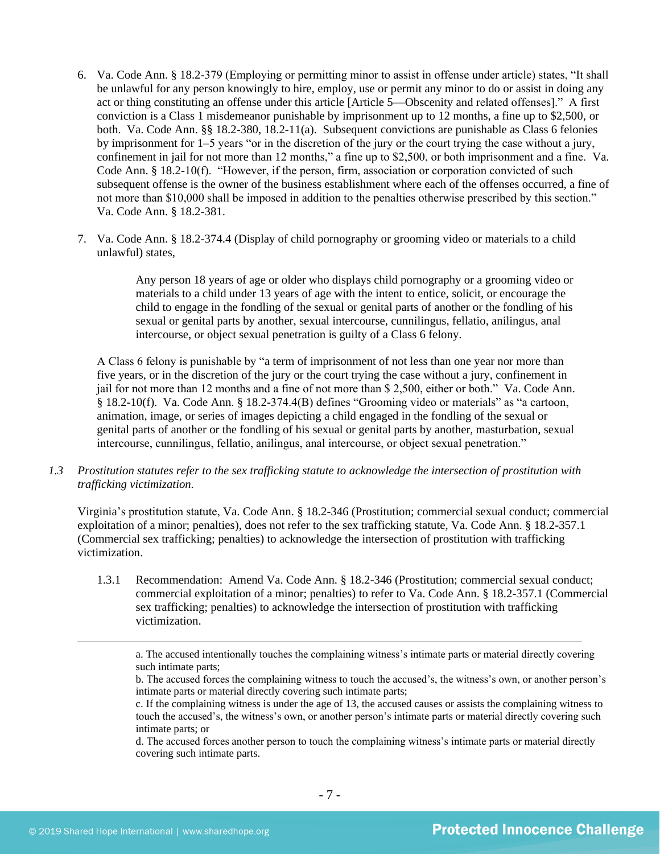- 6. Va. Code Ann. § 18.2-379 (Employing or permitting minor to assist in offense under article) states, "It shall be unlawful for any person knowingly to hire, employ, use or permit any minor to do or assist in doing any act or thing constituting an offense under this article [Article 5—Obscenity and related offenses]." A first conviction is a Class 1 misdemeanor punishable by imprisonment up to 12 months, a fine up to \$2,500, or both. Va. Code Ann. §§ 18.2-380, 18.2-11(a). Subsequent convictions are punishable as Class 6 felonies by imprisonment for 1–5 years "or in the discretion of the jury or the court trying the case without a jury, confinement in jail for not more than 12 months," a fine up to \$2,500, or both imprisonment and a fine. Va. Code Ann. § 18.2-10(f). "However, if the person, firm, association or corporation convicted of such subsequent offense is the owner of the business establishment where each of the offenses occurred, a fine of not more than \$10,000 shall be imposed in addition to the penalties otherwise prescribed by this section." Va. Code Ann. § 18.2-381.
- 7. Va. Code Ann. § 18.2-374.4 (Display of child pornography or grooming video or materials to a child unlawful) states,

Any person 18 years of age or older who displays child pornography or a grooming video or materials to a child under 13 years of age with the intent to entice, solicit, or encourage the child to engage in the fondling of the sexual or genital parts of another or the fondling of his sexual or genital parts by another, sexual intercourse, cunnilingus, fellatio, anilingus, anal intercourse, or object sexual penetration is guilty of a Class 6 felony.

A Class 6 felony is punishable by "a term of imprisonment of not less than one year nor more than five years, or in the discretion of the jury or the court trying the case without a jury, confinement in jail for not more than 12 months and a fine of not more than \$ 2,500, either or both." Va. Code Ann. § 18.2-10(f). Va. Code Ann. § 18.2-374.4(B) defines "Grooming video or materials" as "a cartoon, animation, image, or series of images depicting a child engaged in the fondling of the sexual or genital parts of another or the fondling of his sexual or genital parts by another, masturbation, sexual intercourse, cunnilingus, fellatio, anilingus, anal intercourse, or object sexual penetration."

*1.3 Prostitution statutes refer to the sex trafficking statute to acknowledge the intersection of prostitution with trafficking victimization.* 

Virginia's prostitution statute, Va. Code Ann. § 18.2-346 (Prostitution; commercial sexual conduct; commercial exploitation of a minor; penalties), does not refer to the sex trafficking statute, Va. Code Ann. § 18.2-357.1 (Commercial sex trafficking; penalties) to acknowledge the intersection of prostitution with trafficking victimization.

1.3.1 Recommendation: Amend Va. Code Ann. § 18.2-346 (Prostitution; commercial sexual conduct; commercial exploitation of a minor; penalties) to refer to Va. Code Ann. § 18.2-357.1 (Commercial sex trafficking; penalties) to acknowledge the intersection of prostitution with trafficking victimization.

a. The accused intentionally touches the complaining witness's intimate parts or material directly covering such intimate parts;

d. The accused forces another person to touch the complaining witness's intimate parts or material directly covering such intimate parts.

b. The accused forces the complaining witness to touch the accused's, the witness's own, or another person's intimate parts or material directly covering such intimate parts;

c. If the complaining witness is under the age of 13, the accused causes or assists the complaining witness to touch the accused's, the witness's own, or another person's intimate parts or material directly covering such intimate parts; or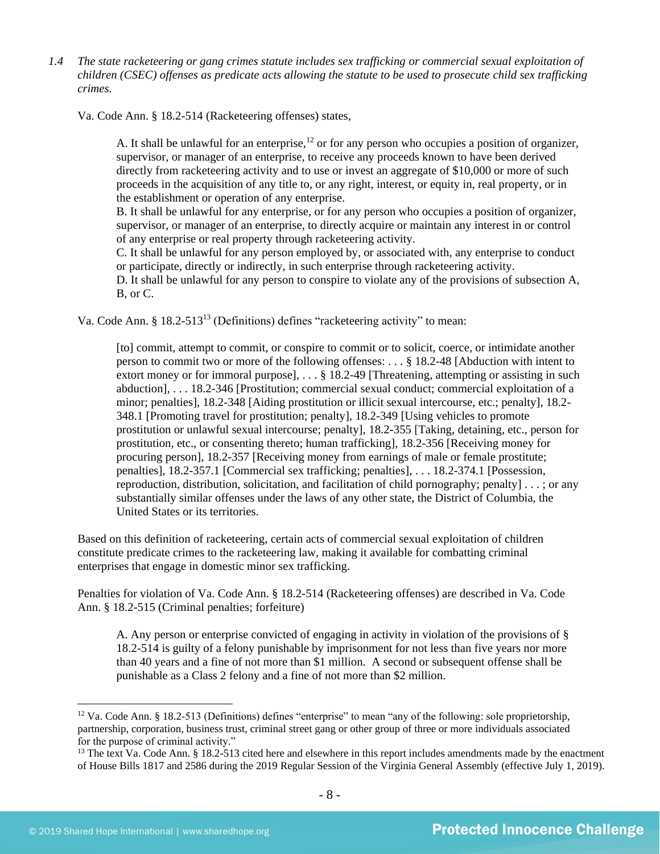*1.4 The state racketeering or gang crimes statute includes sex trafficking or commercial sexual exploitation of children (CSEC) offenses as predicate acts allowing the statute to be used to prosecute child sex trafficking crimes.* 

Va. Code Ann. § 18.2-514 (Racketeering offenses) states,

A. It shall be unlawful for an enterprise,<sup>12</sup> or for any person who occupies a position of organizer, supervisor, or manager of an enterprise, to receive any proceeds known to have been derived directly from racketeering activity and to use or invest an aggregate of \$10,000 or more of such proceeds in the acquisition of any title to, or any right, interest, or equity in, real property, or in the establishment or operation of any enterprise.

B. It shall be unlawful for any enterprise, or for any person who occupies a position of organizer, supervisor, or manager of an enterprise, to directly acquire or maintain any interest in or control of any enterprise or real property through racketeering activity.

C. It shall be unlawful for any person employed by, or associated with, any enterprise to conduct or participate, directly or indirectly, in such enterprise through racketeering activity.

D. It shall be unlawful for any person to conspire to violate any of the provisions of subsection A, B, or C.

Va. Code Ann. § 18.2-513<sup>13</sup> (Definitions) defines "racketeering activity" to mean:

[to] commit, attempt to commit, or conspire to commit or to solicit, coerce, or intimidate another person to commit two or more of the following offenses: . . . § 18.2-48 [Abduction with intent to extort money or for immoral purpose], . . . § 18.2-49 [Threatening, attempting or assisting in such abduction], . . . 18.2-346 [Prostitution; commercial sexual conduct; commercial exploitation of a minor; penalties], 18.2-348 [Aiding prostitution or illicit sexual intercourse, etc.; penalty], 18.2- 348.1 [Promoting travel for prostitution; penalty], 18.2-349 [Using vehicles to promote prostitution or unlawful sexual intercourse; penalty], 18.2-355 [Taking, detaining, etc., person for prostitution, etc., or consenting thereto; human trafficking], [18.2-356](https://a.next.westlaw.com/Link/Document/FullText?findType=L&pubNum=1000040&cite=VASTS18.2-356&originatingDoc=NE39F68D0341B11DEA7CD81F2617D4421&refType=LQ&originationContext=document&transitionType=DocumentItem&contextData=(sc.Document)) [Receiving money for procuring person], 18.2-357 [Receiving money from earnings of male or female prostitute; penalties], 18.2-357.1 [Commercial sex trafficking; penalties], . . . 18.2-374.1 [Possession, reproduction, distribution, solicitation, and facilitation of child pornography; penalty] . . . ; or any substantially similar offenses under the laws of any other state, the District of Columbia, the United States or its territories.

Based on this definition of racketeering, certain acts of commercial sexual exploitation of children constitute predicate crimes to the racketeering law, making it available for combatting criminal enterprises that engage in domestic minor sex trafficking.

Penalties for violation of Va. Code Ann. § 18.2-514 (Racketeering offenses) are described in Va. Code Ann. § 18.2-515 (Criminal penalties; forfeiture)

A. Any person or enterprise convicted of engaging in activity in violation of the provisions of § 18.2-514 is guilty of a felony punishable by imprisonment for not less than five years nor more than 40 years and a fine of not more than \$1 million. A second or subsequent offense shall be punishable as a Class 2 felony and a fine of not more than \$2 million.

<sup>&</sup>lt;sup>12</sup> Va. Code Ann. § 18.2-513 (Definitions) defines "enterprise" to mean "any of the following: sole proprietorship, partnership, corporation, business trust, criminal street gang or other group of three or more individuals associated for the purpose of criminal activity."

<sup>&</sup>lt;sup>13</sup> The text Va. Code Ann. § 18.2-513 cited here and elsewhere in this report includes amendments made by the enactment of House Bills 1817 and 2586 during the 2019 Regular Session of the Virginia General Assembly (effective July 1, 2019).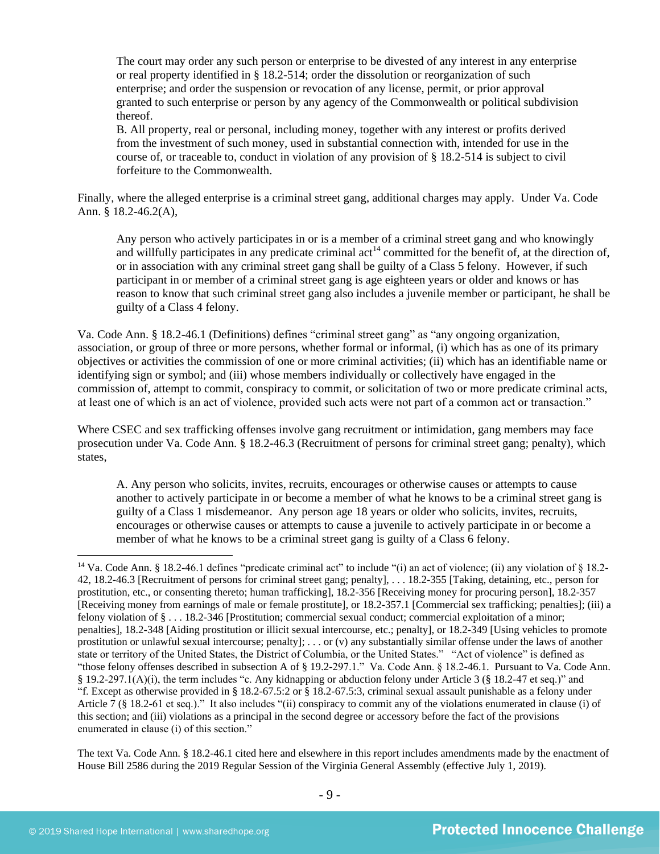The court may order any such person or enterprise to be divested of any interest in any enterprise or real property identified in § 18.2-514; order the dissolution or reorganization of such enterprise; and order the suspension or revocation of any license, permit, or prior approval granted to such enterprise or person by any agency of the Commonwealth or political subdivision thereof.

B. All property, real or personal, including money, together with any interest or profits derived from the investment of such money, used in substantial connection with, intended for use in the course of, or traceable to, conduct in violation of any provision of § 18.2-514 is subject to civil forfeiture to the Commonwealth.

Finally, where the alleged enterprise is a criminal street gang, additional charges may apply. Under Va. Code Ann. § 18.2-46.2(A),

Any person who actively participates in or is a member of a criminal street gang and who knowingly and willfully participates in any predicate criminal  $\text{act}^{14}$  committed for the benefit of, at the direction of, or in association with any criminal street gang shall be guilty of a Class 5 felony. However, if such participant in or member of a criminal street gang is age eighteen years or older and knows or has reason to know that such criminal street gang also includes a juvenile member or participant, he shall be guilty of a Class 4 felony.

Va. Code Ann. § 18.2-46.1 (Definitions) defines "criminal street gang" as "any ongoing organization, association, or group of three or more persons, whether formal or informal, (i) which has as one of its primary objectives or activities the commission of one or more criminal activities; (ii) which has an identifiable name or identifying sign or symbol; and (iii) whose members individually or collectively have engaged in the commission of, attempt to commit, conspiracy to commit, or solicitation of two or more predicate criminal acts, at least one of which is an act of violence, provided such acts were not part of a common act or transaction."

Where CSEC and sex trafficking offenses involve gang recruitment or intimidation, gang members may face prosecution under Va. Code Ann. § 18.2-46.3 (Recruitment of persons for criminal street gang; penalty), which states,

A. Any person who solicits, invites, recruits, encourages or otherwise causes or attempts to cause another to actively participate in or become a member of what he knows to be a criminal street gang is guilty of a Class 1 misdemeanor. Any person age 18 years or older who solicits, invites, recruits, encourages or otherwise causes or attempts to cause a juvenile to actively participate in or become a member of what he knows to be a criminal street gang is guilty of a Class 6 felony.

The text Va. Code Ann. § 18.2-46.1 cited here and elsewhere in this report includes amendments made by the enactment of House Bill 2586 during the 2019 Regular Session of the Virginia General Assembly (effective July 1, 2019).

<sup>14</sup> Va. Code Ann. § 18.2-46.1 defines "predicate criminal act" to include "(i) an act of violence; (ii) any violation of § 18.2- 42, 18.2-46.3 [Recruitment of persons for criminal street gang; penalty], . . . 18.2-355 [Taking, detaining, etc., person for prostitution, etc., or consenting thereto; human trafficking], 18.2-356 [Receiving money for procuring person], 18.2-357 [Receiving money from earnings of male or female prostitute], or 18.2-357.1 [Commercial sex trafficking; penalties]; (iii) a felony violation of § . . . 18.2-346 [Prostitution; commercial sexual conduct; commercial exploitation of a minor; penalties], 18.2-348 [Aiding prostitution or illicit sexual intercourse, etc.; penalty], or 18.2-349 [Using vehicles to promote prostitution or unlawful sexual intercourse; penalty]; . . . or (v) any substantially similar offense under the laws of another state or territory of the United States, the District of Columbia, or the United States." "Act of violence" is defined as "those felony offenses described in subsection A of § 19.2-297.1." Va. Code Ann. § 18.2-46.1. Pursuant to Va. Code Ann. § 19.2-297.1(A)(i), the term includes "c. Any kidnapping or abduction felony under Article 3 (§ 18.2-47 et seq.)" and "f. Except as otherwise provided in § 18.2-67.5:2 or § 18.2-67.5:3, criminal sexual assault punishable as a felony under Article 7 (§ 18.2-61 et seq.)." It also includes "(ii) conspiracy to commit any of the violations enumerated in clause (i) of this section; and (iii) violations as a principal in the second degree or accessory before the fact of the provisions enumerated in clause (i) of this section."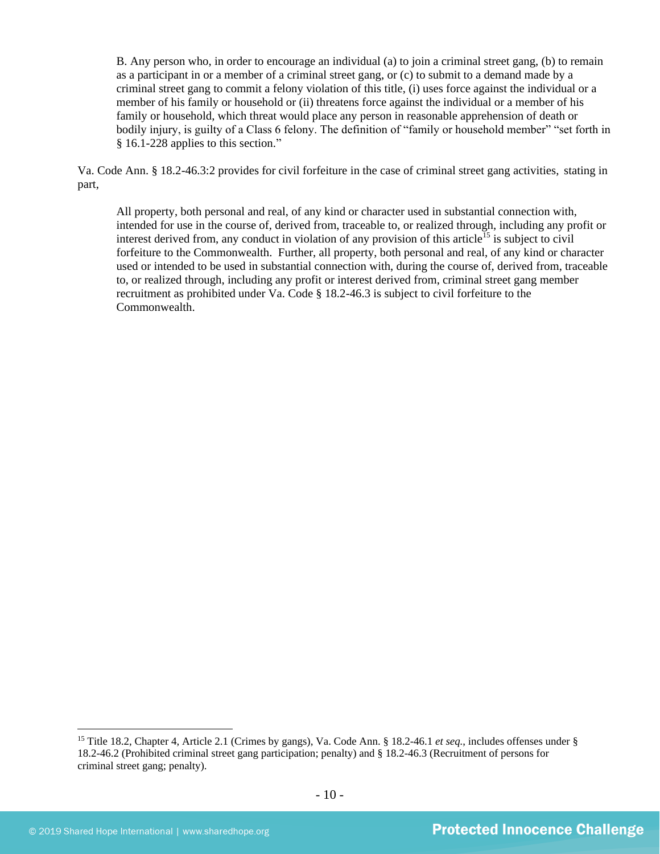B. Any person who, in order to encourage an individual (a) to join a criminal street gang, (b) to remain as a participant in or a member of a criminal street gang, or (c) to submit to a demand made by a criminal street gang to commit a felony violation of this title, (i) uses force against the individual or a member of his family or household or (ii) threatens force against the individual or a member of his family or household, which threat would place any person in reasonable apprehension of death or bodily injury, is guilty of a Class 6 felony. The definition of "family or household member" "set forth in § 16.1-228 applies to this section."

Va. Code Ann. § 18.2-46.3:2 provides for civil forfeiture in the case of criminal street gang activities, stating in part,

All property, both personal and real, of any kind or character used in substantial connection with, intended for use in the course of, derived from, traceable to, or realized through, including any profit or interest derived from, any conduct in violation of any provision of this article<sup>15</sup> is subject to civil forfeiture to the Commonwealth. Further, all property, both personal and real, of any kind or character used or intended to be used in substantial connection with, during the course of, derived from, traceable to, or realized through, including any profit or interest derived from, criminal street gang member recruitment as prohibited under Va. Code § 18.2-46.3 is subject to civil forfeiture to the Commonwealth.

<sup>15</sup> Title 18.2, Chapter 4, Article 2.1 (Crimes by gangs), Va. Code Ann. § 18.2-46.1 *et seq.*, includes offenses under § 18.2-46.2 (Prohibited criminal street gang participation; penalty) and § 18.2-46.3 (Recruitment of persons for criminal street gang; penalty).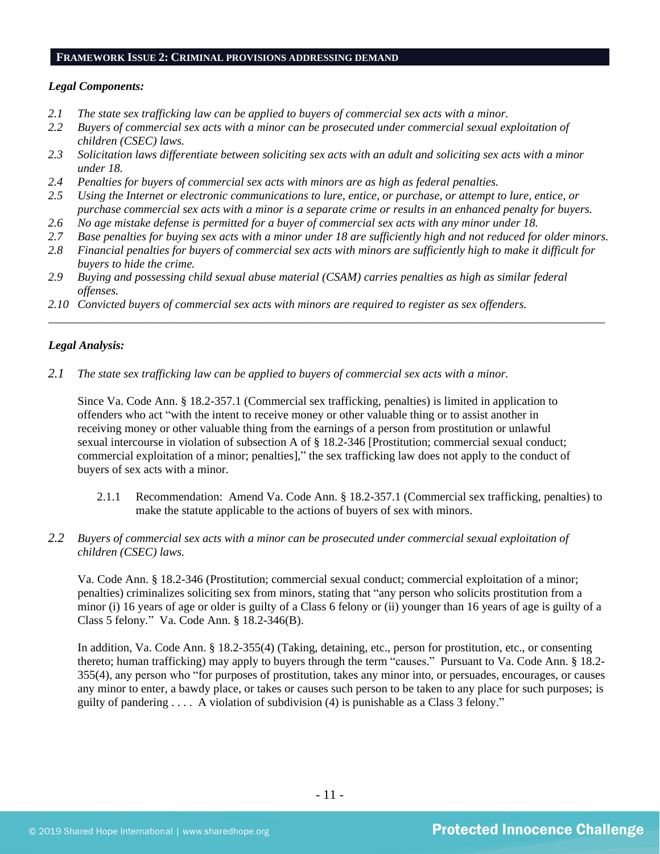#### **FRAMEWORK ISSUE 2: CRIMINAL PROVISIONS ADDRESSING DEMAND**

#### *Legal Components:*

- *2.1 The state sex trafficking law can be applied to buyers of commercial sex acts with a minor.*
- *2.2 Buyers of commercial sex acts with a minor can be prosecuted under commercial sexual exploitation of children (CSEC) laws.*
- *2.3 Solicitation laws differentiate between soliciting sex acts with an adult and soliciting sex acts with a minor under 18.*
- *2.4 Penalties for buyers of commercial sex acts with minors are as high as federal penalties.*
- *2.5 Using the Internet or electronic communications to lure, entice, or purchase, or attempt to lure, entice, or purchase commercial sex acts with a minor is a separate crime or results in an enhanced penalty for buyers.*
- *2.6 No age mistake defense is permitted for a buyer of commercial sex acts with any minor under 18.*
- *2.7 Base penalties for buying sex acts with a minor under 18 are sufficiently high and not reduced for older minors.*
- *2.8 Financial penalties for buyers of commercial sex acts with minors are sufficiently high to make it difficult for buyers to hide the crime.*

\_\_\_\_\_\_\_\_\_\_\_\_\_\_\_\_\_\_\_\_\_\_\_\_\_\_\_\_\_\_\_\_\_\_\_\_\_\_\_\_\_\_\_\_\_\_\_\_\_\_\_\_\_\_\_\_\_\_\_\_\_\_\_\_\_\_\_\_\_\_\_\_\_\_\_\_\_\_\_\_\_\_\_\_\_\_\_\_\_\_\_\_\_\_

- *2.9 Buying and possessing child sexual abuse material (CSAM) carries penalties as high as similar federal offenses.*
- *2.10 Convicted buyers of commercial sex acts with minors are required to register as sex offenders.*

#### *Legal Analysis:*

*2.1 The state sex trafficking law can be applied to buyers of commercial sex acts with a minor.*

Since Va. Code Ann. § 18.2-357.1 (Commercial sex trafficking, penalties) is limited in application to offenders who act "with the intent to receive money or other valuable thing or to assist another in receiving money or other valuable thing from the earnings of a person from prostitution or unlawful sexual intercourse in violation of subsection A of § 18.2-346 [Prostitution; commercial sexual conduct; commercial exploitation of a minor; penalties]," the sex trafficking law does not apply to the conduct of buyers of sex acts with a minor.

- 2.1.1 Recommendation: Amend Va. Code Ann. § 18.2-357.1 (Commercial sex trafficking, penalties) to make the statute applicable to the actions of buyers of sex with minors.
- *2.2 Buyers of commercial sex acts with a minor can be prosecuted under commercial sexual exploitation of children (CSEC) laws.*

Va. Code Ann. § 18.2-346 (Prostitution; commercial sexual conduct; commercial exploitation of a minor; penalties) criminalizes soliciting sex from minors, stating that "any person who solicits prostitution from a minor (i) 16 years of age or older is guilty of a Class 6 felony or (ii) younger than 16 years of age is guilty of a Class 5 felony*.*" Va. Code Ann. § 18.2-346(B).

In addition, Va. Code Ann. § 18.2-355(4) (Taking, detaining, etc., person for prostitution, etc., or consenting thereto; human trafficking) may apply to buyers through the term "causes." Pursuant to Va. Code Ann. § 18.2- 355(4), any person who "for purposes of prostitution, takes any minor into, or persuades, encourages, or causes any minor to enter, a bawdy place, or takes or causes such person to be taken to any place for such purposes; is guilty of pandering . . . . A violation of subdivision (4) is punishable as a Class 3 felony."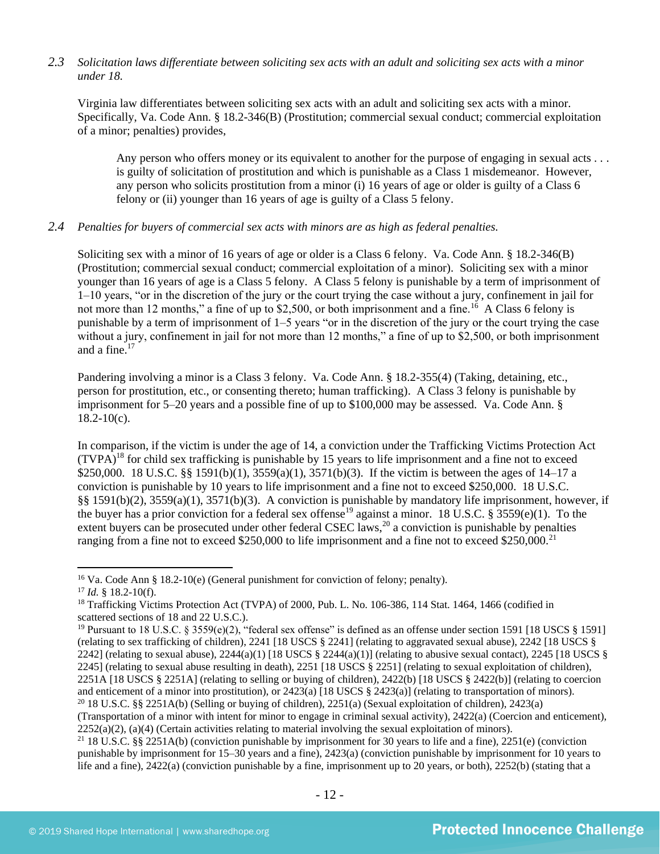# *2.3 Solicitation laws differentiate between soliciting sex acts with an adult and soliciting sex acts with a minor under 18.*

Virginia law differentiates between soliciting sex acts with an adult and soliciting sex acts with a minor. Specifically, Va. Code Ann. § 18.2-346(B) (Prostitution; commercial sexual conduct; commercial exploitation of a minor; penalties) provides,

Any person who offers money or its equivalent to another for the purpose of engaging in sexual acts . . . is guilty of solicitation of prostitution and which is punishable as a Class 1 misdemeanor. However, any person who solicits prostitution from a minor (i) 16 years of age or older is guilty of a Class 6 felony or (ii) younger than 16 years of age is guilty of a Class 5 felony.

#### *2.4 Penalties for buyers of commercial sex acts with minors are as high as federal penalties.*

Soliciting sex with a minor of 16 years of age or older is a Class 6 felony. Va. Code Ann. § 18.2-346(B) (Prostitution; commercial sexual conduct; commercial exploitation of a minor). Soliciting sex with a minor younger than 16 years of age is a Class 5 felony. A Class 5 felony is punishable by a term of imprisonment of 1–10 years, "or in the discretion of the jury or the court trying the case without a jury, confinement in jail for not more than 12 months," a fine of up to \$2,500, or both imprisonment and a fine.<sup>16</sup> A Class 6 felony is punishable by a term of imprisonment of 1–5 years "or in the discretion of the jury or the court trying the case without a jury, confinement in jail for not more than 12 months," a fine of up to \$2,500, or both imprisonment and a fine.<sup>17</sup>

Pandering involving a minor is a Class 3 felony. Va. Code Ann. § 18.2-355(4) (Taking, detaining, etc., person for prostitution, etc., or consenting thereto; human trafficking). A Class 3 felony is punishable by imprisonment for 5–20 years and a possible fine of up to \$100,000 may be assessed. Va. Code Ann. §  $18.2 - 10(c)$ .

<span id="page-11-0"></span>In comparison, if the victim is under the age of 14, a conviction under the Trafficking Victims Protection Act  $(TVPA)^{18}$  for child sex trafficking is punishable by 15 years to life imprisonment and a fine not to exceed \$250,000. 18 U.S.C. §§ 1591(b)(1), 3559(a)(1), 3571(b)(3). If the victim is between the ages of 14–17 a conviction is punishable by 10 years to life imprisonment and a fine not to exceed \$250,000. 18 U.S.C. §§ 1591(b)(2), 3559(a)(1), 3571(b)(3). A conviction is punishable by mandatory life imprisonment, however, if the buyer has a prior conviction for a federal sex offense<sup>19</sup> against a minor. 18 U.S.C. § 3559(e)(1). To the extent buyers can be prosecuted under other federal CSEC laws,<sup>20</sup> a conviction is punishable by penalties ranging from a fine not to exceed \$250,000 to life imprisonment and a fine not to exceed \$250,000.<sup>21</sup>

<span id="page-11-1"></span><sup>&</sup>lt;sup>16</sup> Va. Code Ann § 18.2-10(e) (General punishment for conviction of felony; penalty). <sup>17</sup> *Id.* § 18.2-10(f).

<sup>&</sup>lt;sup>18</sup> Trafficking Victims Protection Act (TVPA) of 2000, Pub. L. No. 106-386, 114 Stat. 1464, 1466 (codified in scattered sections of 18 and 22 U.S.C.).

<sup>&</sup>lt;sup>19</sup> Pursuant to 18 U.S.C. § 3559(e)(2), "federal sex offense" is defined as an offense under section 1591 [18 USCS § 1591] (relating to sex trafficking of children), 2241 [18 USCS § 2241] (relating to aggravated sexual abuse), 2242 [18 USCS § 2242] (relating to sexual abuse),  $2244(a)(1)$  [18 USCS § 2244(a)(1)] (relating to abusive sexual contact), 2245 [18 USCS § 2245] (relating to sexual abuse resulting in death), 2251 [18 USCS § 2251] (relating to sexual exploitation of children), 2251A [18 USCS § 2251A] (relating to selling or buying of children), 2422(b) [18 USCS § 2422(b)] (relating to coercion and enticement of a minor into prostitution), or 2423(a) [18 USCS § 2423(a)] (relating to transportation of minors). <sup>20</sup> 18 U.S.C. §§ 2251A(b) (Selling or buying of children), 2251(a) (Sexual exploitation of children), 2423(a)

<sup>(</sup>Transportation of a minor with intent for minor to engage in criminal sexual activity), 2422(a) (Coercion and enticement),  $2252(a)(2)$ , (a)(4) (Certain activities relating to material involving the sexual exploitation of minors).

<sup>&</sup>lt;sup>21</sup> 18 U.S.C. §§ 2251A(b) (conviction punishable by imprisonment for 30 years to life and a fine), 2251(e) (conviction punishable by imprisonment for 15–30 years and a fine), 2423(a) (conviction punishable by imprisonment for 10 years to life and a fine), 2422(a) (conviction punishable by a fine, imprisonment up to 20 years, or both), 2252(b) (stating that a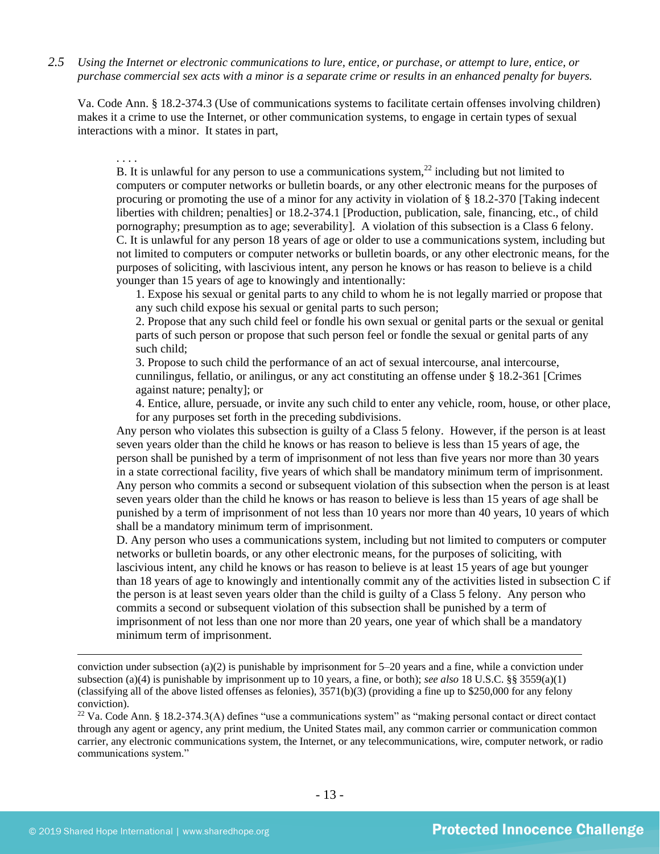*2.5 Using the Internet or electronic communications to lure, entice, or purchase, or attempt to lure, entice, or purchase commercial sex acts with a minor is a separate crime or results in an enhanced penalty for buyers.*

Va. Code Ann. § 18.2-374.3 (Use of communications systems to facilitate certain offenses involving children) makes it a crime to use the Internet, or other communication systems, to engage in certain types of sexual interactions with a minor. It states in part,

# <span id="page-12-0"></span>. . . .

B. It is unlawful for any person to use a communications system, $^{22}$  including but not limited to computers or computer networks or bulletin boards, or any other electronic means for the purposes of procuring or promoting the use of a minor for any activity in violation of § 18.2-370 [Taking indecent liberties with children; penalties] or 18.2-374.1 [Production, publication, sale, financing, etc., of child pornography; presumption as to age; severability]. A violation of this subsection is a Class 6 felony. C. It is unlawful for any person 18 years of age or older to use a communications system, including but not limited to computers or computer networks or bulletin boards, or any other electronic means, for the purposes of soliciting, with lascivious intent, any person he knows or has reason to believe is a child younger than 15 years of age to knowingly and intentionally:

1. Expose his sexual or genital parts to any child to whom he is not legally married or propose that any such child expose his sexual or genital parts to such person;

2. Propose that any such child feel or fondle his own sexual or genital parts or the sexual or genital parts of such person or propose that such person feel or fondle the sexual or genital parts of any such child;

3. Propose to such child the performance of an act of sexual intercourse, anal intercourse, cunnilingus, fellatio, or anilingus, or any act constituting an offense under § 18.2-361 [Crimes against nature; penalty]; or

4. Entice, allure, persuade, or invite any such child to enter any vehicle, room, house, or other place, for any purposes set forth in the preceding subdivisions.

Any person who violates this subsection is guilty of a Class 5 felony. However, if the person is at least seven years older than the child he knows or has reason to believe is less than 15 years of age, the person shall be punished by a term of imprisonment of not less than five years nor more than 30 years in a state correctional facility, five years of which shall be mandatory minimum term of imprisonment. Any person who commits a second or subsequent violation of this subsection when the person is at least seven years older than the child he knows or has reason to believe is less than 15 years of age shall be punished by a term of imprisonment of not less than 10 years nor more than 40 years, 10 years of which shall be a mandatory minimum term of imprisonment.

D. Any person who uses a communications system, including but not limited to computers or computer networks or bulletin boards, or any other electronic means, for the purposes of soliciting, with lascivious intent, any child he knows or has reason to believe is at least 15 years of age but younger than 18 years of age to knowingly and intentionally commit any of the activities listed in subsection C if the person is at least seven years older than the child is guilty of a Class 5 felony. Any person who commits a second or subsequent violation of this subsection shall be punished by a term of imprisonment of not less than one nor more than 20 years, one year of which shall be a mandatory minimum term of imprisonment.

 $22$  Va. Code Ann. § 18.2-374.3(A) defines "use a communications system" as "making personal contact or direct contact through any agent or agency, any print medium, the United States mail, any common carrier or communication common carrier, any electronic communications system, the Internet, or any telecommunications, wire, computer network, or radio communications system."

conviction under subsection (a)(2) is punishable by imprisonment for  $5-20$  years and a fine, while a conviction under subsection (a)(4) is punishable by imprisonment up to 10 years, a fine, or both); *see also* 18 U.S.C. §§ 3559(a)(1) (classifying all of the above listed offenses as felonies),  $3571(b)(3)$  (providing a fine up to \$250,000 for any felony conviction).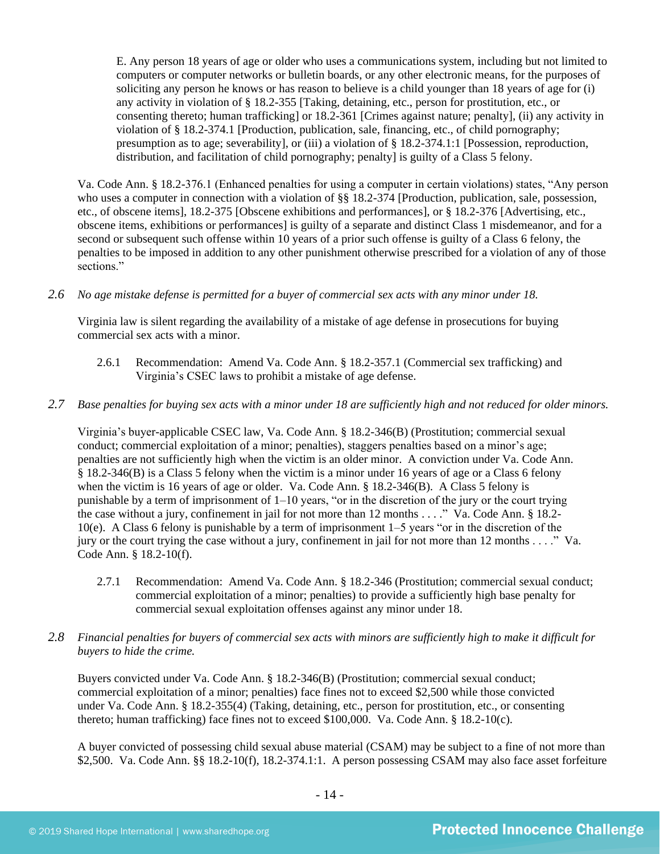E. Any person 18 years of age or older who uses a communications system, including but not limited to computers or computer networks or bulletin boards, or any other electronic means, for the purposes of soliciting any person he knows or has reason to believe is a child younger than 18 years of age for (i) any activity in violation of § 18.2-355 [Taking, detaining, etc., person for prostitution, etc., or consenting thereto; human trafficking] or 18.2-361 [Crimes against nature; penalty], (ii) any activity in violation of § 18.2-374.1 [Production, publication, sale, financing, etc., of child pornography; presumption as to age; severability], or (iii) a violation of § 18.2-374.1:1 [Possession, reproduction, distribution, and facilitation of child pornography; penalty] is guilty of a Class 5 felony.

Va. Code Ann. § 18.2-376.1 (Enhanced penalties for using a computer in certain violations) states, "Any person who uses a computer in connection with a violation of §§ 18.2-374 [Production, publication, sale, possession, etc., of obscene items], 18.2-375 [Obscene exhibitions and performances], or § 18.2-376 [Advertising, etc., obscene items, exhibitions or performances] is guilty of a separate and distinct Class 1 misdemeanor, and for a second or subsequent such offense within 10 years of a prior such offense is guilty of a Class 6 felony, the penalties to be imposed in addition to any other punishment otherwise prescribed for a violation of any of those sections."

# *2.6 No age mistake defense is permitted for a buyer of commercial sex acts with any minor under 18.*

Virginia law is silent regarding the availability of a mistake of age defense in prosecutions for buying commercial sex acts with a minor.

2.6.1 Recommendation: Amend Va. Code Ann. § 18.2-357.1 (Commercial sex trafficking) and Virginia's CSEC laws to prohibit a mistake of age defense.

# *2.7 Base penalties for buying sex acts with a minor under 18 are sufficiently high and not reduced for older minors.*

Virginia's buyer-applicable CSEC law, Va. Code Ann. § 18.2-346(B) (Prostitution; commercial sexual conduct; commercial exploitation of a minor; penalties), staggers penalties based on a minor's age; penalties are not sufficiently high when the victim is an older minor. A conviction under Va. Code Ann. § 18.2-346(B) is a Class 5 felony when the victim is a minor under 16 years of age or a Class 6 felony when the victim is 16 years of age or older. Va. Code Ann. § 18.2-346(B). A Class 5 felony is punishable by a term of imprisonment of  $1-10$  years, "or in the discretion of the jury or the court trying the case without a jury, confinement in jail for not more than 12 months . . . ." Va. Code Ann. § 18.2- 10(e). A Class 6 felony is punishable by a term of imprisonment 1–5 years "or in the discretion of the jury or the court trying the case without a jury, confinement in jail for not more than 12 months . . . ." Va. Code Ann. § 18.2-10(f).

2.7.1 Recommendation: Amend Va. Code Ann. § 18.2-346 (Prostitution; commercial sexual conduct; commercial exploitation of a minor; penalties) to provide a sufficiently high base penalty for commercial sexual exploitation offenses against any minor under 18.

# *2.8 Financial penalties for buyers of commercial sex acts with minors are sufficiently high to make it difficult for buyers to hide the crime.*

Buyers convicted under Va. Code Ann. § 18.2-346(B) (Prostitution; commercial sexual conduct; commercial exploitation of a minor; penalties) face fines not to exceed \$2,500 while those convicted under Va. Code Ann. § 18.2-355(4) (Taking, detaining, etc., person for prostitution, etc., or consenting thereto; human trafficking) face fines not to exceed \$100,000. Va. Code Ann. § 18.2-10(c).

A buyer convicted of possessing child sexual abuse material (CSAM) may be subject to a fine of not more than \$2,500. Va. Code Ann. §§ 18.2-10(f), 18.2-374.1:1. A person possessing CSAM may also face asset for feiture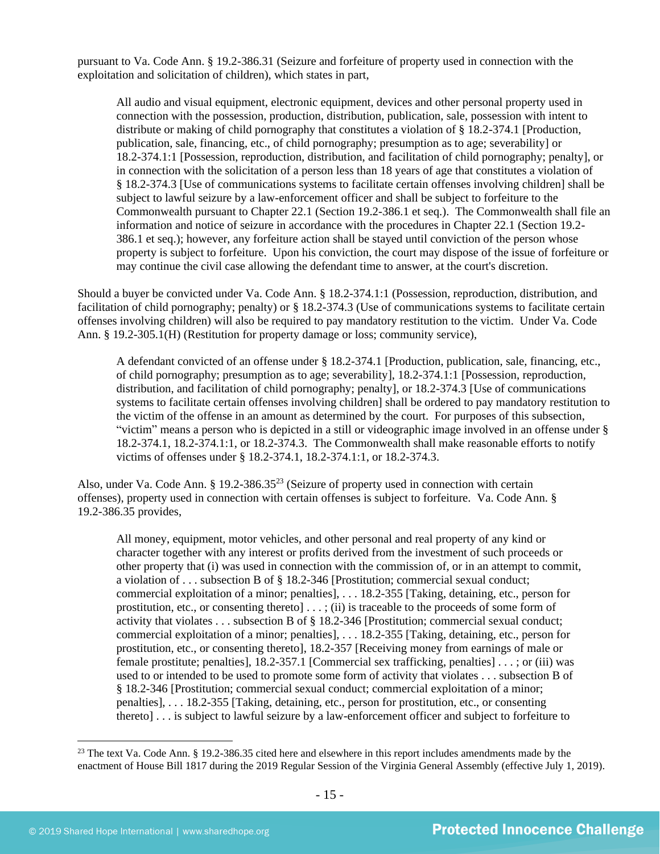pursuant to Va. Code Ann. § 19.2-386.31 (Seizure and forfeiture of property used in connection with the exploitation and solicitation of children), which states in part,

All audio and visual equipment, electronic equipment, devices and other personal property used in connection with the possession, production, distribution, publication, sale, possession with intent to distribute or making of child pornography that constitutes a violation of § 18.2-374.1 [Production, publication, sale, financing, etc., of child pornography; presumption as to age; severability] or 18.2-374.1:1 [Possession, reproduction, distribution, and facilitation of child pornography; penalty], or in connection with the solicitation of a person less than 18 years of age that constitutes a violation of § 18.2-374.3 [Use of communications systems to facilitate certain offenses involving children] shall be subject to lawful seizure by a law-enforcement officer and shall be subject to forfeiture to the Commonwealth pursuant to Chapter 22.1 (Section 19.2-386.1 et seq.). The Commonwealth shall file an information and notice of seizure in accordance with the procedures in Chapter 22.1 (Section 19.2- 386.1 et seq.); however, any forfeiture action shall be stayed until conviction of the person whose property is subject to forfeiture. Upon his conviction, the court may dispose of the issue of forfeiture or may continue the civil case allowing the defendant time to answer, at the court's discretion.

Should a buyer be convicted under Va. Code Ann. § 18.2-374.1:1 (Possession, reproduction, distribution, and facilitation of child pornography; penalty) or § 18.2-374.3 (Use of communications systems to facilitate certain offenses involving children) will also be required to pay mandatory restitution to the victim. Under Va. Code Ann. § 19.2-305.1(H) (Restitution for property damage or loss; community service),

A defendant convicted of an offense under § 18.2-374.1 [Production, publication, sale, financing, etc., of child pornography; presumption as to age; severability], 18.2-374.1:1 [Possession, reproduction, distribution, and facilitation of child pornography; penalty], or 18.2-374.3 [Use of communications systems to facilitate certain offenses involving children] shall be ordered to pay mandatory restitution to the victim of the offense in an amount as determined by the court. For purposes of this subsection, "victim" means a person who is depicted in a still or videographic image involved in an offense under § 18.2-374.1, 18.2-374.1:1, or 18.2-374.3. The Commonwealth shall make reasonable efforts to notify victims of offenses under § 18.2-374.1, 18.2-374.1:1, or 18.2-374.3.

Also, under Va. Code Ann. § 19.2-386.35<sup>23</sup> (Seizure of property used in connection with certain offenses), property used in connection with certain offenses is subject to forfeiture. Va. Code Ann. § 19.2-386.35 provides,

<span id="page-14-0"></span>All money, equipment, motor vehicles, and other personal and real property of any kind or character together with any interest or profits derived from the investment of such proceeds or other property that (i) was used in connection with the commission of, or in an attempt to commit, a violation of . . . subsection B of § 18.2-346 [Prostitution; commercial sexual conduct; commercial exploitation of a minor; penalties], . . . 18.2-355 [Taking, detaining, etc., person for prostitution, etc., or consenting thereto] . . . ; (ii) is traceable to the proceeds of some form of activity that violates . . . subsection B of § 18.2-346 [Prostitution; commercial sexual conduct; commercial exploitation of a minor; penalties], . . . 18.2-355 [Taking, detaining, etc., person for prostitution, etc., or consenting thereto], 18.2-357 [Receiving money from earnings of male or female prostitute; penalties], 18.2-357.1 [Commercial sex trafficking, penalties] [. . . ;](http://lis.virginia.gov/cgi-bin/legp604.exe?000+cod+40.1-29) or (iii) was used to or intended to be used to promote some form of activity that violates . . . subsection B of § 18.2-346 [Prostitution; commercial sexual conduct; commercial exploitation of a minor; penalties], . . . 18.2-355 [Taking, detaining, etc., person for prostitution, etc., or consenting thereto] . . . is subject to lawful seizure by a law-enforcement officer and subject to forfeiture to

<sup>&</sup>lt;sup>23</sup> The text Va. Code Ann. § 19.2-386.35 cited here and elsewhere in this report includes amendments made by the enactment of House Bill 1817 during the 2019 Regular Session of the Virginia General Assembly (effective July 1, 2019).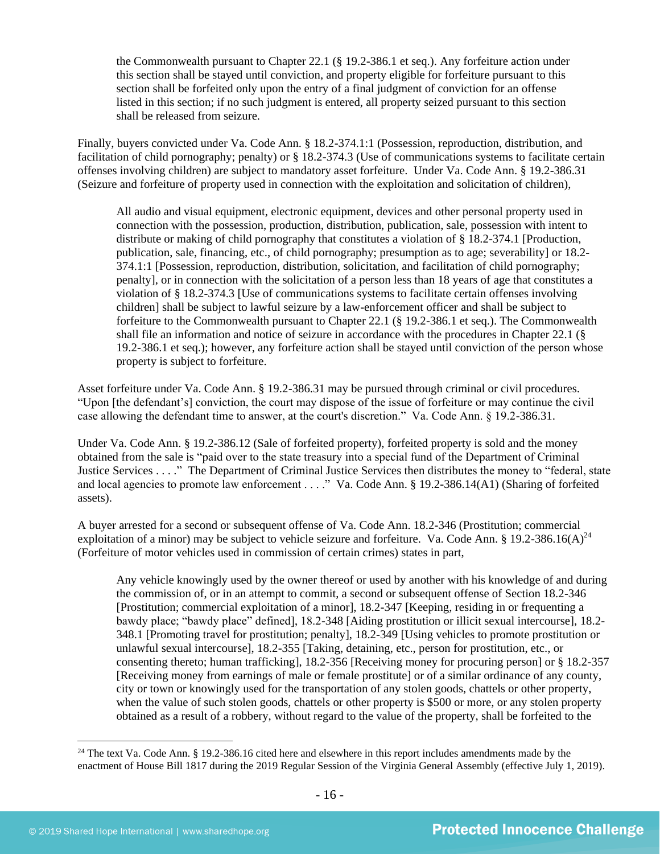the Commonwealth pursuant to Chapter 22.1 (§ 19.2-386.1 et seq.). Any forfeiture action under this section shall be stayed until conviction, and property eligible for forfeiture pursuant to this section shall be forfeited only upon the entry of a final judgment of conviction for an offense listed in this section; if no such judgment is entered, all property seized pursuant to this section shall be released from seizure.

Finally, buyers convicted under Va. Code Ann. § 18.2-374.1:1 (Possession, reproduction, distribution, and facilitation of child pornography; penalty) or § 18.2-374.3 (Use of communications systems to facilitate certain offenses involving children) are subject to mandatory asset forfeiture. Under Va. Code Ann. § 19.2-386.31 (Seizure and forfeiture of property used in connection with the exploitation and solicitation of children),

All audio and visual equipment, electronic equipment, devices and other personal property used in connection with the possession, production, distribution, publication, sale, possession with intent to distribute or making of child pornography that constitutes a violation of § 18.2-374.1 [Production, publication, sale, financing, etc., of child pornography; presumption as to age; severability] or 18.2- 374.1:1 [Possession, reproduction, distribution, solicitation, and facilitation of child pornography; penalty], or in connection with the solicitation of a person less than 18 years of age that constitutes a violation of § 18.2-374.3 [Use of communications systems to facilitate certain offenses involving children] shall be subject to lawful seizure by a law-enforcement officer and shall be subject to forfeiture to the Commonwealth pursuant to Chapter 22.1 (§ 19.2-386.1 et seq.). The Commonwealth shall file an information and notice of seizure in accordance with the procedures in Chapter 22.1 (§ 19.2-386.1 et seq.); however, any forfeiture action shall be stayed until conviction of the person whose property is subject to forfeiture.

Asset forfeiture under Va. Code Ann. § 19.2-386.31 may be pursued through criminal or civil procedures. "Upon [the defendant's] conviction, the court may dispose of the issue of forfeiture or may continue the civil case allowing the defendant time to answer, at the court's discretion." Va. Code Ann. § 19.2-386.31.

Under Va. Code Ann. § 19.2-386.12 (Sale of forfeited property), forfeited property is sold and the money obtained from the sale is "paid over to the state treasury into a special fund of the Department of Criminal Justice Services . . . ." The Department of Criminal Justice Services then distributes the money to "federal, state and local agencies to promote law enforcement . . . ." Va. Code Ann. § 19.2-386.14(A1) (Sharing of forfeited assets).

A buyer arrested for a second or subsequent offense of Va. Code Ann. 18.2-346 (Prostitution; commercial exploitation of a minor) may be subject to vehicle seizure and forfeiture. Va. Code Ann. § 19.2-386.16(A)<sup>24</sup> (Forfeiture of motor vehicles used in commission of certain crimes) states in part,

<span id="page-15-0"></span>Any vehicle knowingly used by the owner thereof or used by another with his knowledge of and during the commission of, or in an attempt to commit, a second or subsequent offense of Section 18.2-346 [Prostitution; commercial exploitation of a minor], 18.2-347 [Keeping, residing in or frequenting a bawdy place; "bawdy place" defined], 18.2-348 [Aiding prostitution or illicit sexual intercourse], 18.2- 348.1 [Promoting travel for prostitution; penalty], 18.2-349 [Using vehicles to promote prostitution or unlawful sexual intercourse], 18.2-355 [Taking, detaining, etc., person for prostitution, etc., or consenting thereto; human trafficking], 18.2-356 [Receiving money for procuring person] or § 18.2-357 [Receiving money from earnings of male or female prostitute] or of a similar ordinance of any county, city or town or knowingly used for the transportation of any stolen goods, chattels or other property, when the value of such stolen goods, chattels or other property is \$500 or more, or any stolen property obtained as a result of a robbery, without regard to the value of the property, shall be forfeited to the

<sup>&</sup>lt;sup>24</sup> The text Va. Code Ann. § 19.2-386.16 cited here and elsewhere in this report includes amendments made by the enactment of House Bill 1817 during the 2019 Regular Session of the Virginia General Assembly (effective July 1, 2019).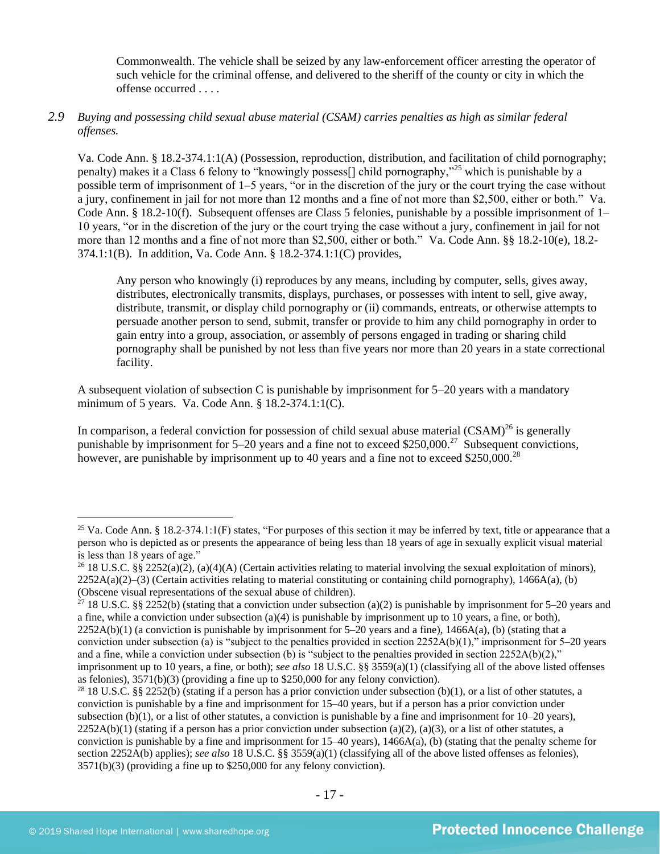Commonwealth. The vehicle shall be seized by any law-enforcement officer arresting the operator of such vehicle for the criminal offense, and delivered to the sheriff of the county or city in which the offense occurred . . . .

# *2.9 Buying and possessing child sexual abuse material (CSAM) carries penalties as high as similar federal offenses.*

Va. Code Ann. § 18.2-374.1:1(A) (Possession, reproduction, distribution, and facilitation of child pornography; penalty) makes it a Class 6 felony to "knowingly possess[] child pornography,"<sup>25</sup> which is punishable by a possible term of imprisonment of 1–5 years, "or in the discretion of the jury or the court trying the case without a jury, confinement in jail for not more than 12 months and a fine of not more than \$2,500, either or both." Va. Code Ann. § 18.2-10(f). Subsequent offenses are Class 5 felonies, punishable by a possible imprisonment of 1– 10 years, "or in the discretion of the jury or the court trying the case without a jury, confinement in jail for not more than 12 months and a fine of not more than \$2,500, either or both." Va. Code Ann. §§ 18.2-10(e), 18.2- 374.1:1(B). In addition, Va. Code Ann. § 18.2-374.1:1(C) provides,

Any person who knowingly (i) reproduces by any means, including by computer, sells, gives away, distributes, electronically transmits, displays, purchases, or possesses with intent to sell, give away, distribute, transmit, or display child pornography or (ii) commands, entreats, or otherwise attempts to persuade another person to send, submit, transfer or provide to him any child pornography in order to gain entry into a group, association, or assembly of persons engaged in trading or sharing child pornography shall be punished by not less than five years nor more than 20 years in a state correctional facility.

A subsequent violation of subsection C is punishable by imprisonment for 5–20 years with a mandatory minimum of 5 years. Va. Code Ann. § 18.2-374.1:1(C).

In comparison, a federal conviction for possession of child sexual abuse material  $(CSAM)^{26}$  is generally punishable by imprisonment for  $5-20$  years and a fine not to exceed \$250,000.<sup>27</sup> Subsequent convictions, however, are punishable by imprisonment up to 40 years and a fine not to exceed  $$250,000.<sup>28</sup>$ 

<sup>&</sup>lt;sup>25</sup> Va. Code Ann. § 18.2-374.1:1(F) states, "For purposes of this section it may be inferred by text, title or appearance that a person who is depicted as or presents the appearance of being less than 18 years of age in sexually explicit visual material is less than 18 years of age."

<sup>&</sup>lt;sup>26</sup> 18 U.S.C. §§ 2252(a)(2), (a)(4)(A) (Certain activities relating to material involving the sexual exploitation of minors),  $2252A(a)(2)$ –(3) (Certain activities relating to material constituting or containing child pornography), 1466A(a), (b) (Obscene visual representations of the sexual abuse of children).

<sup>&</sup>lt;sup>27</sup> 18 U.S.C. §§ 2252(b) (stating that a conviction under subsection (a)(2) is punishable by imprisonment for 5–20 years and a fine, while a conviction under subsection (a)(4) is punishable by imprisonment up to 10 years, a fine, or both),  $2252A(b)(1)$  (a conviction is punishable by imprisonment for 5–20 years and a fine),  $1466A(a)$ , (b) (stating that a conviction under subsection (a) is "subject to the penalties provided in section  $2252A(b)(1)$ ," imprisonment for  $5-20$  years and a fine, while a conviction under subsection (b) is "subject to the penalties provided in section  $2252A(b)(2)$ ," imprisonment up to 10 years, a fine, or both); *see also* 18 U.S.C. §§ 3559(a)(1) (classifying all of the above listed offenses as felonies), 3571(b)(3) (providing a fine up to \$250,000 for any felony conviction).

<sup>&</sup>lt;sup>28</sup> 18 U.S.C. §§ 2252(b) (stating if a person has a prior conviction under subsection (b)(1), or a list of other statutes, a conviction is punishable by a fine and imprisonment for 15–40 years, but if a person has a prior conviction under subsection (b)(1), or a list of other statutes, a conviction is punishable by a fine and imprisonment for  $10-20$  years),  $2252A(b)(1)$  (stating if a person has a prior conviction under subsection (a)(2), (a)(3), or a list of other statutes, a conviction is punishable by a fine and imprisonment for 15–40 years), 1466A(a), (b) (stating that the penalty scheme for section 2252A(b) applies); *see also* 18 U.S.C. §§ 3559(a)(1) (classifying all of the above listed offenses as felonies), 3571(b)(3) (providing a fine up to \$250,000 for any felony conviction).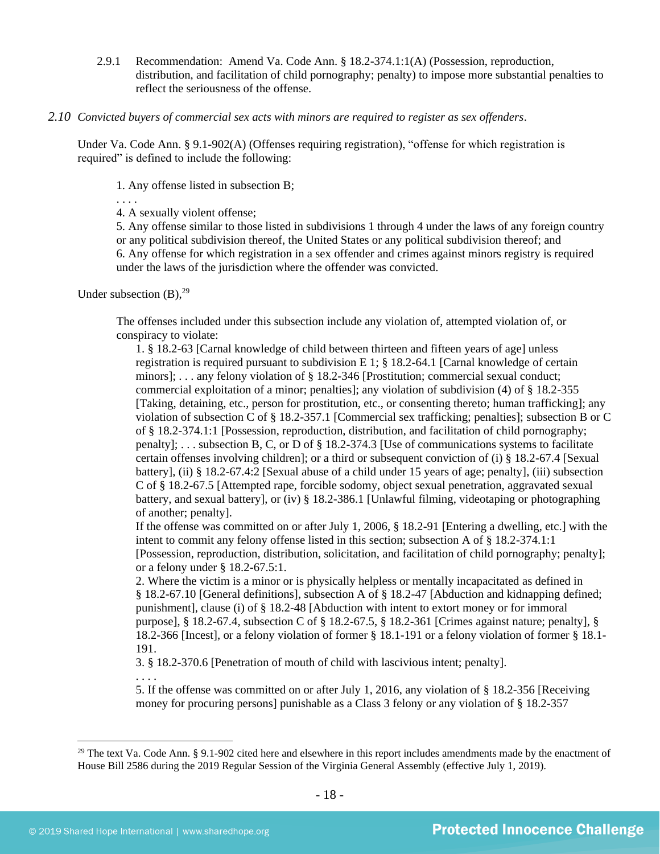2.9.1 Recommendation: Amend Va. Code Ann. § 18.2-374.1:1(A) (Possession, reproduction, distribution, and facilitation of child pornography; penalty) to impose more substantial penalties to reflect the seriousness of the offense.

#### *2.10 Convicted buyers of commercial sex acts with minors are required to register as sex offenders*.

Under Va. Code Ann. § 9.1-902(A) (Offenses requiring registration), "offense for which registration is required" is defined to include the following:

1. Any offense listed in subsection B;

. . . .

4. A sexually violent offense;

5. Any offense similar to those listed in subdivisions 1 through 4 under the laws of any foreign country or any political subdivision thereof, the United States or any political subdivision thereof; and 6. Any offense for which registration in a sex offender and crimes against minors registry is required under the laws of the jurisdiction where the offender was convicted.

Under subsection  $(B)$ , <sup>29</sup>

<span id="page-17-0"></span>The offenses included under this subsection include any violation of, attempted violation of, or conspiracy to violate:

1. § 18.2-63 [Carnal knowledge of child between thirteen and fifteen years of age] unless registration is required pursuant to subdivision E 1;  $\S$  18.2-64.1 [Carnal knowledge of certain minors]; . . . any felony violation of § 18.2-346 [Prostitution; commercial sexual conduct; commercial exploitation of a minor; penalties]; any violation of subdivision (4) of § 18.2-355 [Taking, detaining, etc., person for prostitution, etc., or consenting thereto; human trafficking]; any violation of subsection C of § 18.2-357.1 [Commercial sex trafficking; penalties]; subsection B or C of § 18.2-374.1:1 [Possession, reproduction, distribution, and facilitation of child pornography; penalty]; . . . subsection B, C, or D of § 18.2-374.3 [Use of communications systems to facilitate certain offenses involving children]; or a third or subsequent conviction of (i) § 18.2-67.4 [Sexual battery], (ii) § 18.2-67.4:2 [Sexual abuse of a child under 15 years of age; penalty], (iii) subsection C of § 18.2-67.5 [Attempted rape, forcible sodomy, object sexual penetration, aggravated sexual battery, and sexual battery], or (iv) § 18.2-386.1 [Unlawful filming, videotaping or photographing of another; penalty].

If the offense was committed on or after July 1, 2006, § 18.2-91 [Entering a dwelling, etc.] with the intent to commit any felony offense listed in this section; subsection A of § 18.2-374.1:1 [Possession, reproduction, distribution, solicitation, and facilitation of child pornography; penalty]; or a felony under § 18.2-67.5:1.

2. Where the victim is a minor or is physically helpless or mentally incapacitated as defined in § 18.2-67.10 [General definitions], subsection A of § 18.2-47 [Abduction and kidnapping defined; punishment], clause (i) of § 18.2-48 [Abduction with intent to extort money or for immoral purpose], § 18.2-67.4, subsection C of § 18.2-67.5, § 18.2-361 [Crimes against nature; penalty], § 18.2-366 [Incest], or a felony violation of former § 18.1-191 or a felony violation of former § 18.1- 191.

3. § 18.2-370.6 [Penetration of mouth of child with lascivious intent; penalty].

. . . .

5. If the offense was committed on or after July 1, 2016, any violation of § 18.2-356 [Receiving money for procuring persons] punishable as a Class 3 felony or any violation of § 18.2-357

 $^{29}$  The text Va. Code Ann. § 9.1-902 cited here and elsewhere in this report includes amendments made by the enactment of House Bill 2586 during the 2019 Regular Session of the Virginia General Assembly (effective July 1, 2019).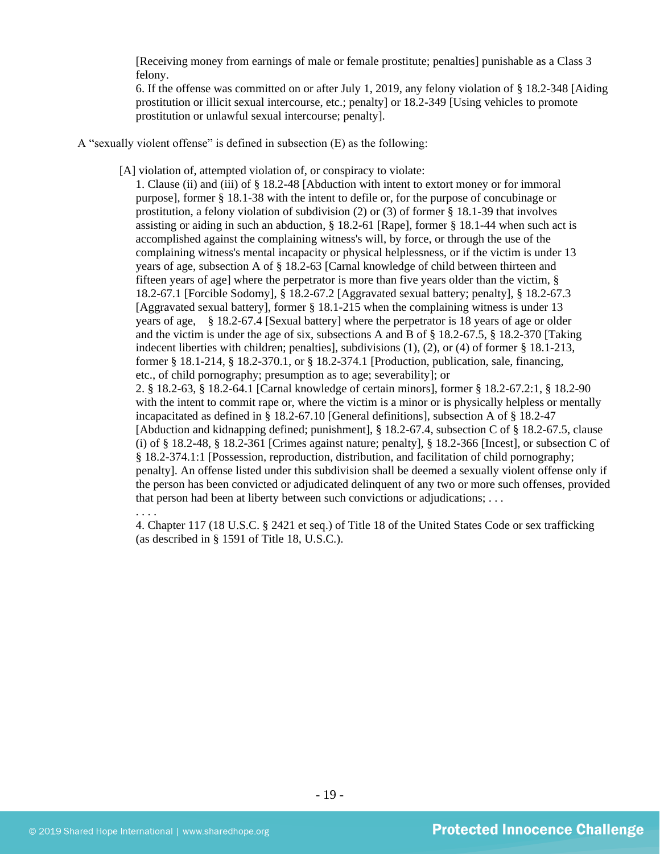[Receiving money from earnings of male or female prostitute; penalties] punishable as a Class 3 felony.

6. If the offense was committed on or after July 1, 2019, any felony violation of § 18.2-348 [Aiding prostitution or illicit sexual intercourse, etc.; penalty] or 18.2-349 [Using vehicles to promote prostitution or unlawful sexual intercourse; penalty].

- A "sexually violent offense" is defined in subsection (E) as the following:
	- [A] violation of, attempted violation of, or conspiracy to violate:

1. Clause (ii) and (iii) of § 18.2-48 [Abduction with intent to extort money or for immoral purpose], former § 18.1-38 with the intent to defile or, for the purpose of concubinage or prostitution, a felony violation of subdivision (2) or (3) of former § 18.1-39 that involves assisting or aiding in such an abduction, § 18.2-61 [Rape], former § 18.1-44 when such act is accomplished against the complaining witness's will, by force, or through the use of the complaining witness's mental incapacity or physical helplessness, or if the victim is under 13 years of age, subsection A of § 18.2-63 [Carnal knowledge of child between thirteen and fifteen years of age] where the perpetrator is more than five years older than the victim, § 18.2-67.1 [Forcible Sodomy], § 18.2-67.2 [Aggravated sexual battery; penalty], § 18.2-67.3 [Aggravated sexual battery], former § 18.1-215 when the complaining witness is under 13 years of age, § 18.2-67.4 [Sexual battery] where the perpetrator is 18 years of age or older and the victim is under the age of six, subsections A and B of § 18.2-67.5, § 18.2-370 [Taking indecent liberties with children; penalties], subdivisions (1), (2), or (4) of former § 18.1-213, former § 18.1-214, § 18.2-370.1, or § 18.2-374.1 [Production, publication, sale, financing, etc., of child pornography; presumption as to age; severability]; or 2. § 18.2-63, § 18.2-64.1 [Carnal knowledge of certain minors], former § 18.2-67.2:1, § 18.2-90 with the intent to commit rape or, where the victim is a minor or is physically helpless or mentally incapacitated as defined in § 18.2-67.10 [General definitions], subsection A of § 18.2-47 [Abduction and kidnapping defined; punishment], § 18.2-67.4, subsection C of § 18.2-67.5, clause (i) of  $\S$  18.2-48,  $\S$  18.2-361 [Crimes against nature; penalty],  $\S$  18.2-366 [Incest], or subsection C of § 18.2-374.1:1 [Possession, reproduction, distribution, and facilitation of child pornography; penalty]. An offense listed under this subdivision shall be deemed a sexually violent offense only if the person has been convicted or adjudicated delinquent of any two or more such offenses, provided that person had been at liberty between such convictions or adjudications; . . . . . . .

4. Chapter 117 (18 U.S.C. § 2421 et seq.) of Title 18 of the United States Code or sex trafficking (as described in § 1591 of Title 18, U.S.C.).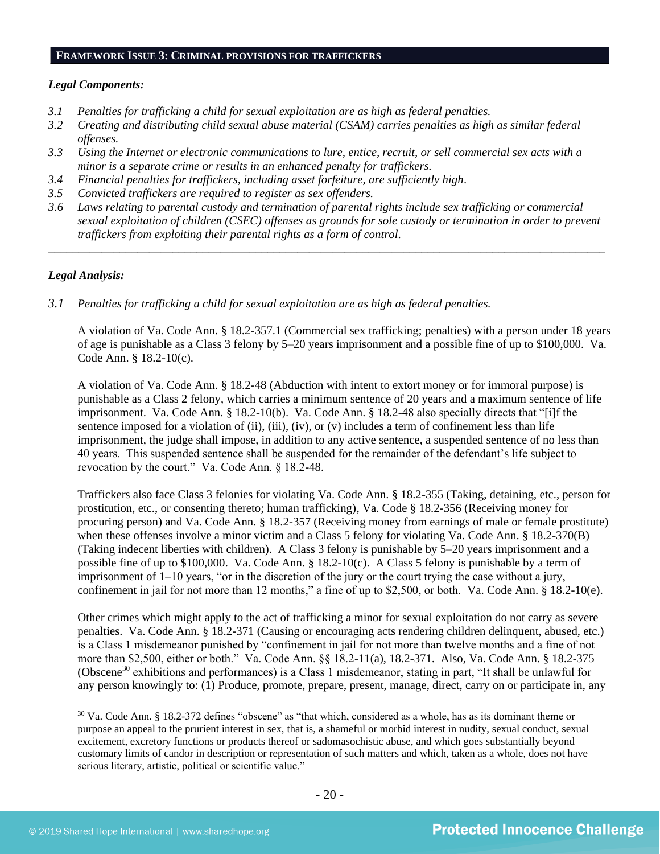#### **FRAMEWORK ISSUE 3: CRIMINAL PROVISIONS FOR TRAFFICKERS**

#### *Legal Components:*

- *3.1 Penalties for trafficking a child for sexual exploitation are as high as federal penalties.*
- *3.2 Creating and distributing child sexual abuse material (CSAM) carries penalties as high as similar federal offenses.*
- *3.3 Using the Internet or electronic communications to lure, entice, recruit, or sell commercial sex acts with a minor is a separate crime or results in an enhanced penalty for traffickers.*
- *3.4 Financial penalties for traffickers, including asset forfeiture, are sufficiently high*.
- *3.5 Convicted traffickers are required to register as sex offenders.*
- *3.6 Laws relating to parental custody and termination of parental rights include sex trafficking or commercial sexual exploitation of children (CSEC) offenses as grounds for sole custody or termination in order to prevent traffickers from exploiting their parental rights as a form of control.*

*\_\_\_\_\_\_\_\_\_\_\_\_\_\_\_\_\_\_\_\_\_\_\_\_\_\_\_\_\_\_\_\_\_\_\_\_\_\_\_\_\_\_\_\_\_\_\_\_\_\_\_\_\_\_\_\_\_\_\_\_\_\_\_\_\_\_\_\_\_\_\_\_\_\_\_\_\_\_\_\_\_\_\_\_\_\_\_\_\_\_\_\_\_\_*

#### *Legal Analysis:*

*3.1 Penalties for trafficking a child for sexual exploitation are as high as federal penalties.* 

A violation of Va. Code Ann. § 18.2-357.1 (Commercial sex trafficking; penalties) with a person under 18 years of age is punishable as a Class 3 felony by 5–20 years imprisonment and a possible fine of up to \$100,000. Va. Code Ann. § 18.2-10(c).

A violation of Va. Code Ann. § 18.2-48 (Abduction with intent to extort money or for immoral purpose) is punishable as a Class 2 felony, which carries a minimum sentence of 20 years and a maximum sentence of life imprisonment. Va. Code Ann. § 18.2-10(b). Va. Code Ann. § 18.2-48 also specially directs that "[i]f the sentence imposed for a violation of (ii), (iii), (iv), or (v) includes a term of confinement less than life imprisonment, the judge shall impose, in addition to any active sentence, a suspended sentence of no less than 40 years. This suspended sentence shall be suspended for the remainder of the defendant's life subject to revocation by the court." Va. Code Ann. § 18.2-48.

Traffickers also face Class 3 felonies for violating Va. Code Ann. § 18.2-355 (Taking, detaining, etc., person for prostitution, etc., or consenting thereto; human trafficking), Va. Code § 18.2-356 (Receiving money for procuring person) and Va. Code Ann. § 18.2-357 (Receiving money from earnings of male or female prostitute) when these offenses involve a minor victim and a Class 5 felony for violating Va. Code Ann. § 18.2-370(B) (Taking indecent liberties with children). A Class 3 felony is punishable by 5–20 years imprisonment and a possible fine of up to \$100,000. Va. Code Ann. § 18.2-10(c). A Class 5 felony is punishable by a term of imprisonment of 1–10 years, "or in the discretion of the jury or the court trying the case without a jury, confinement in jail for not more than 12 months," a fine of up to \$2,500, or both. Va. Code Ann. § 18.2-10(e).

Other crimes which might apply to the act of trafficking a minor for sexual exploitation do not carry as severe penalties. Va. Code Ann. § 18.2-371 (Causing or encouraging acts rendering children delinquent, abused, etc.) is a Class 1 misdemeanor punished by "confinement in jail for not more than twelve months and a fine of not more than \$2,500, either or both." Va. Code Ann. §§ 18.2-11(a), 18.2-371. Also, Va. Code Ann. § 18.2-375 (Obscene<sup>30</sup> exhibitions and performances) is a Class 1 misdemeanor, stating in part, "It shall be unlawful for any person knowingly to: (1) Produce, promote, prepare, present, manage, direct, carry on or participate in, any

 $30$  Va. Code Ann. § 18.2-372 defines "obscene" as "that which, considered as a whole, has as its dominant theme or purpose an appeal to the prurient interest in sex, that is, a shameful or morbid interest in nudity, sexual conduct, sexual excitement, excretory functions or products thereof or sadomasochistic abuse, and which goes substantially beyond customary limits of candor in description or representation of such matters and which, taken as a whole, does not have serious literary, artistic, political or scientific value."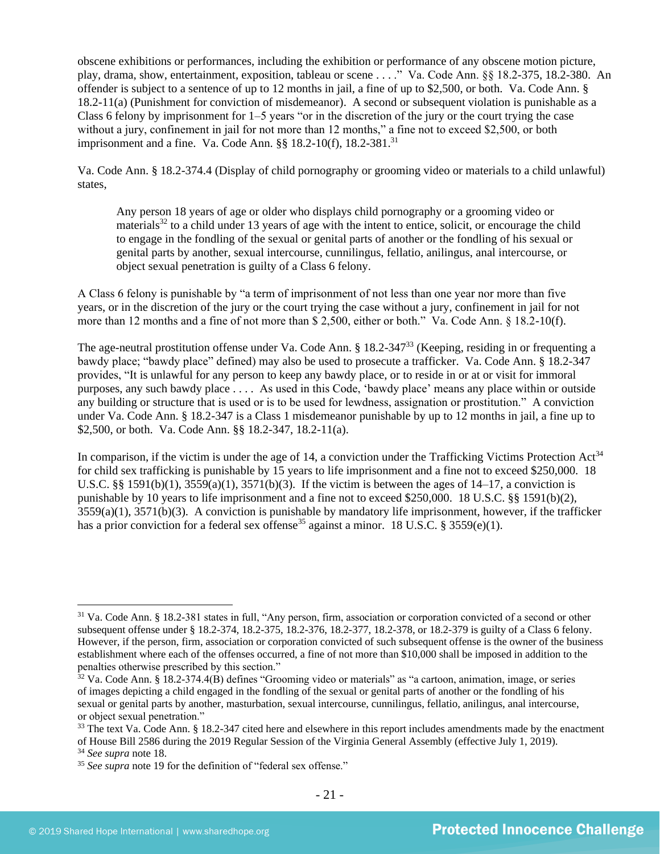obscene exhibitions or performances, including the exhibition or performance of any obscene motion picture, play, drama, show, entertainment, exposition, tableau or scene . . . ." Va. Code Ann. §§ 18.2-375, 18.2-380. An offender is subject to a sentence of up to 12 months in jail, a fine of up to \$2,500, or both. Va. Code Ann. § 18.2-11(a) (Punishment for conviction of misdemeanor). A second or subsequent violation is punishable as a Class 6 felony by imprisonment for  $1-5$  years "or in the discretion of the jury or the court trying the case without a jury, confinement in jail for not more than 12 months," a fine not to exceed \$2,500, or both imprisonment and a fine. Va. Code Ann.  $\S$ § 18.2-10(f), 18.2-381.<sup>31</sup>

Va. Code Ann. § 18.2-374.4 (Display of child pornography or grooming video or materials to a child unlawful) states,

<span id="page-20-0"></span>Any person 18 years of age or older who displays child pornography or a grooming video or materials<sup>32</sup> to a child under 13 years of age with the intent to entice, solicit, or encourage the child to engage in the fondling of the sexual or genital parts of another or the fondling of his sexual or genital parts by another, sexual intercourse, cunnilingus, fellatio, anilingus, anal intercourse, or object sexual penetration is guilty of a Class 6 felony.

A Class 6 felony is punishable by "a term of imprisonment of not less than one year nor more than five years, or in the discretion of the jury or the court trying the case without a jury, confinement in jail for not more than 12 months and a fine of not more than \$ 2,500, either or both." Va. Code Ann. § 18.2-10(f).

The age-neutral prostitution offense under Va. Code Ann. § 18.2-347<sup>33</sup> (Keeping, residing in or frequenting a bawdy place; "bawdy place" defined) may also be used to prosecute a trafficker. Va. Code Ann. § 18.2-347 provides, "It is unlawful for any person to keep any bawdy place, or to reside in or at or visit for immoral purposes, any such bawdy place . . . . As used in this Code, 'bawdy place' means any place within or outside any building or structure that is used or is to be used for lewdness, assignation or prostitution." A conviction under Va. Code Ann. § 18.2-347 is a Class 1 misdemeanor punishable by up to 12 months in jail, a fine up to \$2,500, or both. Va. Code Ann. §§ 18.2-347, 18.2-11(a).

In comparison, if the victim is under the age of 14, a conviction under the Trafficking Victims Protection  $Act^{34}$ for child sex trafficking is punishable by 15 years to life imprisonment and a fine not to exceed \$250,000. 18 U.S.C. §§ 1591(b)(1),  $3559(a)(1)$ ,  $3571(b)(3)$ . If the victim is between the ages of 14–17, a conviction is punishable by 10 years to life imprisonment and a fine not to exceed \$250,000. 18 U.S.C. §§ 1591(b)(2), 3559(a)(1), 3571(b)(3). A conviction is punishable by mandatory life imprisonment, however, if the trafficker has a prior conviction for a federal sex offense<sup>35</sup> against a minor. 18 U.S.C. § 3559(e)(1).

<sup>&</sup>lt;sup>31</sup> Va. Code Ann. § 18.2-381 states in full, "Any person, firm, association or corporation convicted of a second or other subsequent offense under § 18.2-374, 18.2-375, 18.2-376, 18.2-377, 18.2-378, or 18.2-379 is guilty of a Class 6 felony. However, if the person, firm, association or corporation convicted of such subsequent offense is the owner of the business establishment where each of the offenses occurred, a fine of not more than \$10,000 shall be imposed in addition to the penalties otherwise prescribed by this section."

 $32$  Va. Code Ann. § 18.2-374.4(B) defines "Grooming video or materials" as "a cartoon, animation, image, or series of images depicting a child engaged in the fondling of the sexual or genital parts of another or the fondling of his sexual or genital parts by another, masturbation, sexual intercourse, cunnilingus, fellatio, anilingus, anal intercourse, or object sexual penetration."

<sup>&</sup>lt;sup>33</sup> The text Va. Code Ann. § 18.2-347 cited here and elsewhere in this report includes amendments made by the enactment of House Bill 2586 during the 2019 Regular Session of the Virginia General Assembly (effective July 1, 2019).

<sup>34</sup> *See supra* note [18.](#page-11-0)

<sup>&</sup>lt;sup>35</sup> See supra note [19](#page-11-1) for the definition of "federal sex offense."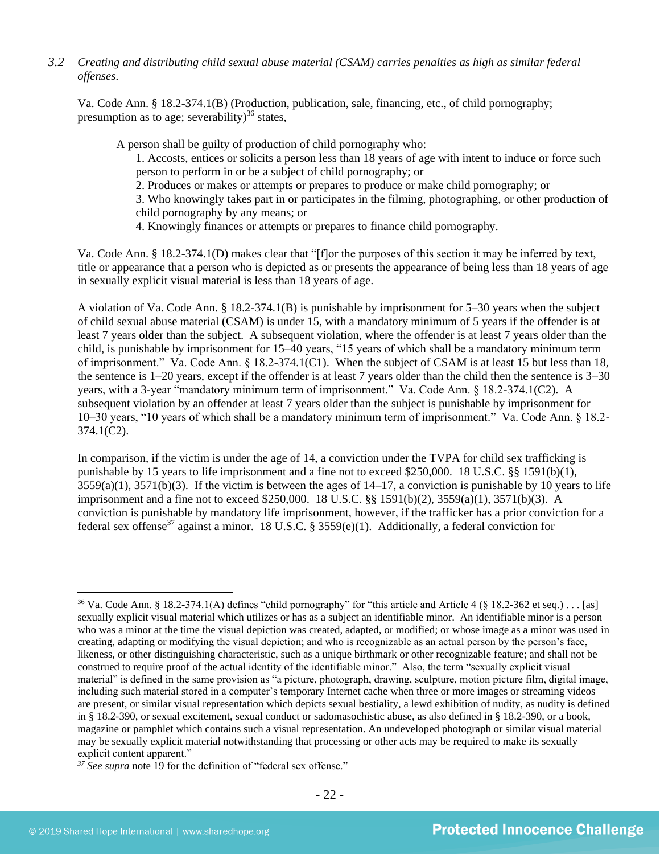*3.2 Creating and distributing child sexual abuse material (CSAM) carries penalties as high as similar federal offenses*.

Va. Code Ann. § 18.2-374.1(B) (Production, publication, sale, financing, etc., of child pornography; presumption as to age; severability)<sup>36</sup> states,

A person shall be guilty of production of child pornography who:

<span id="page-21-0"></span>1. Accosts, entices or solicits a person less than 18 years of age with intent to induce or force such person to perform in or be a subject of child pornography; or

2. Produces or makes or attempts or prepares to produce or make child pornography; or

3. Who knowingly takes part in or participates in the filming, photographing, or other production of child pornography by any means; or

4. Knowingly finances or attempts or prepares to finance child pornography.

Va. Code Ann. § 18.2-374.1(D) makes clear that "[f]or the purposes of this section it may be inferred by text, title or appearance that a person who is depicted as or presents the appearance of being less than 18 years of age in sexually explicit visual material is less than 18 years of age.

A violation of Va. Code Ann. § 18.2-374.1(B) is punishable by imprisonment for 5–30 years when the subject of child sexual abuse material (CSAM) is under 15, with a mandatory minimum of 5 years if the offender is at least 7 years older than the subject. A subsequent violation, where the offender is at least 7 years older than the child, is punishable by imprisonment for 15–40 years, "15 years of which shall be a mandatory minimum term of imprisonment." Va. Code Ann. § 18.2-374.1(C1). When the subject of CSAM is at least 15 but less than 18, the sentence is 1–20 years, except if the offender is at least 7 years older than the child then the sentence is 3–30 years, with a 3-year "mandatory minimum term of imprisonment." Va. Code Ann. § 18.2-374.1(C2). A subsequent violation by an offender at least 7 years older than the subject is punishable by imprisonment for 10–30 years, "10 years of which shall be a mandatory minimum term of imprisonment." Va. Code Ann. § 18.2- 374.1(C2).

In comparison, if the victim is under the age of 14, a conviction under the TVPA for child sex trafficking is punishable by 15 years to life imprisonment and a fine not to exceed \$250,000. 18 U.S.C. §§ 1591(b)(1),  $3559(a)(1)$ ,  $3571(b)(3)$ . If the victim is between the ages of  $14-17$ , a conviction is punishable by 10 years to life imprisonment and a fine not to exceed \$250,000. 18 U.S.C. §§ 1591(b)(2), 3559(a)(1), 3571(b)(3). A conviction is punishable by mandatory life imprisonment, however, if the trafficker has a prior conviction for a federal sex offense<sup>37</sup> against a minor. 18 U.S.C. § 3559(e)(1). Additionally, a federal conviction for

<sup>&</sup>lt;sup>36</sup> Va. Code Ann. § 18.2-374.1(A) defines "child pornography" for "this article and Article 4 (§ 18.2-362 et seq.) . . . [as] sexually explicit visual material which utilizes or has as a subject an identifiable minor. An identifiable minor is a person who was a minor at the time the visual depiction was created, adapted, or modified; or whose image as a minor was used in creating, adapting or modifying the visual depiction; and who is recognizable as an actual person by the person's face, likeness, or other distinguishing characteristic, such as a unique birthmark or other recognizable feature; and shall not be construed to require proof of the actual identity of the identifiable minor." Also, the term "sexually explicit visual material" is defined in the same provision as "a picture, photograph, drawing, sculpture, motion picture film, digital image, including such material stored in a computer's temporary Internet cache when three or more images or streaming videos are present, or similar visual representation which depicts sexual bestiality, a lewd exhibition of nudity, as nudity is defined in § 18.2-390, or sexual excitement, sexual conduct or sadomasochistic abuse, as also defined in § 18.2-390, or a book, magazine or pamphlet which contains such a visual representation. An undeveloped photograph or similar visual material may be sexually explicit material notwithstanding that processing or other acts may be required to make its sexually explicit content apparent."

<sup>&</sup>lt;sup>37</sup> See supra note [19](#page-11-1) for the definition of "federal sex offense."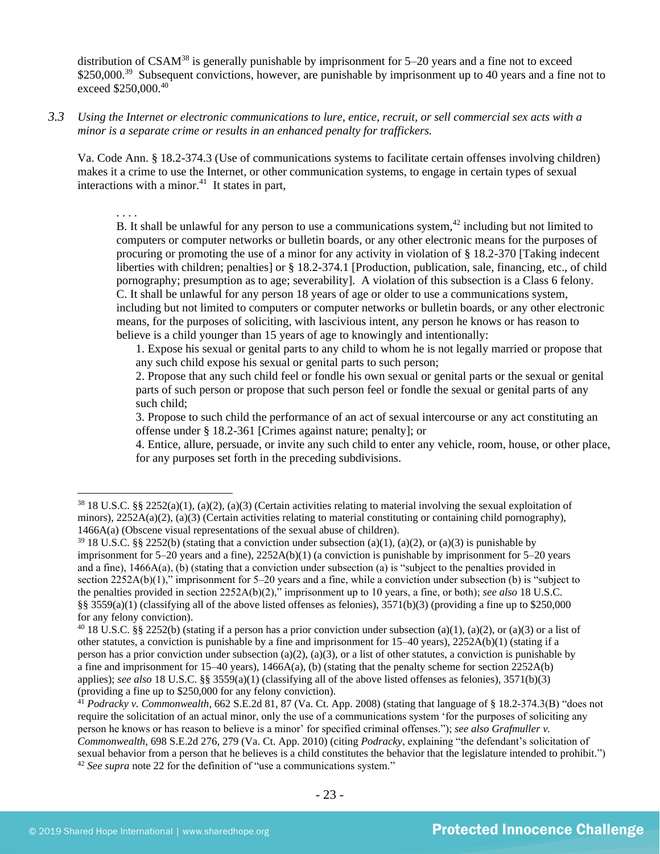distribution of  $CSAM^{38}$  is generally punishable by imprisonment for  $5-20$  years and a fine not to exceed \$250,000.<sup>39</sup> Subsequent convictions, however, are punishable by imprisonment up to 40 years and a fine not to exceed \$250,000.<sup>40</sup>

*3.3 Using the Internet or electronic communications to lure, entice, recruit, or sell commercial sex acts with a minor is a separate crime or results in an enhanced penalty for traffickers.*

Va. Code Ann. § 18.2-374.3 (Use of communications systems to facilitate certain offenses involving children) makes it a crime to use the Internet, or other communication systems, to engage in certain types of sexual interactions with a minor. $41$  It states in part,

. . . .

B. It shall be unlawful for any person to use a communications system,  $42$  including but not limited to computers or computer networks or bulletin boards, or any other electronic means for the purposes of procuring or promoting the use of a minor for any activity in violation of § 18.2-370 [Taking indecent liberties with children; penalties] or § 18.2-374.1 [Production, publication, sale, financing, etc., of child pornography; presumption as to age; severability]. A violation of this subsection is a Class 6 felony. C. It shall be unlawful for any person 18 years of age or older to use a communications system, including but not limited to computers or computer networks or bulletin boards, or any other electronic means, for the purposes of soliciting, with lascivious intent, any person he knows or has reason to believe is a child younger than 15 years of age to knowingly and intentionally:

1. Expose his sexual or genital parts to any child to whom he is not legally married or propose that any such child expose his sexual or genital parts to such person;

2. Propose that any such child feel or fondle his own sexual or genital parts or the sexual or genital parts of such person or propose that such person feel or fondle the sexual or genital parts of any such child;

3. Propose to such child the performance of an act of sexual intercourse or any act constituting an offense under § 18.2-361 [Crimes against nature; penalty]; or

4. Entice, allure, persuade, or invite any such child to enter any vehicle, room, house, or other place, for any purposes set forth in the preceding subdivisions.

<sup>38</sup> 18 U.S.C. §§ 2252(a)(1), (a)(2), (a)(3) (Certain activities relating to material involving the sexual exploitation of minors), 2252A(a)(2), (a)(3) (Certain activities relating to material constituting or containing child pornography), 1466A(a) (Obscene visual representations of the sexual abuse of children).

<sup>&</sup>lt;sup>39</sup> 18 U.S.C. §§ 2252(b) (stating that a conviction under subsection (a)(1), (a)(2), or (a)(3) is punishable by imprisonment for 5–20 years and a fine), 2252A(b)(1) (a conviction is punishable by imprisonment for 5–20 years and a fine), 1466A(a), (b) (stating that a conviction under subsection (a) is "subject to the penalties provided in section 2252A(b)(1)," imprisonment for 5–20 years and a fine, while a conviction under subsection (b) is "subject to the penalties provided in section 2252A(b)(2)," imprisonment up to 10 years, a fine, or both); *see also* 18 U.S.C. §§ 3559(a)(1) (classifying all of the above listed offenses as felonies), 3571(b)(3) (providing a fine up to \$250,000 for any felony conviction).

<sup>&</sup>lt;sup>40</sup> 18 U.S.C. §§ 2252(b) (stating if a person has a prior conviction under subsection (a)(1), (a)(2), or (a)(3) or a list of other statutes, a conviction is punishable by a fine and imprisonment for  $15-40$  years),  $2252A(b)(1)$  (stating if a person has a prior conviction under subsection (a)(2), (a)(3), or a list of other statutes, a conviction is punishable by a fine and imprisonment for 15–40 years),  $1466A(a)$ , (b) (stating that the penalty scheme for section 2252A(b) applies); *see also* 18 U.S.C. §§ 3559(a)(1) (classifying all of the above listed offenses as felonies), 3571(b)(3) (providing a fine up to \$250,000 for any felony conviction).

<sup>41</sup> *Podracky v. Commonwealth*, 662 S.E.2d 81, 87 (Va. Ct. App. 2008) (stating that language of § 18.2-374.3(B) "does not require the solicitation of an actual minor, only the use of a communications system 'for the purposes of soliciting any person he knows or has reason to believe is a minor' for specified criminal offenses."); *see also Grafmuller v. Commonwealth*, 698 S.E.2d 276, 279 (Va. Ct. App. 2010) (citing *Podracky*, explaining "the defendant's solicitation of sexual behavior from a person that he believes is a child constitutes the behavior that the legislature intended to prohibit.") <sup>42</sup> *See supra* note [22](#page-12-0) for the definition of "use a communications system."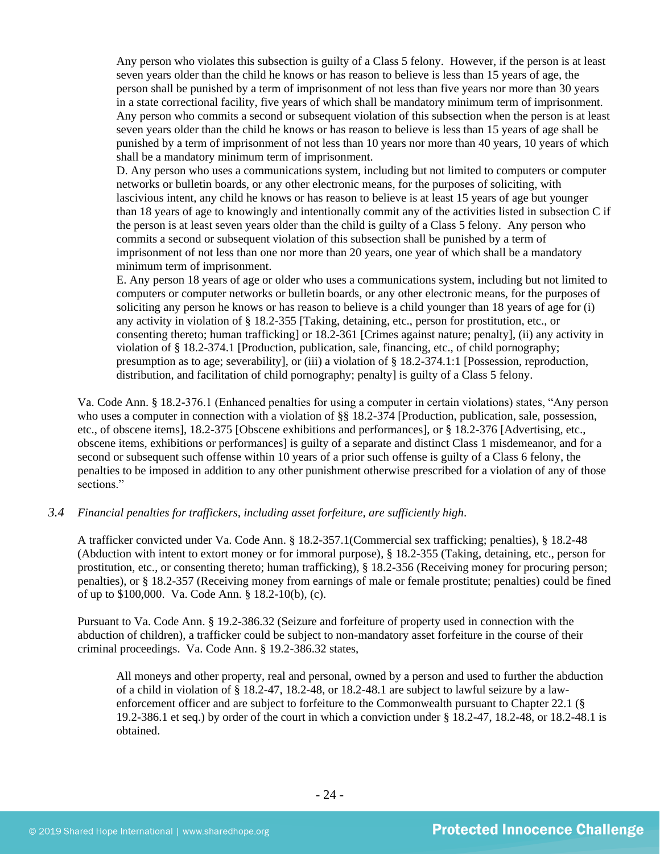Any person who violates this subsection is guilty of a Class 5 felony. However, if the person is at least seven years older than the child he knows or has reason to believe is less than 15 years of age, the person shall be punished by a term of imprisonment of not less than five years nor more than 30 years in a state correctional facility, five years of which shall be mandatory minimum term of imprisonment. Any person who commits a second or subsequent violation of this subsection when the person is at least seven years older than the child he knows or has reason to believe is less than 15 years of age shall be punished by a term of imprisonment of not less than 10 years nor more than 40 years, 10 years of which shall be a mandatory minimum term of imprisonment.

D. Any person who uses a communications system, including but not limited to computers or computer networks or bulletin boards, or any other electronic means, for the purposes of soliciting, with lascivious intent, any child he knows or has reason to believe is at least 15 years of age but younger than 18 years of age to knowingly and intentionally commit any of the activities listed in subsection C if the person is at least seven years older than the child is guilty of a Class 5 felony. Any person who commits a second or subsequent violation of this subsection shall be punished by a term of imprisonment of not less than one nor more than 20 years, one year of which shall be a mandatory minimum term of imprisonment.

E. Any person 18 years of age or older who uses a communications system, including but not limited to computers or computer networks or bulletin boards, or any other electronic means, for the purposes of soliciting any person he knows or has reason to believe is a child younger than 18 years of age for (i) any activity in violation of § 18.2-355 [Taking, detaining, etc., person for prostitution, etc., or consenting thereto; human trafficking] or 18.2-361 [Crimes against nature; penalty], (ii) any activity in violation of § 18.2-374.1 [Production, publication, sale, financing, etc., of child pornography; presumption as to age; severability], or (iii) a violation of § 18.2-374.1:1 [Possession, reproduction, distribution, and facilitation of child pornography; penalty] is guilty of a Class 5 felony.

Va. Code Ann. § 18.2-376.1 (Enhanced penalties for using a computer in certain violations) states, "Any person who uses a computer in connection with a violation of §§ 18.2-374 [Production, publication, sale, possession, etc., of obscene items], 18.2-375 [Obscene exhibitions and performances], or § 18.2-376 [Advertising, etc., obscene items, exhibitions or performances] is guilty of a separate and distinct Class 1 misdemeanor, and for a second or subsequent such offense within 10 years of a prior such offense is guilty of a Class 6 felony, the penalties to be imposed in addition to any other punishment otherwise prescribed for a violation of any of those sections."

# *3.4 Financial penalties for traffickers, including asset forfeiture, are sufficiently high*.

A trafficker convicted under Va. Code Ann. § 18.2-357.1(Commercial sex trafficking; penalties), § 18.2-48 (Abduction with intent to extort money or for immoral purpose), § 18.2-355 (Taking, detaining, etc., person for prostitution, etc., or consenting thereto; human trafficking), § 18.2-356 (Receiving money for procuring person; penalties), or § 18.2-357 (Receiving money from earnings of male or female prostitute; penalties) could be fined of up to \$100,000. Va. Code Ann. § 18.2-10(b), (c).

Pursuant to Va. Code Ann. § 19.2-386.32 (Seizure and forfeiture of property used in connection with the abduction of children), a trafficker could be subject to non-mandatory asset forfeiture in the course of their criminal proceedings. Va. Code Ann. § 19.2-386.32 states,

All moneys and other property, real and personal, owned by a person and used to further the abduction of a child in violation of § 18.2-47, 18.2-48, or 18.2-48.1 are subject to lawful seizure by a lawenforcement officer and are subject to forfeiture to the Commonwealth pursuant to Chapter 22.1 (§ 19.2-386.1 et seq.) by order of the court in which a conviction under § 18.2-47, 18.2-48, or 18.2-48.1 is obtained.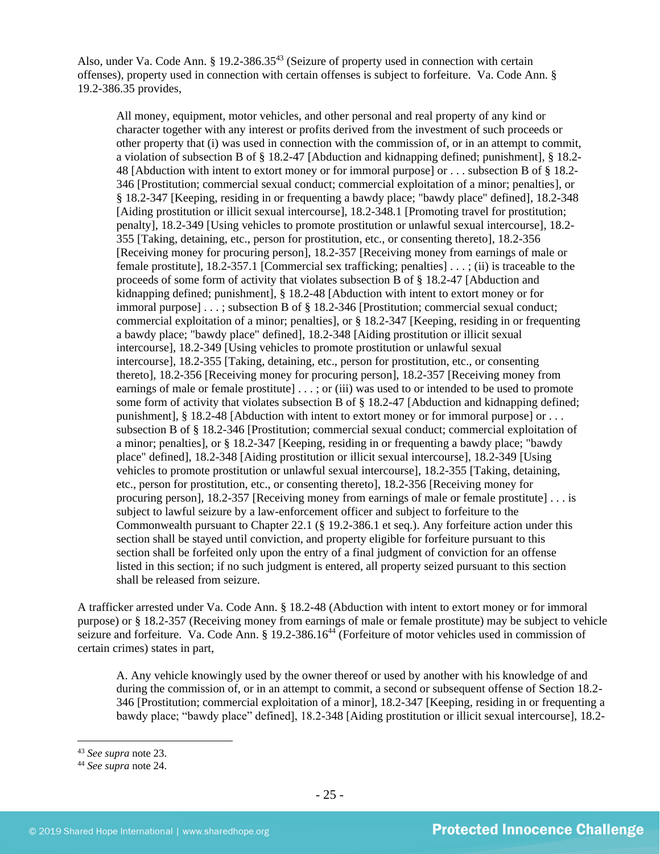Also, under Va. Code Ann.  $\S$  19.2-386.35<sup>43</sup> (Seizure of property used in connection with certain offenses), property used in connection with certain offenses is subject to forfeiture. Va. Code Ann. § 19.2-386.35 provides,

All money, equipment, motor vehicles, and other personal and real property of any kind or character together with any interest or profits derived from the investment of such proceeds or other property that (i) was used in connection with the commission of, or in an attempt to commit, a violation of subsection B of § 18.2-47 [Abduction and kidnapping defined; punishment], § 18.2- 48 [Abduction with intent to extort money or for immoral purpose] or . . . subsection B of § 18.2- 346 [Prostitution; commercial sexual conduct; commercial exploitation of a minor; penalties], or § 18.2-347 [Keeping, residing in or frequenting a bawdy place; "bawdy place" defined], [18.2-348](http://lis.virginia.gov/cgi-bin/legp604.exe?000+cod+18.2-348) [Aiding prostitution or illicit sexual intercourse], 18.2-348.1 [Promoting travel for prostitution; penalty], 18.2-349 [Using vehicles to promote prostitution or unlawful sexual intercourse], 18.2- 355 [Taking, detaining, etc., person for prostitution, etc., or consenting thereto], 18.2-356 [Receiving money for procuring person], 18.2-357 [Receiving money from earnings of male or female prostitute], 18.2-357.1 [Commercial sex trafficking; penalties] . . . ; (ii) is traceable to the proceeds of some form of activity that violates subsection B of § 18.2-47 [Abduction and kidnapping defined; punishment], § 18.2-48 [Abduction with intent to extort money or for immoral purpose] . . . ; subsection B of § 18.2-346 [Prostitution; commercial sexual conduct; commercial exploitation of a minor; penalties], or § 18.2-347 [Keeping, residing in or frequenting a bawdy place; "bawdy place" defined], 18.2-348 [Aiding prostitution or illicit sexual intercourse], 18.2-349 [Using vehicles to promote prostitution or unlawful sexual intercourse], 18.2-355 [Taking, detaining, etc., person for prostitution, etc., or consenting thereto], 18.2-356 [Receiving money for procuring person], [18.2-357](http://lis.virginia.gov/cgi-bin/legp604.exe?000+cod+18.2-357) [Receiving money from earnings of male or female prostitute  $] \ldots$ ; or (iii) was used to or intended to be used to promote some form of activity that violates subsection B of § 18.2-47 [Abduction and kidnapping defined; punishment],  $\S 18.2-48$  [Abduction with intent to extort money or for immoral purpose] or ... subsection B of § 18.2-346 [Prostitution; commercial sexual conduct; commercial exploitation of a minor; penalties], or § 18.2-347 [Keeping, residing in or frequenting a bawdy place; "bawdy place" defined], 18.2-348 [Aiding prostitution or illicit sexual intercourse], 18.2-349 [Using vehicles to promote prostitution or unlawful sexual intercourse], 18.2-355 [Taking, detaining, etc., person for prostitution, etc., or consenting thereto], 18.2-356 [Receiving money for procuring person], 18.2-357 [Receiving money from earnings of male or female prostitute] . . . is subject to lawful seizure by a law-enforcement officer and subject to forfeiture to the Commonwealth pursuant to Chapter 22.1 (§ 19.2-386.1 et seq.). Any forfeiture action under this section shall be stayed until conviction, and property eligible for forfeiture pursuant to this section shall be forfeited only upon the entry of a final judgment of conviction for an offense listed in this section; if no such judgment is entered, all property seized pursuant to this section shall be released from seizure.

A trafficker arrested under Va. Code Ann. § 18.2-48 (Abduction with intent to extort money or for immoral purpose) or § 18.2-357 (Receiving money from earnings of male or female prostitute) may be subject to vehicle seizure and forfeiture. Va. Code Ann. § 19.2-386.16<sup>44</sup> (Forfeiture of motor vehicles used in commission of certain crimes) states in part,

A. Any vehicle knowingly used by the owner thereof or used by another with his knowledge of and during the commission of, or in an attempt to commit, a second or subsequent offense of Section 18.2- 346 [Prostitution; commercial exploitation of a minor], 18.2-347 [Keeping, residing in or frequenting a bawdy place; "bawdy place" defined], 18.2-348 [Aiding prostitution or illicit sexual intercourse], 18.2-

<sup>43</sup> *See supra* note [23.](#page-14-0)

<sup>44</sup> *See supra* note [24.](#page-15-0)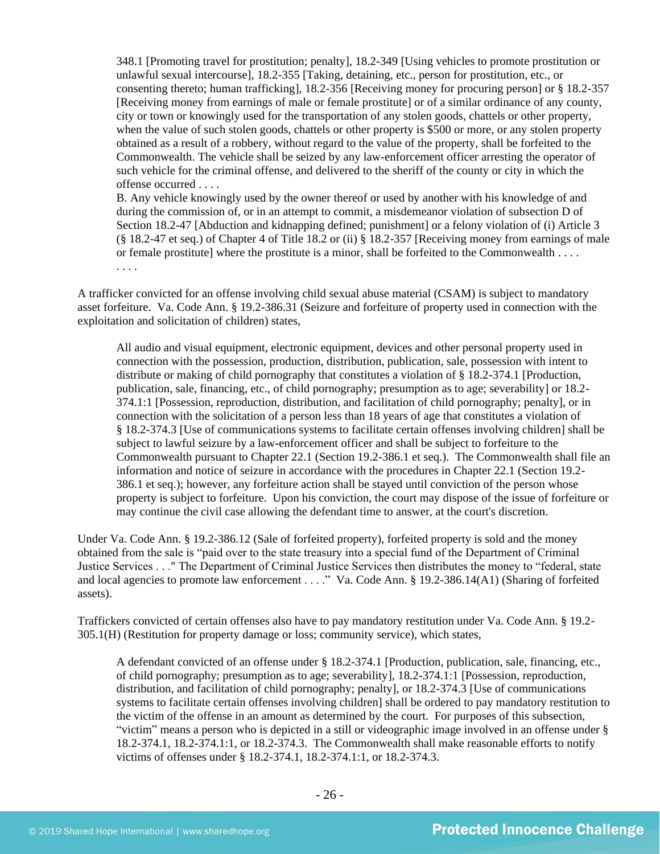348.1 [Promoting travel for prostitution; penalty], 18.2-349 [Using vehicles to promote prostitution or unlawful sexual intercourse], 18.2-355 [Taking, detaining, etc., person for prostitution, etc., or consenting thereto; human trafficking], 18.2-356 [Receiving money for procuring person] or § 18.2-357 [Receiving money from earnings of male or female prostitute] or of a similar ordinance of any county, city or town or knowingly used for the transportation of any stolen goods, chattels or other property, when the value of such stolen goods, chattels or other property is \$500 or more, or any stolen property obtained as a result of a robbery, without regard to the value of the property, shall be forfeited to the Commonwealth. The vehicle shall be seized by any law-enforcement officer arresting the operator of such vehicle for the criminal offense, and delivered to the sheriff of the county or city in which the offense occurred . . . .

B. Any vehicle knowingly used by the owner thereof or used by another with his knowledge of and during the commission of, or in an attempt to commit, a misdemeanor violation of subsection D of Section 18.2-47 [Abduction and kidnapping defined; punishment] or a felony violation of (i) Article 3 (§ 18.2-47 et seq.) of Chapter 4 of Title 18.2 or (ii) § 18.2-357 [Receiving money from earnings of male or female prostitute] where the prostitute is a minor, shall be forfeited to the Commonwealth . . . . . . . .

A trafficker convicted for an offense involving child sexual abuse material (CSAM) is subject to mandatory asset forfeiture. Va. Code Ann. § 19.2-386.31 (Seizure and forfeiture of property used in connection with the exploitation and solicitation of children) states,

All audio and visual equipment, electronic equipment, devices and other personal property used in connection with the possession, production, distribution, publication, sale, possession with intent to distribute or making of child pornography that constitutes a violation of § 18.2-374.1 [Production, publication, sale, financing, etc., of child pornography; presumption as to age; severability] or 18.2- 374.1:1 [Possession, reproduction, distribution, and facilitation of child pornography; penalty], or in connection with the solicitation of a person less than 18 years of age that constitutes a violation of § 18.2-374.3 [Use of communications systems to facilitate certain offenses involving children] shall be subject to lawful seizure by a law-enforcement officer and shall be subject to forfeiture to the Commonwealth pursuant to Chapter 22.1 (Section 19.2-386.1 et seq.). The Commonwealth shall file an information and notice of seizure in accordance with the procedures in Chapter 22.1 (Section 19.2- 386.1 et seq.); however, any forfeiture action shall be stayed until conviction of the person whose property is subject to forfeiture. Upon his conviction, the court may dispose of the issue of forfeiture or may continue the civil case allowing the defendant time to answer, at the court's discretion.

Under Va. Code Ann. § 19.2-386.12 (Sale of forfeited property), forfeited property is sold and the money obtained from the sale is "paid over to the state treasury into a special fund of the Department of Criminal Justice Services . . ." The Department of Criminal Justice Services then distributes the money to "federal, state and local agencies to promote law enforcement . . . ." Va. Code Ann. § 19.2-386.14(A1) (Sharing of forfeited assets).

Traffickers convicted of certain offenses also have to pay mandatory restitution under Va. Code Ann. § 19.2- 305.1(H) (Restitution for property damage or loss; community service), which states,

A defendant convicted of an offense under § 18.2-374.1 [Production, publication, sale, financing, etc., of child pornography; presumption as to age; severability], 18.2-374.1:1 [Possession, reproduction, distribution, and facilitation of child pornography; penalty], or 18.2-374.3 [Use of communications systems to facilitate certain offenses involving children] shall be ordered to pay mandatory restitution to the victim of the offense in an amount as determined by the court. For purposes of this subsection, "victim" means a person who is depicted in a still or videographic image involved in an offense under § 18.2-374.1, 18.2-374.1:1, or 18.2-374.3. The Commonwealth shall make reasonable efforts to notify victims of offenses under § 18.2-374.1, 18.2-374.1:1, or 18.2-374.3.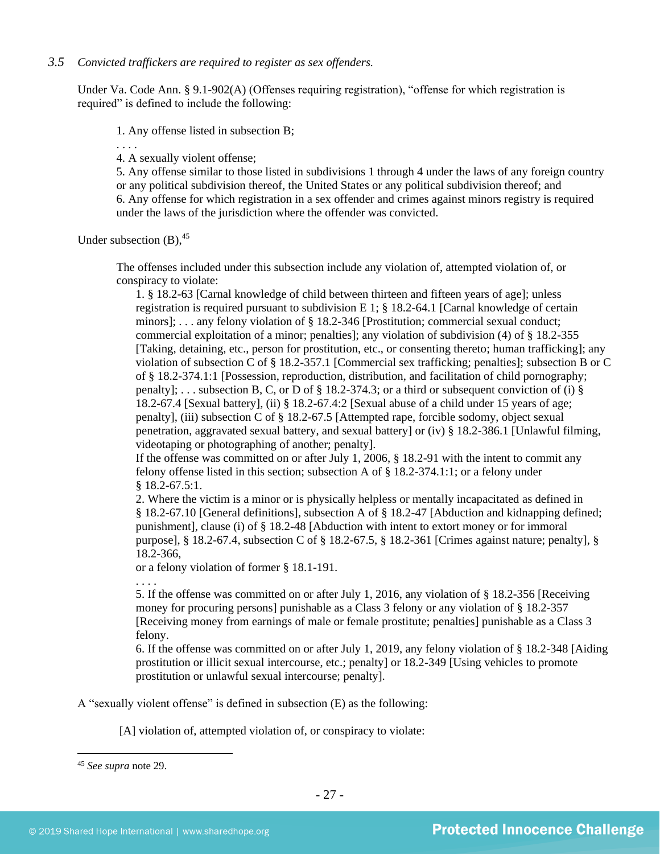## *3.5 Convicted traffickers are required to register as sex offenders.*

Under Va. Code Ann. § 9.1-902(A) (Offenses requiring registration), "offense for which registration is required" is defined to include the following:

1. Any offense listed in subsection B;

. . . .

4. A sexually violent offense;

5. Any offense similar to those listed in subdivisions 1 through 4 under the laws of any foreign country or any political subdivision thereof, the United States or any political subdivision thereof; and 6. Any offense for which registration in a sex offender and crimes against minors registry is required under the laws of the jurisdiction where the offender was convicted.

Under subsection  $(B)$ ,  $45$ 

The offenses included under this subsection include any violation of, attempted violation of, or conspiracy to violate:

1. § 18.2-63 [Carnal knowledge of child between thirteen and fifteen years of age]; unless registration is required pursuant to subdivision E 1; § 18.2-64.1 [Carnal knowledge of certain minors]; . . . any felony violation of § 18.2-346 [Prostitution; commercial sexual conduct; commercial exploitation of a minor; penalties]; any violation of subdivision (4) of § 18.2-355 [Taking, detaining, etc., person for prostitution, etc., or consenting thereto; human trafficking]; any violation of subsection C of § 18.2-357.1 [Commercial sex trafficking; penalties]; subsection B or C of § 18.2-374.1:1 [Possession, reproduction, distribution, and facilitation of child pornography; penalty]; ... subsection B, C, or D of  $\S$  18.2-374.3; or a third or subsequent conviction of (i)  $\S$ 18.2-67.4 [Sexual battery], (ii) § 18.2-67.4:2 [Sexual abuse of a child under 15 years of age; penalty], (iii) subsection C of § 18.2-67.5 [Attempted rape, forcible sodomy, object sexual penetration, aggravated sexual battery, and sexual battery] or (iv) § 18.2-386.1 [Unlawful filming, videotaping or photographing of another; penalty].

If the offense was committed on or after July 1, 2006, § 18.2-91 with the intent to commit any felony offense listed in this section; subsection A of  $\S 18.2-374.1:1$ ; or a felony under § 18.2-67.5:1.

2. Where the victim is a minor or is physically helpless or mentally incapacitated as defined in § 18.2-67.10 [General definitions], subsection A of § 18.2-47 [Abduction and kidnapping defined; punishment], clause (i) of § 18.2-48 [Abduction with intent to extort money or for immoral purpose], § 18.2-67.4, subsection C of § 18.2-67.5, § 18.2-361 [Crimes against nature; penalty], § 18.2-366,

or a felony violation of former § 18.1-191.

. . . .

5. If the offense was committed on or after July 1, 2016, any violation of § 18.2-356 [Receiving money for procuring persons] punishable as a Class 3 felony or any violation of § 18.2-357 [Receiving money from earnings of male or female prostitute; penalties] punishable as a Class 3 felony.

6. If the offense was committed on or after July 1, 2019, any felony violation of § 18.2-348 [Aiding prostitution or illicit sexual intercourse, etc.; penalty] or 18.2-349 [Using vehicles to promote prostitution or unlawful sexual intercourse; penalty].

A "sexually violent offense" is defined in subsection (E) as the following:

[A] violation of, attempted violation of, or conspiracy to violate:

<sup>45</sup> *See supra* note [29.](#page-17-0)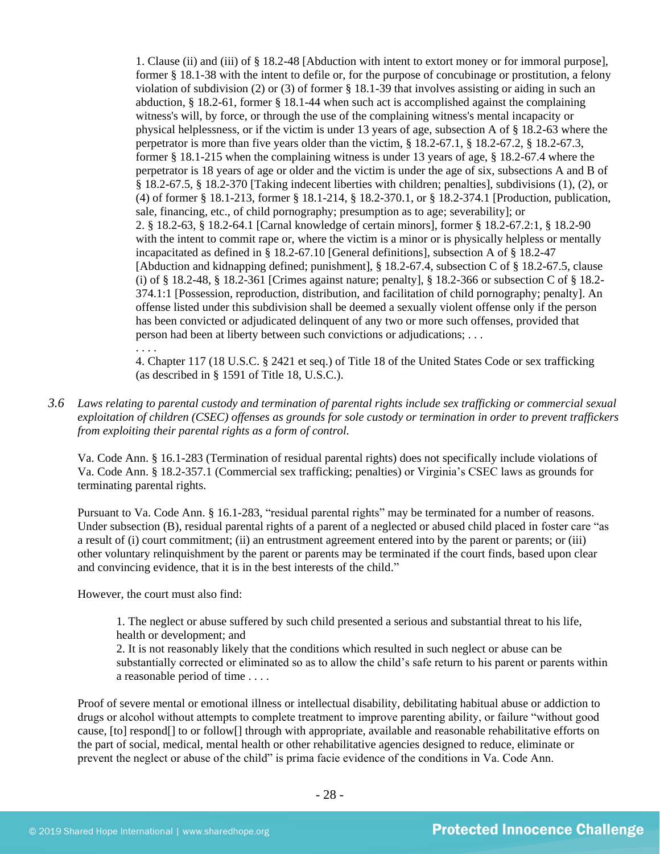1. Clause (ii) and (iii) of § 18.2-48 [Abduction with intent to extort money or for immoral purpose], former § 18.1-38 with the intent to defile or, for the purpose of concubinage or prostitution, a felony violation of subdivision (2) or (3) of former § 18.1-39 that involves assisting or aiding in such an abduction, § 18.2-61, former § 18.1-44 when such act is accomplished against the complaining witness's will, by force, or through the use of the complaining witness's mental incapacity or physical helplessness, or if the victim is under 13 years of age, subsection A of § 18.2-63 where the perpetrator is more than five years older than the victim, § 18.2-67.1, § 18.2-67.2, § 18.2-67.3, former § 18.1-215 when the complaining witness is under 13 years of age, § 18.2-67.4 where the perpetrator is 18 years of age or older and the victim is under the age of six, subsections A and B of § 18.2-67.5, § 18.2-370 [Taking indecent liberties with children; penalties], subdivisions (1), (2), or (4) of former § 18.1-213, former § 18.1-214, § 18.2-370.1, or § 18.2-374.1 [Production, publication, sale, financing, etc., of child pornography; presumption as to age; severability]; or 2. § 18.2-63, § 18.2-64.1 [Carnal knowledge of certain minors], former § 18.2-67.2:1, § 18.2-90 with the intent to commit rape or, where the victim is a minor or is physically helpless or mentally incapacitated as defined in § 18.2-67.10 [General definitions], subsection A of § 18.2-47 [Abduction and kidnapping defined; punishment], § 18.2-67.4, subsection C of § 18.2-67.5, clause (i) of § 18.2-48, § 18.2-361 [Crimes against nature; penalty], § 18.2-366 or subsection C of § 18.2- 374.1:1 [Possession, reproduction, distribution, and facilitation of child pornography; penalty]. An offense listed under this subdivision shall be deemed a sexually violent offense only if the person has been convicted or adjudicated delinquent of any two or more such offenses, provided that person had been at liberty between such convictions or adjudications; . . . . . . .

4. Chapter 117 (18 U.S.C. § 2421 et seq.) of Title 18 of the United States Code or sex trafficking (as described in § 1591 of Title 18, U.S.C.).

*3.6 Laws relating to parental custody and termination of parental rights include sex trafficking or commercial sexual exploitation of children (CSEC) offenses as grounds for sole custody or termination in order to prevent traffickers from exploiting their parental rights as a form of control.* 

Va. Code Ann. § 16.1-283 (Termination of residual parental rights) does not specifically include violations of Va. Code Ann. § 18.2-357.1 (Commercial sex trafficking; penalties) or Virginia's CSEC laws as grounds for terminating parental rights.

Pursuant to Va. Code Ann. § 16.1-283, "residual parental rights" may be terminated for a number of reasons. Under subsection (B), residual parental rights of a parent of a neglected or abused child placed in foster care "as a result of (i) court commitment; (ii) an entrustment agreement entered into by the parent or parents; or (iii) other voluntary relinquishment by the parent or parents may be terminated if the court finds, based upon clear and convincing evidence, that it is in the best interests of the child."

However, the court must also find:

1. The neglect or abuse suffered by such child presented a serious and substantial threat to his life, health or development; and

2. It is not reasonably likely that the conditions which resulted in such neglect or abuse can be substantially corrected or eliminated so as to allow the child's safe return to his parent or parents within a reasonable period of time . . . .

Proof of severe mental or emotional illness or intellectual disability, debilitating habitual abuse or addiction to drugs or alcohol without attempts to complete treatment to improve parenting ability, or failure "without good cause, [to] respond[] to or follow[] through with appropriate, available and reasonable rehabilitative efforts on the part of social, medical, mental health or other rehabilitative agencies designed to reduce, eliminate or prevent the neglect or abuse of the child" is prima facie evidence of the conditions in Va. Code Ann.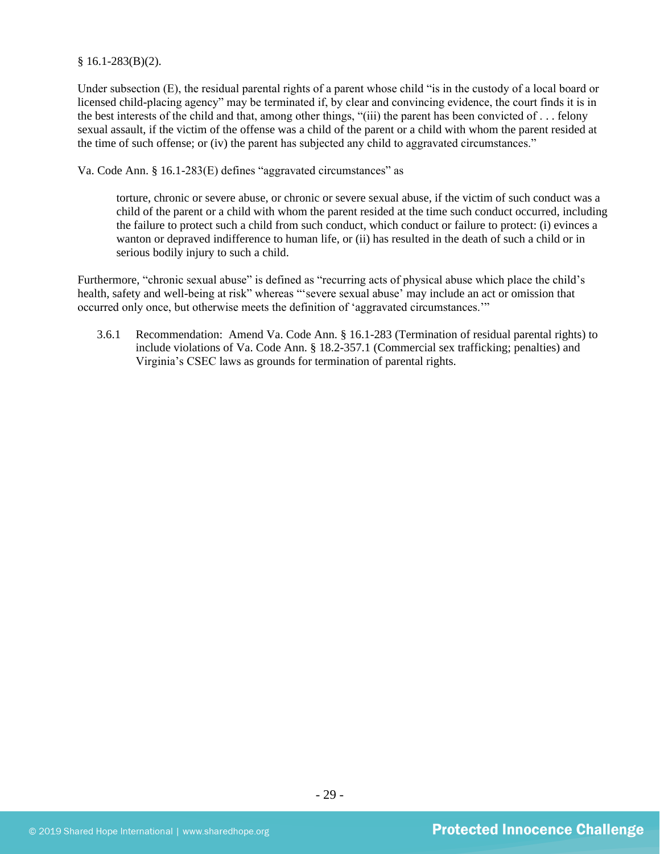#### $§ 16.1-283(B)(2).$

Under subsection (E), the residual parental rights of a parent whose child "is in the custody of a local board or licensed child-placing agency" may be terminated if, by clear and convincing evidence, the court finds it is in the best interests of the child and that, among other things, "(iii) the parent has been convicted of . . . felony sexual assault, if the victim of the offense was a child of the parent or a child with whom the parent resided at the time of such offense; or (iv) the parent has subjected any child to aggravated circumstances."

Va. Code Ann. § 16.1-283(E) defines "aggravated circumstances" as

torture, chronic or severe abuse, or chronic or severe sexual abuse, if the victim of such conduct was a child of the parent or a child with whom the parent resided at the time such conduct occurred, including the failure to protect such a child from such conduct, which conduct or failure to protect: (i) evinces a wanton or depraved indifference to human life, or (ii) has resulted in the death of such a child or in serious bodily injury to such a child.

Furthermore, "chronic sexual abuse" is defined as "recurring acts of physical abuse which place the child's health, safety and well-being at risk" whereas "'severe sexual abuse' may include an act or omission that occurred only once, but otherwise meets the definition of 'aggravated circumstances.'"

3.6.1 Recommendation: Amend Va. Code Ann. § 16.1-283 (Termination of residual parental rights) to include violations of Va. Code Ann. § 18.2-357.1 (Commercial sex trafficking; penalties) and Virginia's CSEC laws as grounds for termination of parental rights.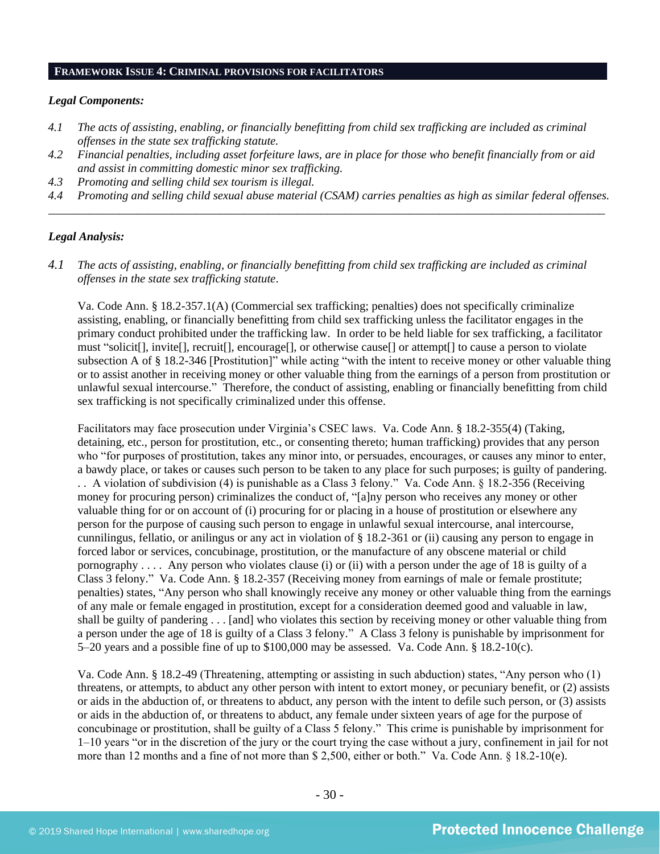#### **FRAMEWORK ISSUE 4: CRIMINAL PROVISIONS FOR FACILITATORS**

#### *Legal Components:*

- *4.1 The acts of assisting, enabling, or financially benefitting from child sex trafficking are included as criminal offenses in the state sex trafficking statute.*
- *4.2 Financial penalties, including asset forfeiture laws, are in place for those who benefit financially from or aid and assist in committing domestic minor sex trafficking.*
- *4.3 Promoting and selling child sex tourism is illegal.*
- *4.4 Promoting and selling child sexual abuse material (CSAM) carries penalties as high as similar federal offenses. \_\_\_\_\_\_\_\_\_\_\_\_\_\_\_\_\_\_\_\_\_\_\_\_\_\_\_\_\_\_\_\_\_\_\_\_\_\_\_\_\_\_\_\_\_\_\_\_\_\_\_\_\_\_\_\_\_\_\_\_\_\_\_\_\_\_\_\_\_\_\_\_\_\_\_\_\_\_\_\_\_\_\_\_\_\_\_\_\_\_\_\_\_\_*

#### *Legal Analysis:*

*4.1 The acts of assisting, enabling, or financially benefitting from child sex trafficking are included as criminal offenses in the state sex trafficking statute*.

Va. Code Ann. § 18.2-357.1(A) (Commercial sex trafficking; penalties) does not specifically criminalize assisting, enabling, or financially benefitting from child sex trafficking unless the facilitator engages in the primary conduct prohibited under the trafficking law. In order to be held liable for sex trafficking, a facilitator must "solicit[], invite[], recruit[], encourage[], or otherwise cause[] or attempt[] to cause a person to violate subsection A of § 18.2-346 [Prostitution]" while acting "with the intent to receive money or other valuable thing or to assist another in receiving money or other valuable thing from the earnings of a person from prostitution or unlawful sexual intercourse." Therefore, the conduct of assisting, enabling or financially benefitting from child sex trafficking is not specifically criminalized under this offense.

Facilitators may face prosecution under Virginia's CSEC laws. Va. Code Ann. § 18.2-355(4) (Taking, detaining, etc., person for prostitution, etc., or consenting thereto; human trafficking) provides that any person who "for purposes of prostitution, takes any minor into, or persuades, encourages, or causes any minor to enter, a bawdy place, or takes or causes such person to be taken to any place for such purposes; is guilty of pandering. . . A violation of subdivision (4) is punishable as a Class 3 felony." Va. Code Ann. § 18.2-356 (Receiving money for procuring person) criminalizes the conduct of, "[a]ny person who receives any money or other valuable thing for or on account of (i) procuring for or placing in a house of prostitution or elsewhere any person for the purpose of causing such person to engage in unlawful sexual intercourse, anal intercourse, cunnilingus, fellatio, or anilingus or any act in violation of § 18.2-361 or (ii) causing any person to engage in forced labor or services, concubinage, prostitution, or the manufacture of any obscene material or child pornography . . . . Any person who violates clause (i) or (ii) with a person under the age of 18 is guilty of a Class 3 felony." Va. Code Ann. § 18.2-357 (Receiving money from earnings of male or female prostitute; penalties) states, "Any person who shall knowingly receive any money or other valuable thing from the earnings of any male or female engaged in prostitution, except for a consideration deemed good and valuable in law, shall be guilty of pandering . . . [and] who violates this section by receiving money or other valuable thing from a person under the age of 18 is guilty of a Class 3 felony." A Class 3 felony is punishable by imprisonment for 5–20 years and a possible fine of up to \$100,000 may be assessed. Va. Code Ann. § 18.2-10(c).

Va. Code Ann. § 18.2-49 (Threatening, attempting or assisting in such abduction) states, "Any person who (1) threatens, or attempts, to abduct any other person with intent to extort money, or pecuniary benefit, or (2) assists or aids in the abduction of, or threatens to abduct, any person with the intent to defile such person, or (3) assists or aids in the abduction of, or threatens to abduct, any female under sixteen years of age for the purpose of concubinage or prostitution, shall be guilty of a Class 5 felony." This crime is punishable by imprisonment for 1–10 years "or in the discretion of the jury or the court trying the case without a jury, confinement in jail for not more than 12 months and a fine of not more than \$ 2,500, either or both." Va. Code Ann. § 18.2-10(e).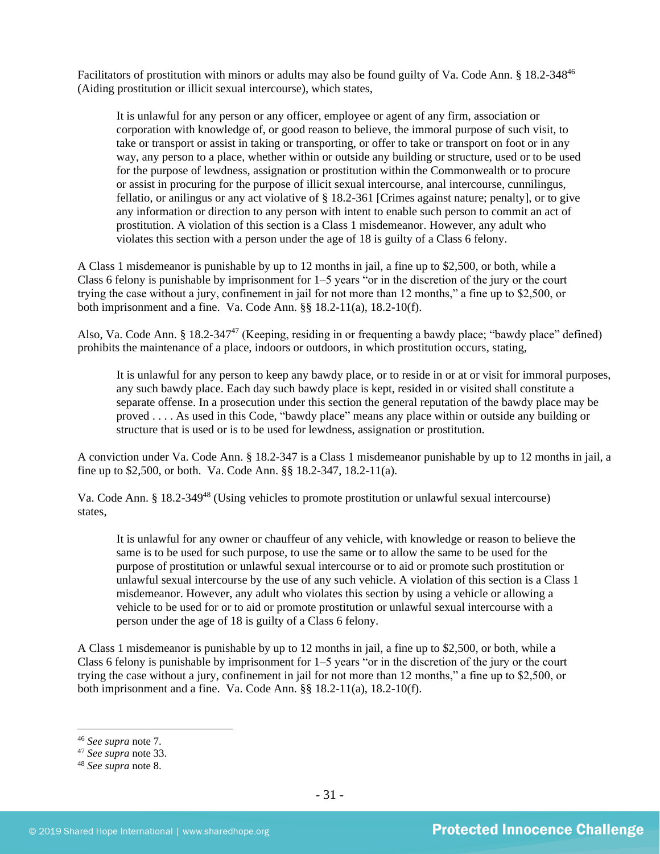Facilitators of prostitution with minors or adults may also be found guilty of Va. Code Ann. § 18.2-348<sup>46</sup> (Aiding prostitution or illicit sexual intercourse), which states,

It is unlawful for any person or any officer, employee or agent of any firm, association or corporation with knowledge of, or good reason to believe, the immoral purpose of such visit, to take or transport or assist in taking or transporting, or offer to take or transport on foot or in any way, any person to a place, whether within or outside any building or structure, used or to be used for the purpose of lewdness, assignation or prostitution within the Commonwealth or to procure or assist in procuring for the purpose of illicit sexual intercourse, anal intercourse, cunnilingus, fellatio, or anilingus or any act violative of § 18.2-361 [Crimes against nature; penalty], or to give any information or direction to any person with intent to enable such person to commit an act of prostitution. A violation of this section is a Class 1 misdemeanor. However, any adult who violates this section with a person under the age of 18 is guilty of a Class 6 felony.

A Class 1 misdemeanor is punishable by up to 12 months in jail, a fine up to \$2,500, or both, while a Class 6 felony is punishable by imprisonment for 1–5 years "or in the discretion of the jury or the court trying the case without a jury, confinement in jail for not more than 12 months," a fine up to \$2,500, or both imprisonment and a fine. Va. Code Ann. §§ 18.2-11(a), 18.2-10(f).

Also, Va. Code Ann. § 18.2-347<sup>47</sup> (Keeping, residing in or frequenting a bawdy place; "bawdy place" defined) prohibits the maintenance of a place, indoors or outdoors, in which prostitution occurs, stating,

It is unlawful for any person to keep any bawdy place, or to reside in or at or visit for immoral purposes, any such bawdy place. Each day such bawdy place is kept, resided in or visited shall constitute a separate offense. In a prosecution under this section the general reputation of the bawdy place may be proved . . . . As used in this Code, "bawdy place" means any place within or outside any building or structure that is used or is to be used for lewdness, assignation or prostitution.

A conviction under Va. Code Ann. § 18.2-347 is a Class 1 misdemeanor punishable by up to 12 months in jail, a fine up to \$2,500, or both. Va. Code Ann. §§ 18.2-347, 18.2-11(a).

Va. Code Ann. § 18.2-349<sup>48</sup> (Using vehicles to promote prostitution or unlawful sexual intercourse) states,

It is unlawful for any owner or chauffeur of any vehicle, with knowledge or reason to believe the same is to be used for such purpose, to use the same or to allow the same to be used for the purpose of prostitution or unlawful sexual intercourse or to aid or promote such prostitution or unlawful sexual intercourse by the use of any such vehicle. A violation of this section is a Class 1 misdemeanor. However, any adult who violates this section by using a vehicle or allowing a vehicle to be used for or to aid or promote prostitution or unlawful sexual intercourse with a person under the age of 18 is guilty of a Class 6 felony.

A Class 1 misdemeanor is punishable by up to 12 months in jail, a fine up to \$2,500, or both, while a Class 6 felony is punishable by imprisonment for 1–5 years "or in the discretion of the jury or the court trying the case without a jury, confinement in jail for not more than 12 months," a fine up to \$2,500, or both imprisonment and a fine. Va. Code Ann. §§ 18.2-11(a), 18.2-10(f).

<sup>46</sup> *See supra* note [7.](#page-3-0)

<sup>47</sup> *See supra* note [33.](#page-20-0)

<sup>48</sup> *See supra* note [8.](#page-4-0)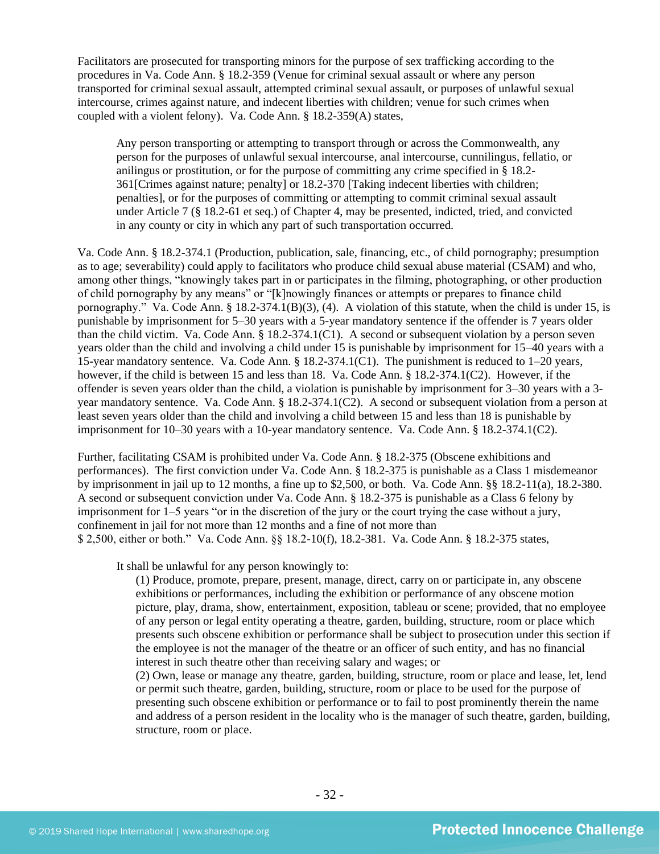Facilitators are prosecuted for transporting minors for the purpose of sex trafficking according to the procedures in Va. Code Ann. § 18.2-359 (Venue for criminal sexual assault or where any person transported for criminal sexual assault, attempted criminal sexual assault, or purposes of unlawful sexual intercourse, crimes against nature, and indecent liberties with children; venue for such crimes when coupled with a violent felony). Va. Code Ann. § 18.2-359(A) states,

Any person transporting or attempting to transport through or across the Commonwealth, any person for the purposes of unlawful sexual intercourse, anal intercourse, cunnilingus, fellatio, or anilingus or prostitution, or for the purpose of committing any crime specified in § 18.2- 361[Crimes against nature; penalty] or 18.2-370 [Taking indecent liberties with children; penalties], or for the purposes of committing or attempting to commit criminal sexual assault under Article 7 (§ 18.2-61 et seq.) of Chapter 4, may be presented, indicted, tried, and convicted in any county or city in which any part of such transportation occurred.

Va. Code Ann. § 18.2-374.1 (Production, publication, sale, financing, etc., of child pornography; presumption as to age; severability) could apply to facilitators who produce child sexual abuse material (CSAM) and who, among other things, "knowingly takes part in or participates in the filming, photographing, or other production of child pornography by any means" or "[k]nowingly finances or attempts or prepares to finance child pornography." Va. Code Ann. §  $18.2-374.1(B)(3)$ , (4). A violation of this statute, when the child is under 15, is punishable by imprisonment for 5–30 years with a 5-year mandatory sentence if the offender is 7 years older than the child victim. Va. Code Ann. § 18.2-374.1(C1). A second or subsequent violation by a person seven years older than the child and involving a child under 15 is punishable by imprisonment for 15–40 years with a 15-year mandatory sentence. Va. Code Ann. § 18.2-374.1(C1). The punishment is reduced to 1–20 years, however, if the child is between 15 and less than 18. Va. Code Ann. § 18.2-374.1(C2). However, if the offender is seven years older than the child, a violation is punishable by imprisonment for 3–30 years with a 3 year mandatory sentence. Va. Code Ann. § 18.2-374.1(C2). A second or subsequent violation from a person at least seven years older than the child and involving a child between 15 and less than 18 is punishable by imprisonment for 10–30 years with a 10-year mandatory sentence. Va. Code Ann. § 18.2-374.1(C2).

Further, facilitating CSAM is prohibited under Va. Code Ann. § 18.2-375 (Obscene exhibitions and performances). The first conviction under Va. Code Ann. § 18.2-375 is punishable as a Class 1 misdemeanor by imprisonment in jail up to 12 months, a fine up to \$2,500, or both. Va. Code Ann. §§ 18.2-11(a), 18.2-380. A second or subsequent conviction under Va. Code Ann. § 18.2-375 is punishable as a Class 6 felony by imprisonment for 1–5 years "or in the discretion of the jury or the court trying the case without a jury, confinement in jail for not more than 12 months and a fine of not more than \$ 2,500, either or both." Va. Code Ann. §§ 18.2-10(f), 18.2-381. Va. Code Ann. § 18.2-375 states,

It shall be unlawful for any person knowingly to:

(1) Produce, promote, prepare, present, manage, direct, carry on or participate in, any obscene exhibitions or performances, including the exhibition or performance of any obscene motion picture, play, drama, show, entertainment, exposition, tableau or scene; provided, that no employee of any person or legal entity operating a theatre, garden, building, structure, room or place which presents such obscene exhibition or performance shall be subject to prosecution under this section if the employee is not the manager of the theatre or an officer of such entity, and has no financial interest in such theatre other than receiving salary and wages; or

(2) Own, lease or manage any theatre, garden, building, structure, room or place and lease, let, lend or permit such theatre, garden, building, structure, room or place to be used for the purpose of presenting such obscene exhibition or performance or to fail to post prominently therein the name and address of a person resident in the locality who is the manager of such theatre, garden, building, structure, room or place.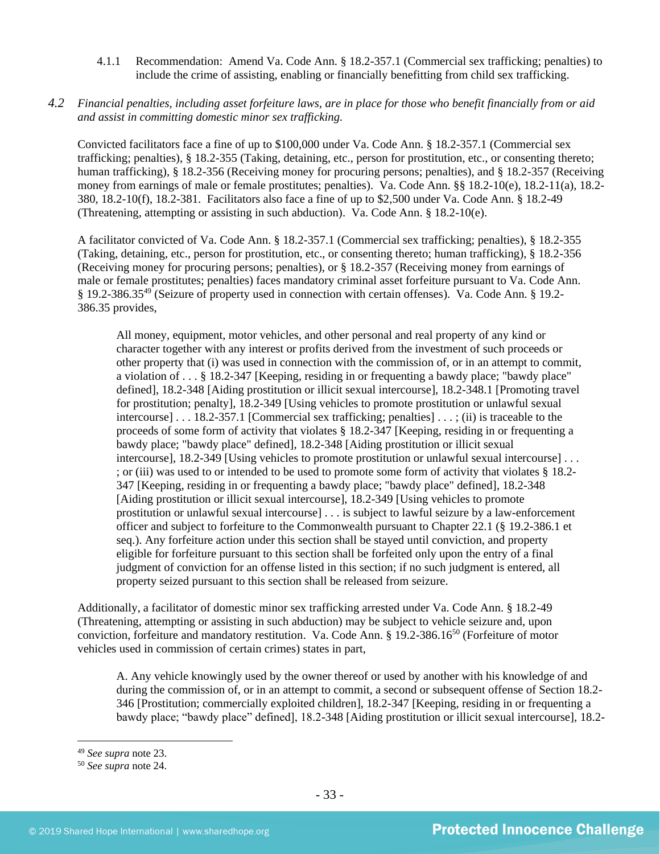4.1.1 Recommendation: Amend Va. Code Ann. § 18.2-357.1 (Commercial sex trafficking; penalties) to include the crime of assisting, enabling or financially benefitting from child sex trafficking.

# *4.2 Financial penalties, including asset forfeiture laws, are in place for those who benefit financially from or aid and assist in committing domestic minor sex trafficking.*

Convicted facilitators face a fine of up to \$100,000 under Va. Code Ann. § 18.2-357.1 (Commercial sex trafficking; penalties), § 18.2-355 (Taking, detaining, etc., person for prostitution, etc., or consenting thereto; human trafficking), § 18.2-356 (Receiving money for procuring persons; penalties), and § 18.2-357 (Receiving money from earnings of male or female prostitutes; penalties). Va. Code Ann. §§ 18.2-10(e), 18.2-11(a), 18.2- 380, 18.2-10(f), 18.2-381. Facilitators also face a fine of up to \$2,500 under Va. Code Ann. § 18.2-49 (Threatening, attempting or assisting in such abduction). Va. Code Ann. § 18.2-10(e).

A facilitator convicted of Va. Code Ann. § 18.2-357.1 (Commercial sex trafficking; penalties), § 18.2-355 (Taking, detaining, etc., person for prostitution, etc., or consenting thereto; human trafficking), § 18.2-356 (Receiving money for procuring persons; penalties), or § 18.2-357 (Receiving money from earnings of male or female prostitutes; penalties) faces mandatory criminal asset forfeiture pursuant to Va. Code Ann. § 19.2-386.35<sup>49</sup> (Seizure of property used in connection with certain offenses). Va. Code Ann. § 19.2- 386.35 provides,

All money, equipment, motor vehicles, and other personal and real property of any kind or character together with any interest or profits derived from the investment of such proceeds or other property that (i) was used in connection with the commission of, or in an attempt to commit, a violation of . . . § 18.2-347 [Keeping, residing in or frequenting a bawdy place; "bawdy place" defined], [18.2-348](http://lis.virginia.gov/cgi-bin/legp604.exe?000+cod+18.2-348) [Aiding prostitution or illicit sexual intercourse], 18.2-348.1 [Promoting travel for prostitution; penalty], 18.2-349 [Using vehicles to promote prostitution or unlawful sexual intercourse] . . . 18.2-357.1 [Commercial sex trafficking; penalties] . . . ; (ii) is traceable to the proceeds of some form of activity that violates § 18.2-347 [Keeping, residing in or frequenting a bawdy place; "bawdy place" defined], 18.2-348 [Aiding prostitution or illicit sexual intercourse], 18.2-349 [Using vehicles to promote prostitution or unlawful sexual intercourse] [. . .](http://lis.virginia.gov/cgi-bin/legp604.exe?000+cod+40.1-29)  ; or (iii) was used to or intended to be used to promote some form of activity that violates § 18.2- 347 [Keeping, residing in or frequenting a bawdy place; "bawdy place" defined], 18.2-348 [Aiding prostitution or illicit sexual intercourse], 18.2-349 [Using vehicles to promote prostitution or unlawful sexual intercourse] . . . is subject to lawful seizure by a law-enforcement officer and subject to forfeiture to the Commonwealth pursuant to Chapter 22.1 (§ 19.2-386.1 et seq.). Any forfeiture action under this section shall be stayed until conviction, and property eligible for forfeiture pursuant to this section shall be forfeited only upon the entry of a final judgment of conviction for an offense listed in this section; if no such judgment is entered, all property seized pursuant to this section shall be released from seizure.

Additionally, a facilitator of domestic minor sex trafficking arrested under Va. Code Ann. § 18.2-49 (Threatening, attempting or assisting in such abduction) may be subject to vehicle seizure and, upon conviction, forfeiture and mandatory restitution. Va. Code Ann. § 19.2-386.16<sup>50</sup> (Forfeiture of motor vehicles used in commission of certain crimes) states in part,

A. Any vehicle knowingly used by the owner thereof or used by another with his knowledge of and during the commission of, or in an attempt to commit, a second or subsequent offense of Section 18.2- 346 [Prostitution; commercially exploited children], 18.2-347 [Keeping, residing in or frequenting a bawdy place; "bawdy place" defined], 18.2-348 [Aiding prostitution or illicit sexual intercourse], 18.2-

<sup>49</sup> *See supra* note [23.](#page-14-0)

<sup>50</sup> *See supra* note [24.](#page-15-0)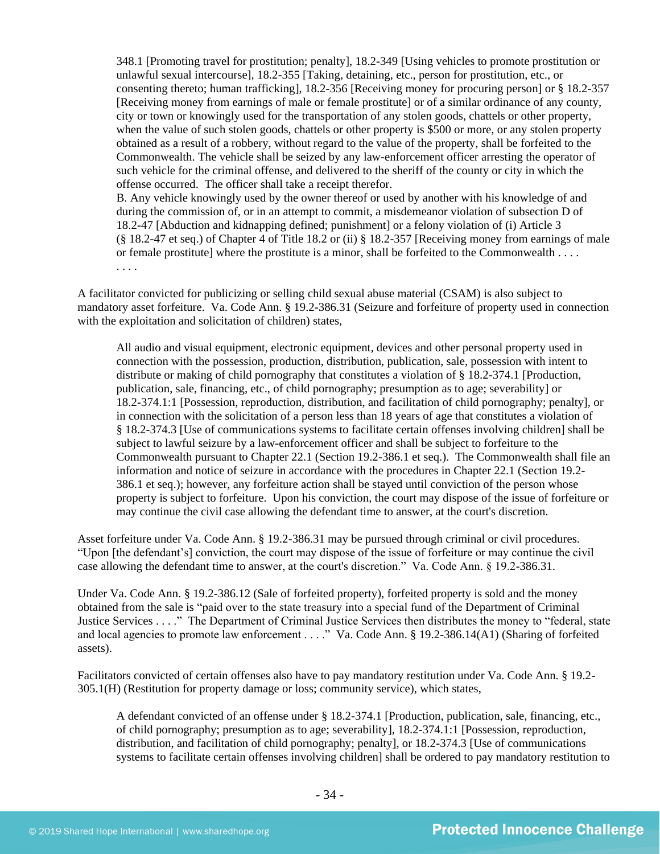348.1 [Promoting travel for prostitution; penalty], 18.2-349 [Using vehicles to promote prostitution or unlawful sexual intercourse], 18.2-355 [Taking, detaining, etc., person for prostitution, etc., or consenting thereto; human trafficking], 18.2-356 [Receiving money for procuring person] or § 18.2-357 [Receiving money from earnings of male or female prostitute] or of a similar ordinance of any county, city or town or knowingly used for the transportation of any stolen goods, chattels or other property, when the value of such stolen goods, chattels or other property is \$500 or more, or any stolen property obtained as a result of a robbery, without regard to the value of the property, shall be forfeited to the Commonwealth. The vehicle shall be seized by any law-enforcement officer arresting the operator of such vehicle for the criminal offense, and delivered to the sheriff of the county or city in which the offense occurred. The officer shall take a receipt therefor. B. Any vehicle knowingly used by the owner thereof or used by another with his knowledge of and

during the commission of, or in an attempt to commit, a misdemeanor violation of subsection D of 18.2-47 [Abduction and kidnapping defined; punishment] or a felony violation of (i) Article 3 (§ 18.2-47 et seq.) of Chapter 4 of Title 18.2 or (ii) § 18.2-357 [Receiving money from earnings of male or female prostitute] where the prostitute is a minor, shall be forfeited to the Commonwealth . . . . . . . .

A facilitator convicted for publicizing or selling child sexual abuse material (CSAM) is also subject to mandatory asset forfeiture. Va. Code Ann. § 19.2-386.31 (Seizure and forfeiture of property used in connection with the exploitation and solicitation of children) states,

All audio and visual equipment, electronic equipment, devices and other personal property used in connection with the possession, production, distribution, publication, sale, possession with intent to distribute or making of child pornography that constitutes a violation of § 18.2-374.1 [Production, publication, sale, financing, etc., of child pornography; presumption as to age; severability] or 18.2-374.1:1 [Possession, reproduction, distribution, and facilitation of child pornography; penalty], or in connection with the solicitation of a person less than 18 years of age that constitutes a violation of § 18.2-374.3 [Use of communications systems to facilitate certain offenses involving children] shall be subject to lawful seizure by a law-enforcement officer and shall be subject to forfeiture to the Commonwealth pursuant to Chapter 22.1 (Section 19.2-386.1 et seq.). The Commonwealth shall file an information and notice of seizure in accordance with the procedures in Chapter 22.1 (Section 19.2- 386.1 et seq.); however, any forfeiture action shall be stayed until conviction of the person whose property is subject to forfeiture. Upon his conviction, the court may dispose of the issue of forfeiture or may continue the civil case allowing the defendant time to answer, at the court's discretion.

Asset forfeiture under Va. Code Ann. § 19.2-386.31 may be pursued through criminal or civil procedures. "Upon [the defendant's] conviction, the court may dispose of the issue of forfeiture or may continue the civil case allowing the defendant time to answer, at the court's discretion." Va. Code Ann. § 19.2-386.31.

Under Va. Code Ann. § 19.2-386.12 (Sale of forfeited property), forfeited property is sold and the money obtained from the sale is "paid over to the state treasury into a special fund of the Department of Criminal Justice Services . . . ." The Department of Criminal Justice Services then distributes the money to "federal, state and local agencies to promote law enforcement . . . ." Va. Code Ann. § 19.2-386.14(A1) (Sharing of forfeited assets).

Facilitators convicted of certain offenses also have to pay mandatory restitution under Va. Code Ann. § 19.2- 305.1(H) (Restitution for property damage or loss; community service), which states,

A defendant convicted of an offense under § 18.2-374.1 [Production, publication, sale, financing, etc., of child pornography; presumption as to age; severability], 18.2-374.1:1 [Possession, reproduction, distribution, and facilitation of child pornography; penalty], or 18.2-374.3 [Use of communications systems to facilitate certain offenses involving children] shall be ordered to pay mandatory restitution to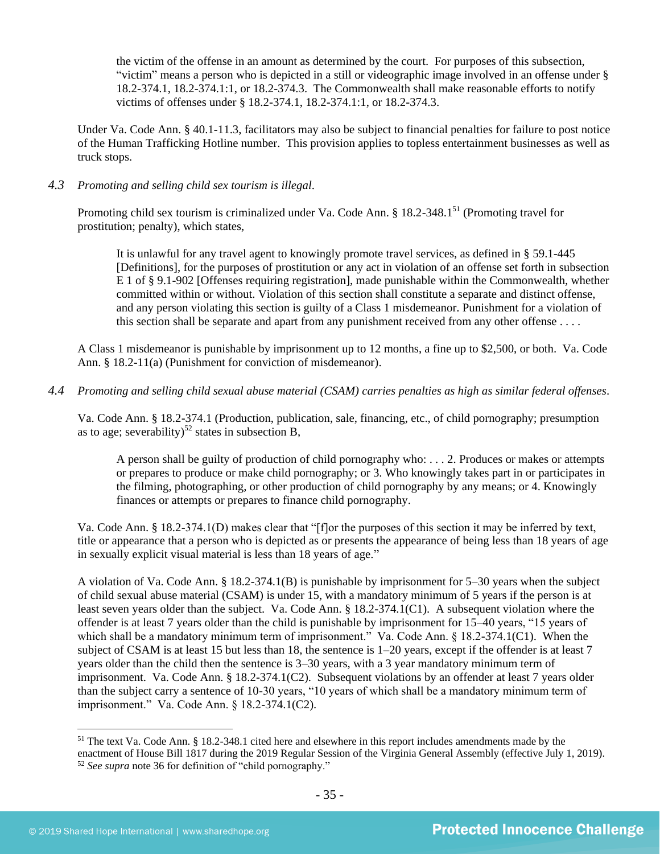the victim of the offense in an amount as determined by the court. For purposes of this subsection, "victim" means a person who is depicted in a still or videographic image involved in an offense under § 18.2-374.1, 18.2-374.1:1, or 18.2-374.3. The Commonwealth shall make reasonable efforts to notify victims of offenses under § 18.2-374.1, 18.2-374.1:1, or 18.2-374.3.

Under Va. Code Ann. § 40.1-11.3, facilitators may also be subject to financial penalties for failure to post notice of the Human Trafficking Hotline number. This provision applies to topless entertainment businesses as well as truck stops.

#### *4.3 Promoting and selling child sex tourism is illegal*.

Promoting child sex tourism is criminalized under Va. Code Ann. § 18.2-348.1<sup>51</sup> (Promoting travel for prostitution; penalty), which states,

It is unlawful for any travel agent to knowingly promote travel services, as defined in § 59.1-445 [Definitions], for the purposes of prostitution or any act in violation of an offense set forth in subsection E 1 of § 9.1-902 [Offenses requiring registration], made punishable within the Commonwealth, whether committed within or without. Violation of this section shall constitute a separate and distinct offense, and any person violating this section is guilty of a Class 1 misdemeanor. Punishment for a violation of this section shall be separate and apart from any punishment received from any other offense . . . .

A Class 1 misdemeanor is punishable by imprisonment up to 12 months, a fine up to \$2,500, or both. Va. Code Ann. § 18.2-11(a) (Punishment for conviction of misdemeanor).

#### *4.4 Promoting and selling child sexual abuse material (CSAM) carries penalties as high as similar federal offenses*.

Va. Code Ann. § 18.2-374.1 (Production, publication, sale, financing, etc., of child pornography; presumption as to age; severability)<sup>52</sup> states in subsection B,

A person shall be guilty of production of child pornography who: . . . 2. Produces or makes or attempts or prepares to produce or make child pornography; or 3. Who knowingly takes part in or participates in the filming, photographing, or other production of child pornography by any means; or 4. Knowingly finances or attempts or prepares to finance child pornography.

Va. Code Ann. § 18.2-374.1(D) makes clear that "[f]or the purposes of this section it may be inferred by text, title or appearance that a person who is depicted as or presents the appearance of being less than 18 years of age in sexually explicit visual material is less than 18 years of age."

A violation of Va. Code Ann. § 18.2-374.1(B) is punishable by imprisonment for 5–30 years when the subject of child sexual abuse material (CSAM) is under 15, with a mandatory minimum of 5 years if the person is at least seven years older than the subject. Va. Code Ann. § 18.2-374.1(C1). A subsequent violation where the offender is at least 7 years older than the child is punishable by imprisonment for 15–40 years, "15 years of which shall be a mandatory minimum term of imprisonment." Va. Code Ann. § 18.2-374.1(C1). When the subject of CSAM is at least 15 but less than 18, the sentence is 1–20 years, except if the offender is at least 7 years older than the child then the sentence is 3–30 years, with a 3 year mandatory minimum term of imprisonment. Va. Code Ann. § 18.2-374.1(C2). Subsequent violations by an offender at least 7 years older than the subject carry a sentence of 10-30 years, "10 years of which shall be a mandatory minimum term of imprisonment." Va. Code Ann. § 18.2-374.1(C2).

<sup>51</sup> The text Va. Code Ann. § 18.2-348.1 cited here and elsewhere in this report includes amendments made by the enactment of House Bill 1817 during the 2019 Regular Session of the Virginia General Assembly (effective July 1, 2019). <sup>52</sup> *See supra* note [36](#page-21-0) for definition of "child pornography."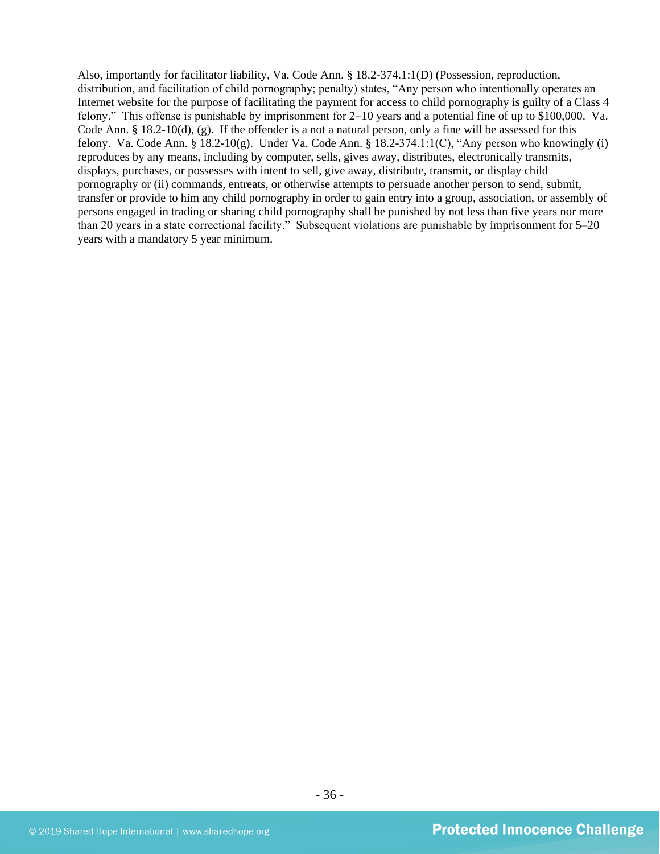Also, importantly for facilitator liability, Va. Code Ann. § 18.2-374.1:1(D) (Possession, reproduction, distribution, and facilitation of child pornography; penalty) states, "Any person who intentionally operates an Internet website for the purpose of facilitating the payment for access to child pornography is guilty of a Class 4 felony." This offense is punishable by imprisonment for 2–10 years and a potential fine of up to \$100,000. Va. Code Ann. § 18.2-10(d), (g). If the offender is a not a natural person, only a fine will be assessed for this felony. Va. Code Ann. § 18.2-10(g). Under Va. Code Ann. § 18.2-374.1:1(C), "Any person who knowingly (i) reproduces by any means, including by computer, sells, gives away, distributes, electronically transmits, displays, purchases, or possesses with intent to sell, give away, distribute, transmit, or display child pornography or (ii) commands, entreats, or otherwise attempts to persuade another person to send, submit, transfer or provide to him any child pornography in order to gain entry into a group, association, or assembly of persons engaged in trading or sharing child pornography shall be punished by not less than five years nor more than 20 years in a state correctional facility." Subsequent violations are punishable by imprisonment for 5–20 years with a mandatory 5 year minimum.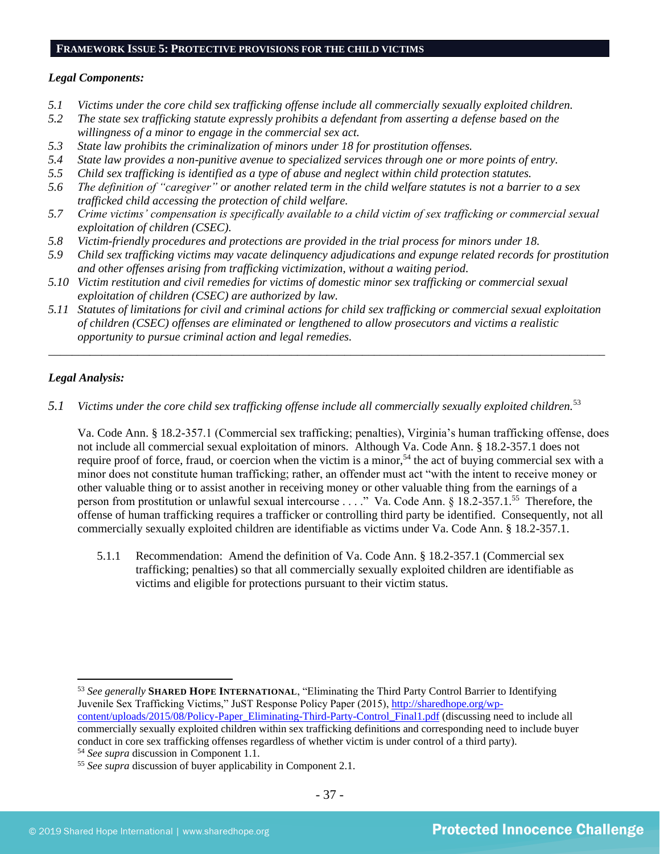# **FRAMEWORK ISSUE 5: PROTECTIVE PROVISIONS FOR THE CHILD VICTIMS**

#### *Legal Components:*

- *5.1 Victims under the core child sex trafficking offense include all commercially sexually exploited children.*
- *5.2 The state sex trafficking statute expressly prohibits a defendant from asserting a defense based on the willingness of a minor to engage in the commercial sex act.*
- *5.3 State law prohibits the criminalization of minors under 18 for prostitution offenses.*
- *5.4 State law provides a non-punitive avenue to specialized services through one or more points of entry.*
- *5.5 Child sex trafficking is identified as a type of abuse and neglect within child protection statutes.*
- *5.6 The definition of "caregiver" or another related term in the child welfare statutes is not a barrier to a sex trafficked child accessing the protection of child welfare.*
- *5.7 Crime victims' compensation is specifically available to a child victim of sex trafficking or commercial sexual exploitation of children (CSEC).*
- *5.8 Victim-friendly procedures and protections are provided in the trial process for minors under 18.*
- *5.9 Child sex trafficking victims may vacate delinquency adjudications and expunge related records for prostitution and other offenses arising from trafficking victimization, without a waiting period.*
- *5.10 Victim restitution and civil remedies for victims of domestic minor sex trafficking or commercial sexual exploitation of children (CSEC) are authorized by law.*
- *5.11 Statutes of limitations for civil and criminal actions for child sex trafficking or commercial sexual exploitation of children (CSEC) offenses are eliminated or lengthened to allow prosecutors and victims a realistic opportunity to pursue criminal action and legal remedies.*

*\_\_\_\_\_\_\_\_\_\_\_\_\_\_\_\_\_\_\_\_\_\_\_\_\_\_\_\_\_\_\_\_\_\_\_\_\_\_\_\_\_\_\_\_\_\_\_\_\_\_\_\_\_\_\_\_\_\_\_\_\_\_\_\_\_\_\_\_\_\_\_\_\_\_\_\_\_\_\_\_\_\_\_\_\_\_\_\_\_\_\_\_\_\_*

# *Legal Analysis:*

*5.1 Victims under the core child sex trafficking offense include all commercially sexually exploited children.*<sup>53</sup>

Va. Code Ann. § 18.2-357.1 (Commercial sex trafficking; penalties), Virginia's human trafficking offense, does not include all commercial sexual exploitation of minors. Although Va. Code Ann. § 18.2-357.1 does not require proof of force, fraud, or coercion when the victim is a minor,<sup>54</sup> the act of buying commercial sex with a minor does not constitute human trafficking; rather, an offender must act "with the intent to receive money or other valuable thing or to assist another in receiving money or other valuable thing from the earnings of a person from prostitution or unlawful sexual intercourse . . . ." Va. Code Ann. § 18.2-357.1.<sup>55</sup> Therefore, the offense of human trafficking requires a trafficker or controlling third party be identified. Consequently, not all commercially sexually exploited children are identifiable as victims under Va. Code Ann. § 18.2-357.1.

5.1.1 Recommendation: Amend the definition of Va. Code Ann. § 18.2-357.1 (Commercial sex trafficking; penalties) so that all commercially sexually exploited children are identifiable as victims and eligible for protections pursuant to their victim status.

<sup>53</sup> *See generally* **SHARED HOPE INTERNATIONAL**, "Eliminating the Third Party Control Barrier to Identifying Juvenile Sex Trafficking Victims," JuST Response Policy Paper (2015), [http://sharedhope.org/wp](http://sharedhope.org/wp-content/uploads/2015/08/Policy-Paper_Eliminating-Third-Party-Control_Final1.pdf)[content/uploads/2015/08/Policy-Paper\\_Eliminating-Third-Party-Control\\_Final1.pdf](http://sharedhope.org/wp-content/uploads/2015/08/Policy-Paper_Eliminating-Third-Party-Control_Final1.pdf) (discussing need to include all commercially sexually exploited children within sex trafficking definitions and corresponding need to include buyer conduct in core sex trafficking offenses regardless of whether victim is under control of a third party).

<sup>54</sup> *See supra* discussion in Component 1.1.

<sup>55</sup> *See supra* discussion of buyer applicability in Component 2.1.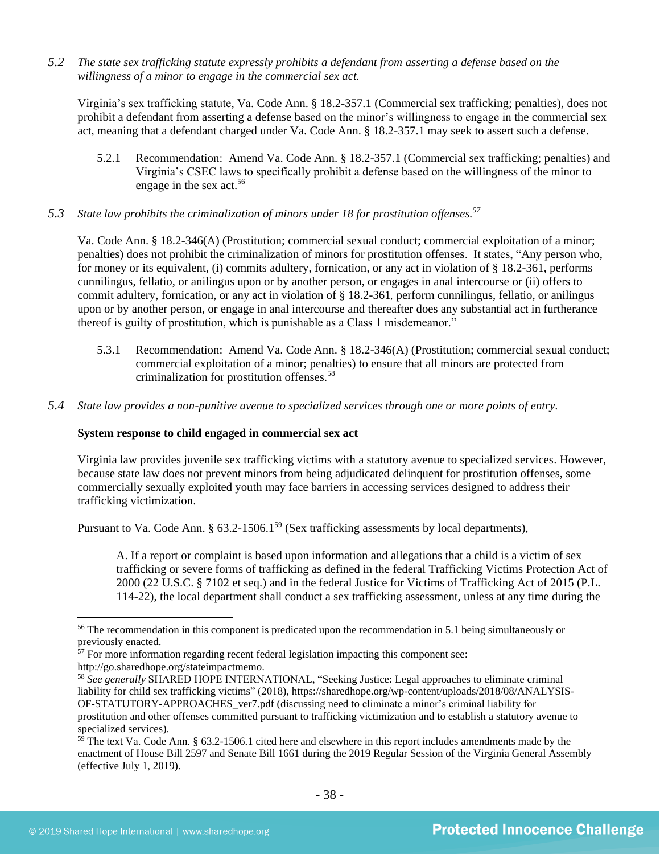*5.2 The state sex trafficking statute expressly prohibits a defendant from asserting a defense based on the willingness of a minor to engage in the commercial sex act.*

Virginia's sex trafficking statute, Va. Code Ann. § 18.2-357.1 (Commercial sex trafficking; penalties), does not prohibit a defendant from asserting a defense based on the minor's willingness to engage in the commercial sex act, meaning that a defendant charged under Va. Code Ann. § 18.2-357.1 may seek to assert such a defense.

- 5.2.1 Recommendation: Amend Va. Code Ann. § 18.2-357.1 (Commercial sex trafficking; penalties) and Virginia's CSEC laws to specifically prohibit a defense based on the willingness of the minor to engage in the sex act.<sup>56</sup>
- *5.3 State law prohibits the criminalization of minors under 18 for prostitution offenses.<sup>57</sup>*

Va. Code Ann. § 18.2-346(A) (Prostitution; commercial sexual conduct; commercial exploitation of a minor; penalties) does not prohibit the criminalization of minors for prostitution offenses. It states, "Any person who, for money or its equivalent, (i) commits adultery, fornication, or any act in violation of § 18.2-361, performs cunnilingus, fellatio, or anilingus upon or by another person, or engages in anal intercourse or (ii) offers to commit adultery, fornication, or any act in violation of § 18.2-361*,* perform cunnilingus, fellatio, or anilingus upon or by another person, or engage in anal intercourse and thereafter does any substantial act in furtherance thereof is guilty of prostitution, which is punishable as a Class 1 misdemeanor."

- 5.3.1 Recommendation: Amend Va. Code Ann. § 18.2-346(A) (Prostitution; commercial sexual conduct; commercial exploitation of a minor; penalties) to ensure that all minors are protected from criminalization for prostitution offenses.<sup>58</sup>
- *5.4 State law provides a non-punitive avenue to specialized services through one or more points of entry.*

# **System response to child engaged in commercial sex act**

Virginia law provides juvenile sex trafficking victims with a statutory avenue to specialized services. However, because state law does not prevent minors from being adjudicated delinquent for prostitution offenses, some commercially sexually exploited youth may face barriers in accessing services designed to address their trafficking victimization.

Pursuant to Va. Code Ann. § 63.2-1506.1<sup>59</sup> (Sex trafficking assessments by local departments),

A. If a report or complaint is based upon information and allegations that a child is a victim of sex trafficking or severe forms of trafficking as defined in the federal Trafficking Victims Protection Act of 2000 (22 U.S.C. § 7102 et seq.) and in the federal Justice for Victims of Trafficking Act of 2015 (P.L. 114-22), the local department shall conduct a sex trafficking assessment, unless at any time during the

<sup>&</sup>lt;sup>56</sup> The recommendation in this component is predicated upon the recommendation in 5.1 being simultaneously or previously enacted.

 $\frac{57}{57}$  For more information regarding recent federal legislation impacting this component see: http://go.sharedhope.org/stateimpactmemo.

<sup>58</sup> *See generally* SHARED HOPE INTERNATIONAL, "Seeking Justice: Legal approaches to eliminate criminal liability for child sex trafficking victims" (2018), https://sharedhope.org/wp-content/uploads/2018/08/ANALYSIS-OF-STATUTORY-APPROACHES\_ver7.pdf (discussing need to eliminate a minor's criminal liability for prostitution and other offenses committed pursuant to trafficking victimization and to establish a statutory avenue to specialized services).

 $59$  The text Va. Code Ann. § 63.2-1506.1 cited here and elsewhere in this report includes amendments made by the enactment of House Bill 2597 and Senate Bill 1661 during the 2019 Regular Session of the Virginia General Assembly (effective July 1, 2019).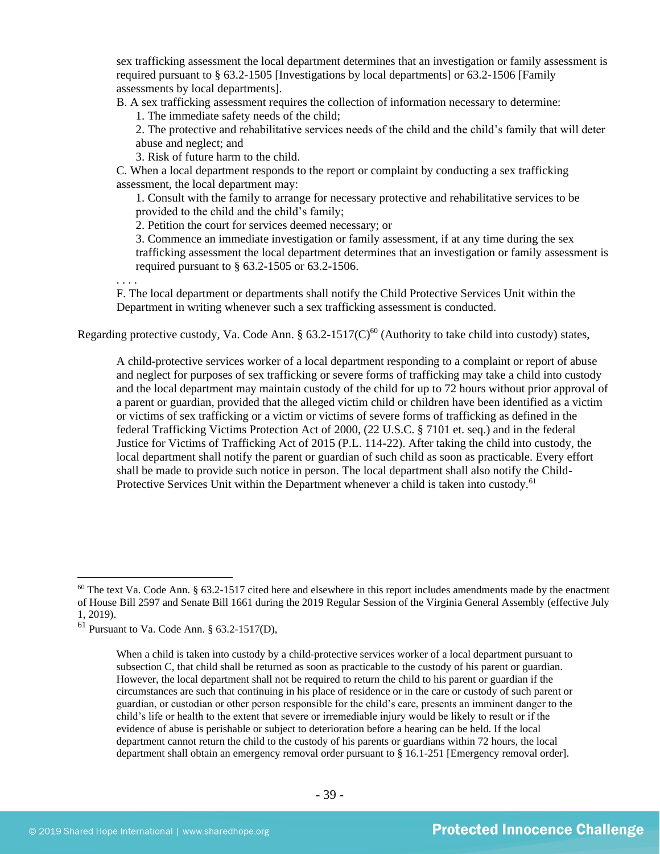sex trafficking assessment the local department determines that an investigation or family assessment is required pursuant to § 63.2-1505 [Investigations by local departments] or 63.2-1506 [Family assessments by local departments].

B. A sex trafficking assessment requires the collection of information necessary to determine:

1. The immediate safety needs of the child;

2. The protective and rehabilitative services needs of the child and the child's family that will deter abuse and neglect; and

3. Risk of future harm to the child.

C. When a local department responds to the report or complaint by conducting a sex trafficking assessment, the local department may:

1. Consult with the family to arrange for necessary protective and rehabilitative services to be provided to the child and the child's family;

2. Petition the court for services deemed necessary; or

3. Commence an immediate investigation or family assessment, if at any time during the sex trafficking assessment the local department determines that an investigation or family assessment is required pursuant to § 63.2-1505 or 63.2-1506.

. . . .

F. The local department or departments shall notify the Child Protective Services Unit within the Department in writing whenever such a sex trafficking assessment is conducted.

Regarding protective custody, Va. Code Ann. §  $63.2\n-1517(C)^{60}$  (Authority to take child into custody) states,

A child-protective services worker of a local department responding to a complaint or report of abuse and neglect for purposes of sex trafficking or severe forms of trafficking may take a child into custody and the local department may maintain custody of the child for up to 72 hours without prior approval of a parent or guardian, provided that the alleged victim child or children have been identified as a victim or victims of sex trafficking or a victim or victims of severe forms of trafficking as defined in the federal Trafficking Victims Protection Act of 2000, (22 U.S.C. § 7101 et. seq.) and in the federal Justice for Victims of Trafficking Act of 2015 (P.L. 114-22). After taking the child into custody, the local department shall notify the parent or guardian of such child as soon as practicable. Every effort shall be made to provide such notice in person. The local department shall also notify the Child-Protective Services Unit within the Department whenever a child is taken into custody.<sup>61</sup>

 $60$  The text Va. Code Ann. § 63.2-1517 cited here and elsewhere in this report includes amendments made by the enactment of House Bill 2597 and Senate Bill 1661 during the 2019 Regular Session of the Virginia General Assembly (effective July 1, 2019).

 $61$  Pursuant to Va. Code Ann. § 63.2-1517(D),

When a child is taken into custody by a child-protective services worker of a local department pursuant to subsection C, that child shall be returned as soon as practicable to the custody of his parent or guardian. However, the local department shall not be required to return the child to his parent or guardian if the circumstances are such that continuing in his place of residence or in the care or custody of such parent or guardian, or custodian or other person responsible for the child's care, presents an imminent danger to the child's life or health to the extent that severe or irremediable injury would be likely to result or if the evidence of abuse is perishable or subject to deterioration before a hearing can be held. If the local department cannot return the child to the custody of his parents or guardians within 72 hours, the local department shall obtain an emergency removal order pursuant to § 16.1-251 [Emergency removal order].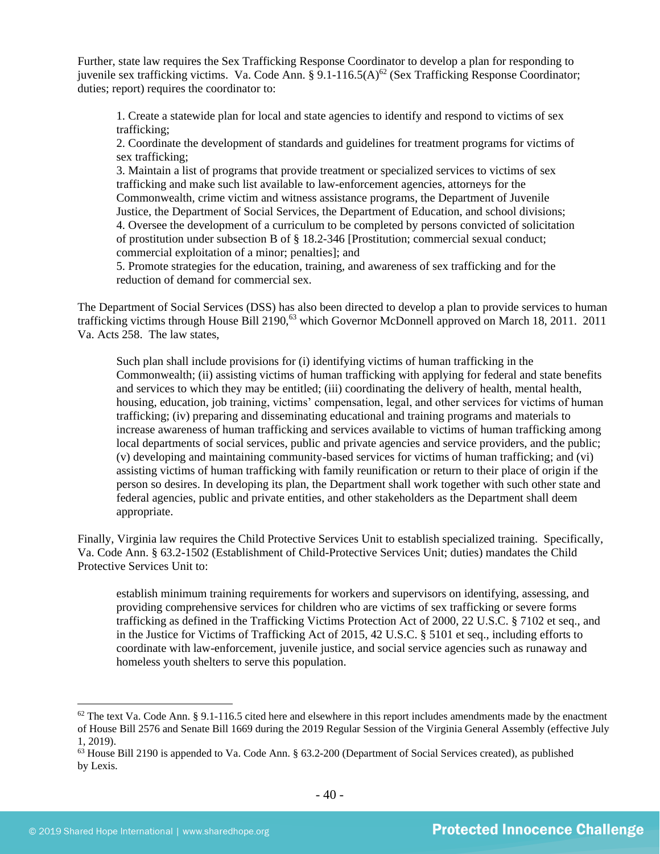Further, state law requires the Sex Trafficking Response Coordinator to develop a plan for responding to juvenile sex trafficking victims. Va. Code Ann. § 9.1-116.5(A)<sup>62</sup> (Sex Trafficking Response Coordinator; duties; report) requires the coordinator to:

1. Create a statewide plan for local and state agencies to identify and respond to victims of sex trafficking;

2. Coordinate the development of standards and guidelines for treatment programs for victims of sex trafficking;

3. Maintain a list of programs that provide treatment or specialized services to victims of sex trafficking and make such list available to law-enforcement agencies, attorneys for the Commonwealth, crime victim and witness assistance programs, the Department of Juvenile Justice, the Department of Social Services, the Department of Education, and school divisions; 4. Oversee the development of a curriculum to be completed by persons convicted of solicitation of prostitution under subsection B of § 18.2-346 [Prostitution; commercial sexual conduct; commercial exploitation of a minor; penalties]; and

5. Promote strategies for the education, training, and awareness of sex trafficking and for the reduction of demand for commercial sex.

The Department of Social Services (DSS) has also been directed to develop a plan to provide services to human trafficking victims through House Bill 2190,<sup>63</sup> which Governor McDonnell approved on March 18, 2011. 2011 Va. Acts 258. The law states,

Such plan shall include provisions for (i) identifying victims of human trafficking in the Commonwealth; (ii) assisting victims of human trafficking with applying for federal and state benefits and services to which they may be entitled; (iii) coordinating the delivery of health, mental health, housing, education, job training, victims' compensation, legal, and other services for victims of human trafficking; (iv) preparing and disseminating educational and training programs and materials to increase awareness of human trafficking and services available to victims of human trafficking among local departments of social services, public and private agencies and service providers, and the public; (v) developing and maintaining community-based services for victims of human trafficking; and (vi) assisting victims of human trafficking with family reunification or return to their place of origin if the person so desires. In developing its plan, the Department shall work together with such other state and federal agencies, public and private entities, and other stakeholders as the Department shall deem appropriate.

Finally, Virginia law requires the Child Protective Services Unit to establish specialized training. Specifically, Va. Code Ann. § 63.2-1502 (Establishment of Child-Protective Services Unit; duties) mandates the Child Protective Services Unit to:

establish minimum training requirements for workers and supervisors on identifying, assessing, and providing comprehensive services for children who are victims of sex trafficking or severe forms trafficking as defined in the Trafficking Victims Protection Act of 2000, 22 U.S.C. § 7102 et seq., and in the Justice for Victims of Trafficking Act of 2015, 42 U.S.C. § 5101 et seq., including efforts to coordinate with law-enforcement, juvenile justice, and social service agencies such as runaway and homeless youth shelters to serve this population.

 $62$  The text Va. Code Ann. § 9.1-116.5 cited here and elsewhere in this report includes amendments made by the enactment of House Bill 2576 and Senate Bill 1669 during the 2019 Regular Session of the Virginia General Assembly (effective July 1, 2019).

<sup>63</sup> House Bill 2190 is appended to Va. Code Ann. § 63.2-200 (Department of Social Services created), as published by Lexis.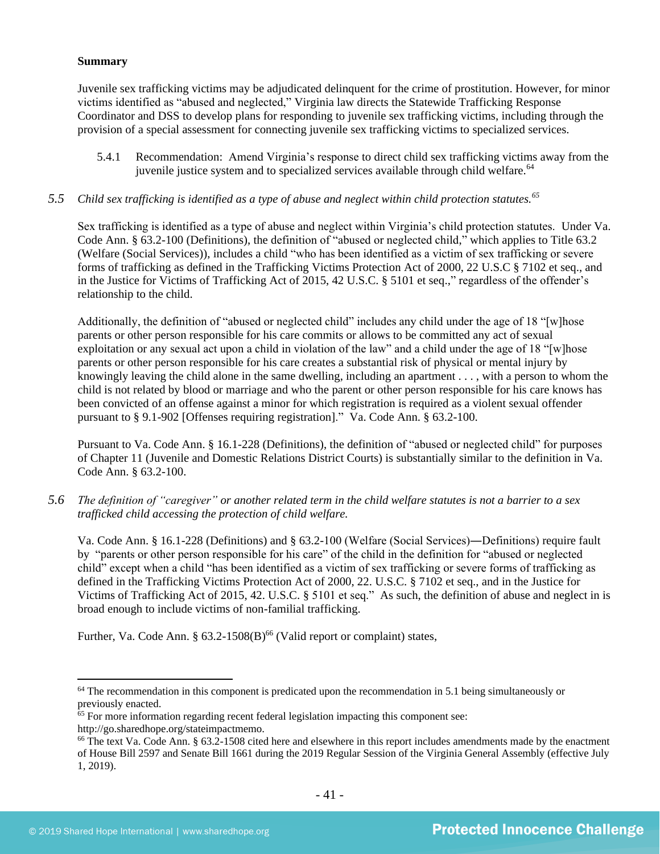#### **Summary**

Juvenile sex trafficking victims may be adjudicated delinquent for the crime of prostitution. However, for minor victims identified as "abused and neglected," Virginia law directs the Statewide Trafficking Response Coordinator and DSS to develop plans for responding to juvenile sex trafficking victims, including through the provision of a special assessment for connecting juvenile sex trafficking victims to specialized services.

- 5.4.1 Recommendation: Amend Virginia's response to direct child sex trafficking victims away from the juvenile justice system and to specialized services available through child welfare.<sup>64</sup>
- *5.5 Child sex trafficking is identified as a type of abuse and neglect within child protection statutes.<sup>65</sup>*

Sex trafficking is identified as a type of abuse and neglect within Virginia's child protection statutes. Under Va. Code Ann. § 63.2-100 (Definitions), the definition of "abused or neglected child," which applies to Title 63.2 (Welfare (Social Services)), includes a child "who has been identified as a victim of sex trafficking or severe forms of trafficking as defined in the Trafficking Victims Protection Act of 2000, 22 U.S.C § 7102 et seq., and in the Justice for Victims of Trafficking Act of 2015, 42 U.S.C. § 5101 et seq.," regardless of the offender's relationship to the child.

Additionally, the definition of "abused or neglected child" includes any child under the age of 18 "[w]hose parents or other person responsible for his care commits or allows to be committed any act of sexual exploitation or any sexual act upon a child in violation of the law" and a child under the age of 18 "[w]hose parents or other person responsible for his care creates a substantial risk of physical or mental injury by knowingly leaving the child alone in the same dwelling, including an apartment . . . , with a person to whom the child is not related by blood or marriage and who the parent or other person responsible for his care knows has been convicted of an offense against a minor for which registration is required as a violent sexual offender pursuant to § 9.1-902 [Offenses requiring registration]." Va. Code Ann. § 63.2-100.

Pursuant to Va. Code Ann. § 16.1-228 (Definitions), the definition of "abused or neglected child" for purposes of Chapter 11 (Juvenile and Domestic Relations District Courts) is substantially similar to the definition in Va. Code Ann. § 63.2-100.

*5.6 The definition of "caregiver" or another related term in the child welfare statutes is not a barrier to a sex trafficked child accessing the protection of child welfare.*

Va. Code Ann. § 16.1-228 (Definitions) and § 63.2-100 (Welfare (Social Services)―Definitions) require fault by "parents or other person responsible for his care" of the child in the definition for "abused or neglected child" except when a child "has been identified as a victim of sex trafficking or severe forms of trafficking as defined in the Trafficking Victims Protection Act of 2000, 22. U.S.C. § 7102 et seq., and in the Justice for Victims of Trafficking Act of 2015, 42. U.S.C. § 5101 et seq." As such, the definition of abuse and neglect in is broad enough to include victims of non-familial trafficking.

Further, Va. Code Ann. §  $63.2\n-1508(B)$ <sup>66</sup> (Valid report or complaint) states,

 $64$  The recommendation in this component is predicated upon the recommendation in 5.1 being simultaneously or previously enacted.

<sup>&</sup>lt;sup>65</sup> For more information regarding recent federal legislation impacting this component see:

http://go.sharedhope.org/stateimpactmemo.

<sup>66</sup> The text Va. Code Ann. § 63.2-1508 cited here and elsewhere in this report includes amendments made by the enactment of House Bill 2597 and Senate Bill 1661 during the 2019 Regular Session of the Virginia General Assembly (effective July 1, 2019).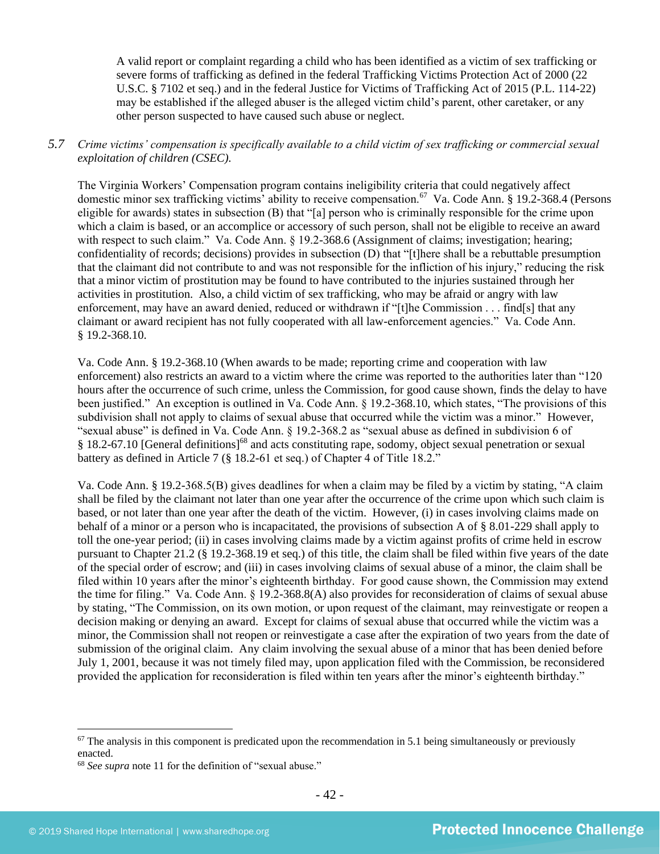A valid report or complaint regarding a child who has been identified as a victim of sex trafficking or severe forms of trafficking as defined in the federal Trafficking Victims Protection Act of 2000 (22 U.S.C. § 7102 et seq.) and in the federal Justice for Victims of Trafficking Act of 2015 (P.L. 114-22) may be established if the alleged abuser is the alleged victim child's parent, other caretaker, or any other person suspected to have caused such abuse or neglect.

# *5.7 Crime victims' compensation is specifically available to a child victim of sex trafficking or commercial sexual exploitation of children (CSEC).*

The Virginia Workers' Compensation program contains ineligibility criteria that could negatively affect domestic minor sex trafficking victims' ability to receive compensation.<sup>67</sup> Va. Code Ann. § 19.2-368.4 (Persons eligible for awards) states in subsection (B) that "[a] person who is criminally responsible for the crime upon which a claim is based, or an accomplice or accessory of such person, shall not be eligible to receive an award with respect to such claim." Va. Code Ann. § 19.2-368.6 (Assignment of claims; investigation; hearing; confidentiality of records; decisions) provides in subsection (D) that "[t]here shall be a rebuttable presumption that the claimant did not contribute to and was not responsible for the infliction of his injury," reducing the risk that a minor victim of prostitution may be found to have contributed to the injuries sustained through her activities in prostitution. Also, a child victim of sex trafficking, who may be afraid or angry with law enforcement, may have an award denied, reduced or withdrawn if "[t]he Commission . . . find[s] that any claimant or award recipient has not fully cooperated with all law-enforcement agencies." Va. Code Ann. § 19.2-368.10.

Va. Code Ann. § 19.2-368.10 (When awards to be made; reporting crime and cooperation with law enforcement) also restricts an award to a victim where the crime was reported to the authorities later than "120 hours after the occurrence of such crime, unless the Commission, for good cause shown, finds the delay to have been justified." An exception is outlined in Va. Code Ann. § 19.2-368.10, which states, "The provisions of this subdivision shall not apply to claims of sexual abuse that occurred while the victim was a minor." However, "sexual abuse" is defined in Va. Code Ann. § 19.2-368.2 as "sexual abuse as defined in subdivision 6 of § 18.2-67.10 [General definitions]<sup>68</sup> and acts constituting rape, sodomy, object sexual penetration or sexual battery as defined in Article 7 (§ 18.2-61 et seq.) of Chapter 4 of Title 18.2."

Va. Code Ann. § 19.2-368.5(B) gives deadlines for when a claim may be filed by a victim by stating, "A claim shall be filed by the claimant not later than one year after the occurrence of the crime upon which such claim is based, or not later than one year after the death of the victim. However, (i) in cases involving claims made on behalf of a minor or a person who is incapacitated, the provisions of subsection A of § 8.01-229 shall apply to toll the one-year period; (ii) in cases involving claims made by a victim against profits of crime held in escrow pursuant to Chapter 21.2 (§ 19.2-368.19 et seq.) of this title, the claim shall be filed within five years of the date of the special order of escrow; and (iii) in cases involving claims of sexual abuse of a minor, the claim shall be filed within 10 years after the minor's eighteenth birthday. For good cause shown, the Commission may extend the time for filing." Va. Code Ann. § 19.2-368.8(A) also provides for reconsideration of claims of sexual abuse by stating, "The Commission, on its own motion, or upon request of the claimant, may reinvestigate or reopen a decision making or denying an award. Except for claims of sexual abuse that occurred while the victim was a minor, the Commission shall not reopen or reinvestigate a case after the expiration of two years from the date of submission of the original claim. Any claim involving the sexual abuse of a minor that has been denied before July 1, 2001, because it was not timely filed may, upon application filed with the Commission, be reconsidered provided the application for reconsideration is filed within ten years after the minor's eighteenth birthday."

 $67$  The analysis in this component is predicated upon the recommendation in 5.1 being simultaneously or previously enacted.

<sup>68</sup> *See supra* note [11](#page-5-0) for the definition of "sexual abuse."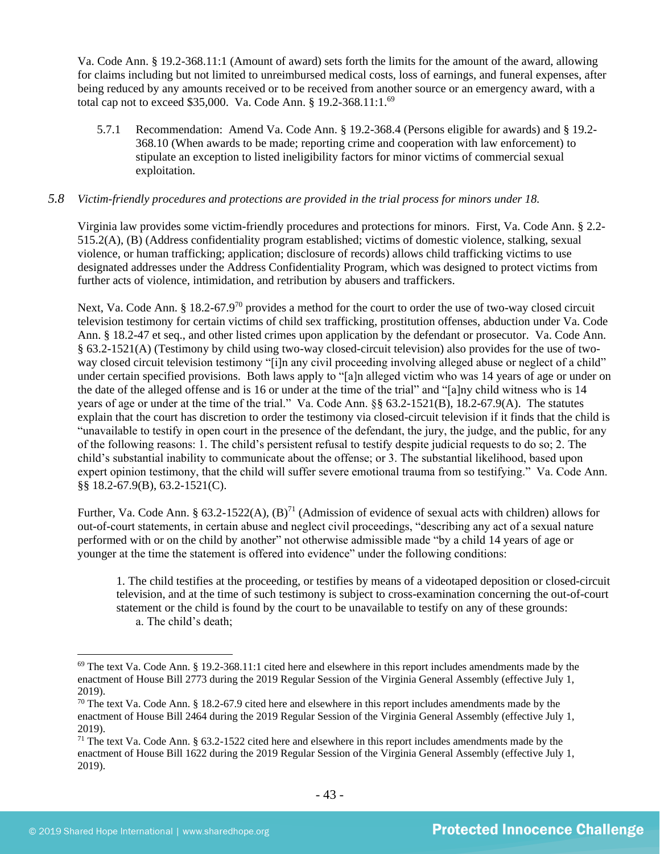Va. Code Ann. § 19.2-368.11:1 (Amount of award) sets forth the limits for the amount of the award, allowing for claims including but not limited to unreimbursed medical costs, loss of earnings, and funeral expenses, after being reduced by any amounts received or to be received from another source or an emergency award, with a total cap not to exceed \$35,000. Va. Code Ann. § 19.2-368.11:1.<sup>69</sup>

5.7.1 Recommendation: Amend Va. Code Ann. § 19.2-368.4 (Persons eligible for awards) and § 19.2- 368.10 (When awards to be made; reporting crime and cooperation with law enforcement) to stipulate an exception to listed ineligibility factors for minor victims of commercial sexual exploitation.

# *5.8 Victim-friendly procedures and protections are provided in the trial process for minors under 18.*

Virginia law provides some victim-friendly procedures and protections for minors. First, Va. Code Ann. § 2.2- 515.2(A), (B) (Address confidentiality program established; victims of domestic violence, stalking, sexual violence, or human trafficking; application; disclosure of records) allows child trafficking victims to use designated addresses under the Address Confidentiality Program, which was designed to protect victims from further acts of violence, intimidation, and retribution by abusers and traffickers.

Next, Va. Code Ann. § 18.2-67.9<sup>70</sup> provides a method for the court to order the use of two-way closed circuit television testimony for certain victims of child sex trafficking, prostitution offenses, abduction under Va. Code Ann. § 18.2-47 et seq., and other listed crimes upon application by the defendant or prosecutor. Va. Code Ann. § 63.2-1521(A) (Testimony by child using two-way closed-circuit television) also provides for the use of twoway closed circuit television testimony "[i]n any civil proceeding involving alleged abuse or neglect of a child" under certain specified provisions. Both laws apply to "[a]n alleged victim who was 14 years of age or under on the date of the alleged offense and is 16 or under at the time of the trial" and "[a]ny child witness who is 14 years of age or under at the time of the trial." Va. Code Ann. §§ 63.2-1521(B), 18.2-67.9(A). The statutes explain that the court has discretion to order the testimony via closed-circuit television if it finds that the child is "unavailable to testify in open court in the presence of the defendant, the jury, the judge, and the public, for any of the following reasons: 1. The child's persistent refusal to testify despite judicial requests to do so; 2. The child's substantial inability to communicate about the offense; or 3. The substantial likelihood, based upon expert opinion testimony, that the child will suffer severe emotional trauma from so testifying." Va. Code Ann. §§ 18.2-67.9(B), 63.2-1521(C).

Further, Va. Code Ann. § 63.2-1522(A),  $(B)^{71}$  (Admission of evidence of sexual acts with children) allows for out-of-court statements, in certain abuse and neglect civil proceedings, "describing any act of a sexual nature performed with or on the child by another" not otherwise admissible made "by a child 14 years of age or younger at the time the statement is offered into evidence" under the following conditions:

1. The child testifies at the proceeding, or testifies by means of a videotaped deposition or closed-circuit television, and at the time of such testimony is subject to cross-examination concerning the out-of-court statement or the child is found by the court to be unavailable to testify on any of these grounds: a. The child's death;

 $69$  The text Va. Code Ann. § 19.2-368.11:1 cited here and elsewhere in this report includes amendments made by the enactment of House Bill 2773 during the 2019 Regular Session of the Virginia General Assembly (effective July 1, 2019).

 $70$  The text Va. Code Ann. § 18.2-67.9 cited here and elsewhere in this report includes amendments made by the enactment of House Bill 2464 during the 2019 Regular Session of the Virginia General Assembly (effective July 1, 2019).

 $71$  The text Va. Code Ann. § 63.2-1522 cited here and elsewhere in this report includes amendments made by the enactment of House Bill 1622 during the 2019 Regular Session of the Virginia General Assembly (effective July 1, 2019).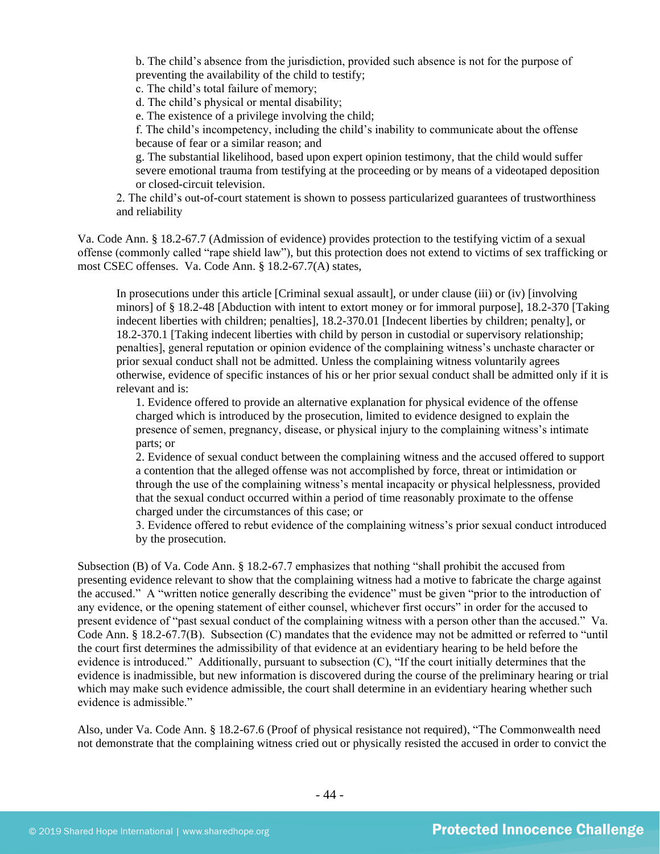b. The child's absence from the jurisdiction, provided such absence is not for the purpose of preventing the availability of the child to testify;

c. The child's total failure of memory;

d. The child's physical or mental disability;

e. The existence of a privilege involving the child;

f. The child's incompetency, including the child's inability to communicate about the offense because of fear or a similar reason; and

g. The substantial likelihood, based upon expert opinion testimony, that the child would suffer severe emotional trauma from testifying at the proceeding or by means of a videotaped deposition or closed-circuit television.

2. The child's out-of-court statement is shown to possess particularized guarantees of trustworthiness and reliability

Va. Code Ann. § 18.2-67.7 (Admission of evidence) provides protection to the testifying victim of a sexual offense (commonly called "rape shield law"), but this protection does not extend to victims of sex trafficking or most CSEC offenses. Va. Code Ann. § 18.2-67.7(A) states,

In prosecutions under this article [Criminal sexual assault], or under clause (iii) or (iv) [involving minors] of § 18.2-48 [Abduction with intent to extort money or for immoral purpose], 18.2-370 [Taking indecent liberties with children; penalties], 18.2-370.01 [Indecent liberties by children; penalty], or 18.2-370.1 [Taking indecent liberties with child by person in custodial or supervisory relationship; penalties], general reputation or opinion evidence of the complaining witness's unchaste character or prior sexual conduct shall not be admitted. Unless the complaining witness voluntarily agrees otherwise, evidence of specific instances of his or her prior sexual conduct shall be admitted only if it is relevant and is:

1. Evidence offered to provide an alternative explanation for physical evidence of the offense charged which is introduced by the prosecution, limited to evidence designed to explain the presence of semen, pregnancy, disease, or physical injury to the complaining witness's intimate parts; or

2. Evidence of sexual conduct between the complaining witness and the accused offered to support a contention that the alleged offense was not accomplished by force, threat or intimidation or through the use of the complaining witness's mental incapacity or physical helplessness, provided that the sexual conduct occurred within a period of time reasonably proximate to the offense charged under the circumstances of this case; or

3. Evidence offered to rebut evidence of the complaining witness's prior sexual conduct introduced by the prosecution.

Subsection (B) of Va. Code Ann. § 18.2-67.7 emphasizes that nothing "shall prohibit the accused from presenting evidence relevant to show that the complaining witness had a motive to fabricate the charge against the accused." A "written notice generally describing the evidence" must be given "prior to the introduction of any evidence, or the opening statement of either counsel, whichever first occurs" in order for the accused to present evidence of "past sexual conduct of the complaining witness with a person other than the accused." Va. Code Ann. § 18.2-67.7(B). Subsection (C) mandates that the evidence may not be admitted or referred to "until the court first determines the admissibility of that evidence at an evidentiary hearing to be held before the evidence is introduced." Additionally, pursuant to subsection (C), "If the court initially determines that the evidence is inadmissible, but new information is discovered during the course of the preliminary hearing or trial which may make such evidence admissible, the court shall determine in an evidentiary hearing whether such evidence is admissible."

Also, under Va. Code Ann. § 18.2-67.6 (Proof of physical resistance not required), "The Commonwealth need not demonstrate that the complaining witness cried out or physically resisted the accused in order to convict the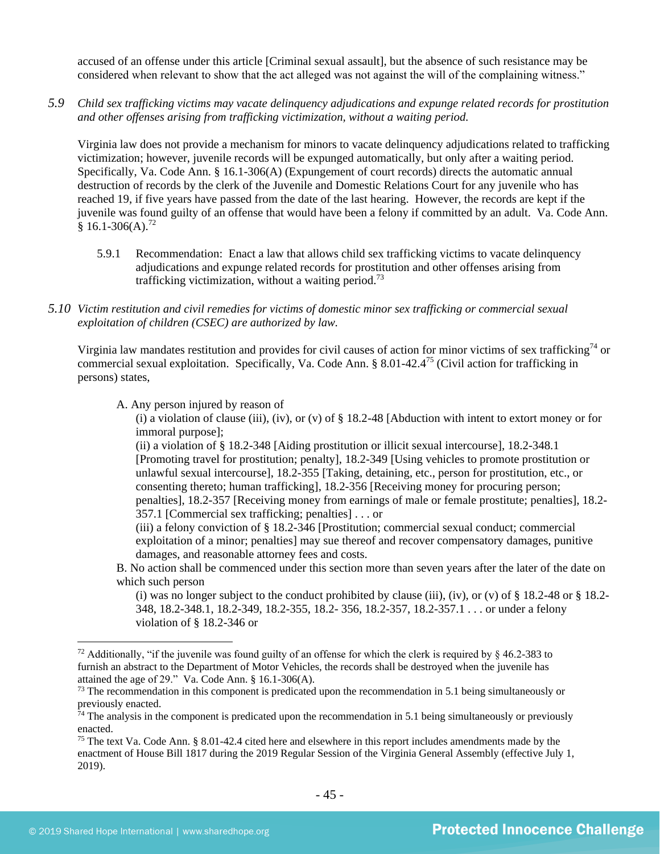accused of an offense under this article [Criminal sexual assault], but the absence of such resistance may be considered when relevant to show that the act alleged was not against the will of the complaining witness."

*5.9 Child sex trafficking victims may vacate delinquency adjudications and expunge related records for prostitution and other offenses arising from trafficking victimization, without a waiting period.*

Virginia law does not provide a mechanism for minors to vacate delinquency adjudications related to trafficking victimization; however, juvenile records will be expunged automatically, but only after a waiting period. Specifically, Va. Code Ann. § 16.1-306(A) (Expungement of court records) directs the automatic annual destruction of records by the clerk of the Juvenile and Domestic Relations Court for any juvenile who has reached 19, if five years have passed from the date of the last hearing. However, the records are kept if the juvenile was found guilty of an offense that would have been a felony if committed by an adult. Va. Code Ann.  $$16.1-306(A).$ <sup>72</sup>

- 5.9.1 Recommendation: Enact a law that allows child sex trafficking victims to vacate delinquency adjudications and expunge related records for prostitution and other offenses arising from trafficking victimization, without a waiting period.<sup>73</sup>
- *5.10 Victim restitution and civil remedies for victims of domestic minor sex trafficking or commercial sexual exploitation of children (CSEC) are authorized by law.*

Virginia law mandates restitution and provides for civil causes of action for minor victims of sex trafficking<sup>74</sup> or commercial sexual exploitation. Specifically, Va. Code Ann. § 8.01-42.4<sup>75</sup> (Civil action for trafficking in persons) states,

A. Any person injured by reason of

<span id="page-44-0"></span>(i) a violation of clause (iii), (iv), or (v) of  $\S$  18.2-48 [Abduction with intent to extort money or for immoral purpose];

(ii) a violation of § 18.2-348 [Aiding prostitution or illicit sexual intercourse], 18.2-348.1 [Promoting travel for prostitution; penalty], 18.2-349 [Using vehicles to promote prostitution or unlawful sexual intercourse], 18.2-355 [Taking, detaining, etc., person for prostitution, etc., or consenting thereto; human trafficking], 18.2-356 [Receiving money for procuring person; penalties], 18.2-357 [Receiving money from earnings of male or female prostitute; penalties], 18.2- 357.1 [Commercial sex trafficking; penalties] . . . or

(iii) a felony conviction of § 18.2-346 [Prostitution; commercial sexual conduct; commercial exploitation of a minor; penalties] may sue thereof and recover compensatory damages, punitive damages, and reasonable attorney fees and costs.

B. No action shall be commenced under this section more than seven years after the later of the date on which such person

(i) was no longer subject to the conduct prohibited by clause (iii), (iv), or (v) of  $\S$  18.2-48 or  $\S$  18.2-348, 18.2-348.1, 18.2-349, 18.2-355, 18.2- 356, 18.2-357, 18.2-357.1 . . . or under a felony violation of § 18.2-346 or

<sup>&</sup>lt;sup>72</sup> Additionally, "if the juvenile was found guilty of an offense for which the clerk is required by  $\frac{1}{2}$  46.2-383 to furnish an abstract to the Department of Motor Vehicles, the records shall be destroyed when the juvenile has attained the age of 29." Va. Code Ann. § 16.1-306(A).

 $<sup>73</sup>$  The recommendation in this component is predicated upon the recommendation in 5.1 being simultaneously or</sup> previously enacted.

 $74$  The analysis in the component is predicated upon the recommendation in 5.1 being simultaneously or previously enacted.

<sup>&</sup>lt;sup>75</sup> The text Va. Code Ann. § 8.01-42.4 cited here and elsewhere in this report includes amendments made by the enactment of House Bill 1817 during the 2019 Regular Session of the Virginia General Assembly (effective July 1, 2019).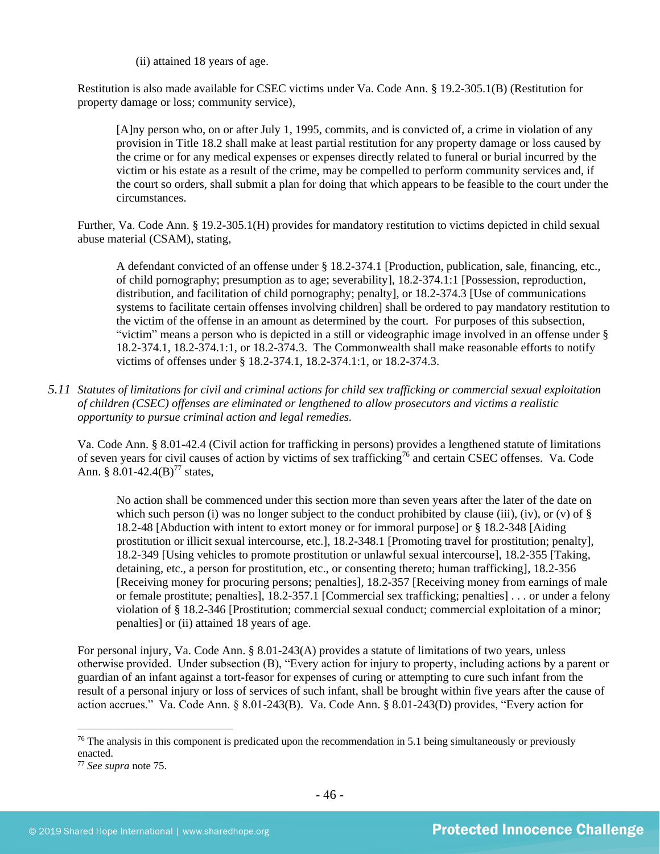(ii) attained 18 years of age.

Restitution is also made available for CSEC victims under Va. Code Ann. § 19.2-305.1(B) (Restitution for property damage or loss; community service),

[A]ny person who, on or after July 1, 1995, commits, and is convicted of, a crime in violation of any provision in Title 18.2 shall make at least partial restitution for any property damage or loss caused by the crime or for any medical expenses or expenses directly related to funeral or burial incurred by the victim or his estate as a result of the crime, may be compelled to perform community services and, if the court so orders, shall submit a plan for doing that which appears to be feasible to the court under the circumstances.

Further, Va. Code Ann. § 19.2-305.1(H) provides for mandatory restitution to victims depicted in child sexual abuse material (CSAM), stating,

A defendant convicted of an offense under § 18.2-374.1 [Production, publication, sale, financing, etc., of child pornography; presumption as to age; severability], 18.2-374.1:1 [Possession, reproduction, distribution, and facilitation of child pornography; penalty], or 18.2-374.3 [Use of communications systems to facilitate certain offenses involving children] shall be ordered to pay mandatory restitution to the victim of the offense in an amount as determined by the court. For purposes of this subsection, "victim" means a person who is depicted in a still or videographic image involved in an offense under § 18.2-374.1, 18.2-374.1:1, or 18.2-374.3. The Commonwealth shall make reasonable efforts to notify victims of offenses under § 18.2-374.1, 18.2-374.1:1, or 18.2-374.3.

*5.11 Statutes of limitations for civil and criminal actions for child sex trafficking or commercial sexual exploitation of children (CSEC) offenses are eliminated or lengthened to allow prosecutors and victims a realistic opportunity to pursue criminal action and legal remedies.*

Va. Code Ann. § 8.01-42.4 (Civil action for trafficking in persons) provides a lengthened statute of limitations of seven years for civil causes of action by victims of sex trafficking<sup>76</sup> and certain CSEC offenses. Va. Code Ann. § 8.01-42.4(B)<sup>77</sup> states,

No action shall be commenced under this section more than seven years after the later of the date on which such person (i) was no longer subject to the conduct prohibited by clause (iii), (iv), or (v) of  $\S$ 18.2-48 [Abduction with intent to extort money or for immoral purpose] or § 18.2-348 [Aiding prostitution or illicit sexual intercourse, etc.], 18.2-348.1 [Promoting travel for prostitution; penalty], 18.2-349 [Using vehicles to promote prostitution or unlawful sexual intercourse], 18.2-355 [Taking, detaining, etc., a person for prostitution, etc., or consenting thereto; human trafficking], 18.2-356 [Receiving money for procuring persons; penalties], 18.2-357 [Receiving money from earnings of male or female prostitute; penalties], 18.2-357.1 [Commercial sex trafficking; penalties] . . . or under a felony violation of § 18.2-346 [Prostitution; commercial sexual conduct; commercial exploitation of a minor; penalties] or (ii) attained 18 years of age.

For personal injury, Va. Code Ann. § 8.01-243(A) provides a statute of limitations of two years, unless otherwise provided. Under subsection (B), "Every action for injury to property, including actions by a parent or guardian of an infant against a tort-feasor for expenses of curing or attempting to cure such infant from the result of a personal injury or loss of services of such infant, shall be brought within five years after the cause of action accrues." Va. Code Ann. § 8.01-243(B). Va. Code Ann. § 8.01-243(D) provides, "Every action for

 $76$  The analysis in this component is predicated upon the recommendation in 5.1 being simultaneously or previously enacted.

<sup>77</sup> *See supra* note [75.](#page-44-0)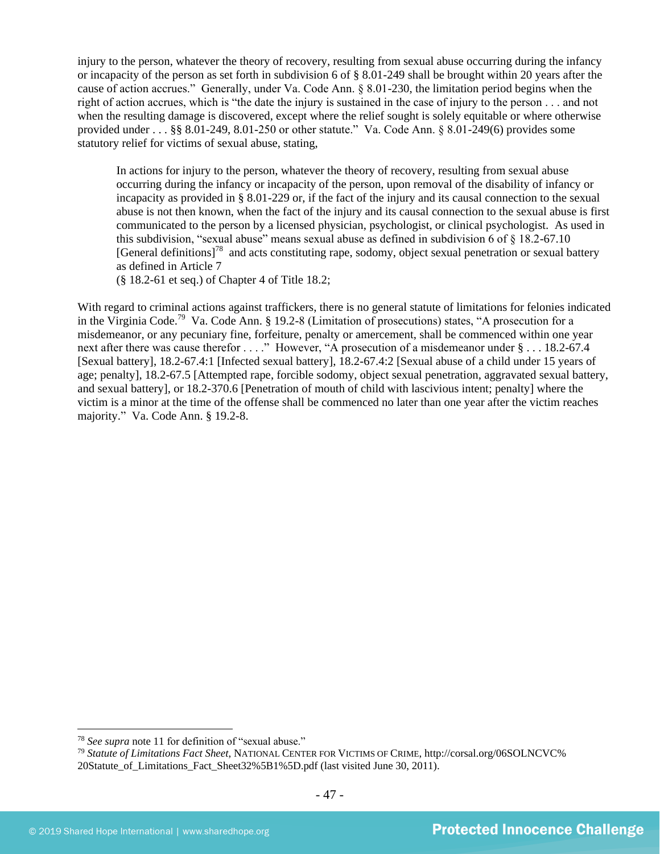injury to the person, whatever the theory of recovery, resulting from sexual abuse occurring during the infancy or incapacity of the person as set forth in subdivision 6 of § 8.01-249 shall be brought within 20 years after the cause of action accrues." Generally, under Va. Code Ann. § 8.01-230, the limitation period begins when the right of action accrues, which is "the date the injury is sustained in the case of injury to the person . . . and not when the resulting damage is discovered, except where the relief sought is solely equitable or where otherwise provided under . . . §§ 8.01-249, 8.01-250 or other statute." Va. Code Ann. § 8.01-249(6) provides some statutory relief for victims of sexual abuse, stating,

In actions for injury to the person, whatever the theory of recovery, resulting from sexual abuse occurring during the infancy or incapacity of the person, upon removal of the disability of infancy or incapacity as provided in § 8.01-229 or, if the fact of the injury and its causal connection to the sexual abuse is not then known, when the fact of the injury and its causal connection to the sexual abuse is first communicated to the person by a licensed physician, psychologist, or clinical psychologist. As used in this subdivision, "sexual abuse" means sexual abuse as defined in subdivision 6 of § 18.2-67.10 [General definitions]<sup>78</sup> and acts constituting rape, sodomy, object sexual penetration or sexual battery as defined in Article 7

(§ 18.2-61 et seq.) of Chapter 4 of Title 18.2;

With regard to criminal actions against traffickers, there is no general statute of limitations for felonies indicated in the Virginia Code.<sup>79</sup> Va. Code Ann. § 19.2-8 (Limitation of prosecutions) states, "A prosecution for a misdemeanor, or any pecuniary fine, forfeiture, penalty or amercement, shall be commenced within one year next after there was cause therefor . . . ." However, "A prosecution of a misdemeanor under  $\S$  . . . 18.2-67.4 [Sexual battery], 18.2-67.4:1 [Infected sexual battery], 18.2-67.4:2 [Sexual abuse of a child under 15 years of age; penalty], 18.2-67.5 [Attempted rape, forcible sodomy, object sexual penetration, aggravated sexual battery, and sexual battery], or 18.2-370.6 [Penetration of mouth of child with lascivious intent; penalty] where the victim is a minor at the time of the offense shall be commenced no later than one year after the victim reaches majority." Va. Code Ann. § 19.2-8.

<sup>78</sup> *See supra* note [11](#page-5-0) for definition of "sexual abuse."

<sup>79</sup> *Statute of Limitations Fact Sheet*, NATIONAL CENTER FOR VICTIMS OF CRIME, http://corsal.org/06SOLNCVC% 20Statute\_of\_Limitations\_Fact\_Sheet32%5B1%5D.pdf (last visited June 30, 2011).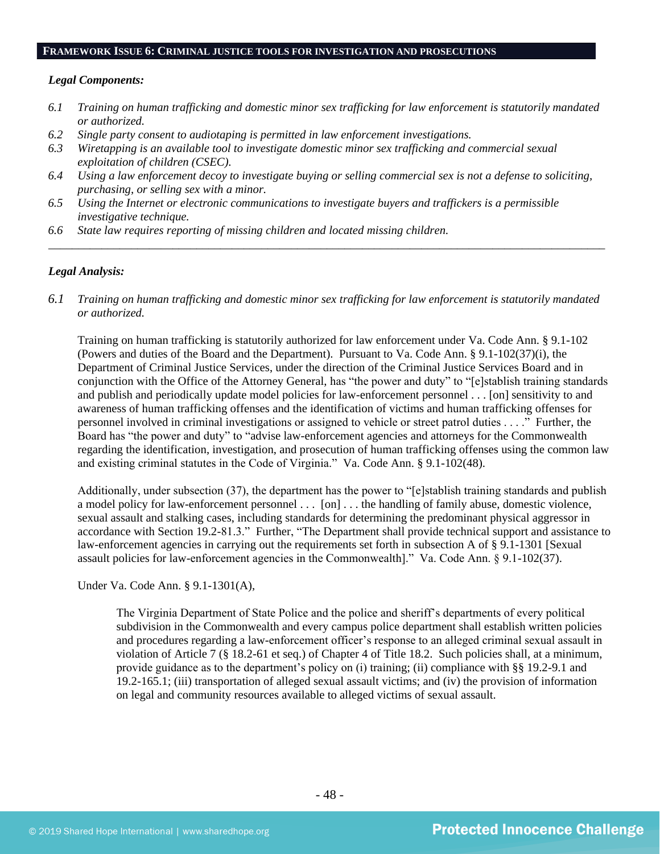#### **FRAMEWORK ISSUE 6: CRIMINAL JUSTICE TOOLS FOR INVESTIGATION AND PROSECUTIONS**

#### *Legal Components:*

- *6.1 Training on human trafficking and domestic minor sex trafficking for law enforcement is statutorily mandated or authorized.*
- *6.2 Single party consent to audiotaping is permitted in law enforcement investigations.*
- *6.3 Wiretapping is an available tool to investigate domestic minor sex trafficking and commercial sexual exploitation of children (CSEC).*
- *6.4 Using a law enforcement decoy to investigate buying or selling commercial sex is not a defense to soliciting, purchasing, or selling sex with a minor.*
- *6.5 Using the Internet or electronic communications to investigate buyers and traffickers is a permissible investigative technique.*
- *6.6 State law requires reporting of missing children and located missing children.*

#### *Legal Analysis:*

*6.1 Training on human trafficking and domestic minor sex trafficking for law enforcement is statutorily mandated or authorized.*

*\_\_\_\_\_\_\_\_\_\_\_\_\_\_\_\_\_\_\_\_\_\_\_\_\_\_\_\_\_\_\_\_\_\_\_\_\_\_\_\_\_\_\_\_\_\_\_\_\_\_\_\_\_\_\_\_\_\_\_\_\_\_\_\_\_\_\_\_\_\_\_\_\_\_\_\_\_\_\_\_\_\_\_\_\_\_\_\_\_\_\_\_\_\_*

Training on human trafficking is statutorily authorized for law enforcement under Va. Code Ann. § 9.1-102 (Powers and duties of the Board and the Department). Pursuant to Va. Code Ann. § 9.1-102(37)(i), the Department of Criminal Justice Services, under the direction of the Criminal Justice Services Board and in conjunction with the Office of the Attorney General, has "the power and duty" to "[e]stablish training standards and publish and periodically update model policies for law-enforcement personnel . . . [on] sensitivity to and awareness of human trafficking offenses and the identification of victims and human trafficking offenses for personnel involved in criminal investigations or assigned to vehicle or street patrol duties . . . ." Further, the Board has "the power and duty" to "advise law-enforcement agencies and attorneys for the Commonwealth regarding the identification, investigation, and prosecution of human trafficking offenses using the common law and existing criminal statutes in the Code of Virginia." Va. Code Ann. § 9.1-102(48).

Additionally, under subsection (37), the department has the power to "[e]stablish training standards and publish a model policy for law-enforcement personnel . . . [on] . . . the handling of family abuse, domestic violence, sexual assault and stalking cases, including standards for determining the predominant physical aggressor in accordance with Section 19.2-81.3." Further, "The Department shall provide technical support and assistance to law-enforcement agencies in carrying out the requirements set forth in subsection A of § 9.1-1301 [Sexual assault policies for law-enforcement agencies in the Commonwealth]." Va. Code Ann. § 9.1-102(37).

Under Va. Code Ann. § 9.1-1301(A),

The Virginia Department of State Police and the police and sheriff's departments of every political subdivision in the Commonwealth and every campus police department shall establish written policies and procedures regarding a law-enforcement officer's response to an alleged criminal sexual assault in violation of Article 7 (§ 18.2-61 et seq.) of Chapter 4 of Title 18.2. Such policies shall, at a minimum, provide guidance as to the department's policy on (i) training; (ii) compliance with §§ 19.2-9.1 and 19.2-165.1; (iii) transportation of alleged sexual assault victims; and (iv) the provision of information on legal and community resources available to alleged victims of sexual assault.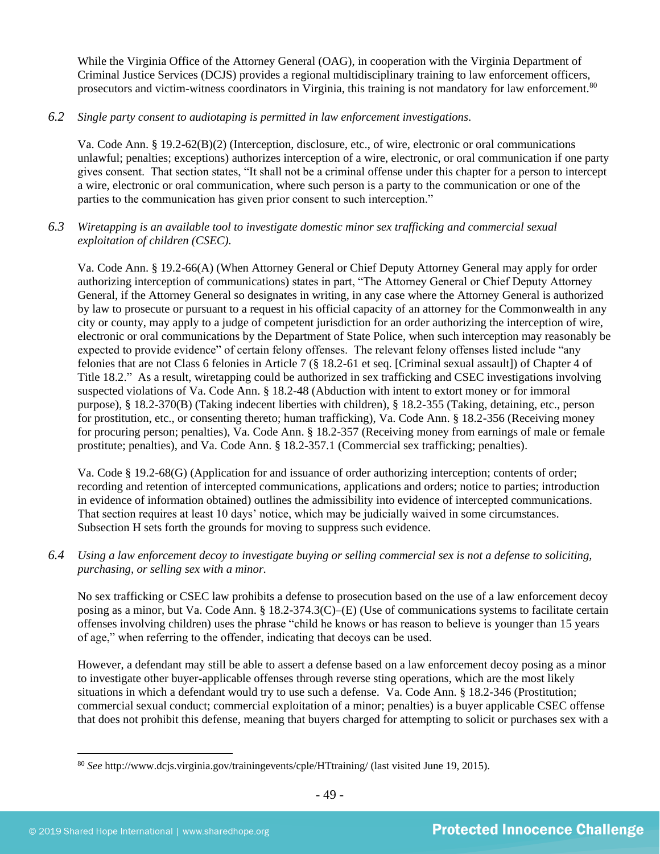While the Virginia Office of the Attorney General (OAG), in cooperation with the Virginia Department of Criminal Justice Services (DCJS) provides a regional multidisciplinary training to law enforcement officers, prosecutors and victim-witness coordinators in Virginia, this training is not mandatory for law enforcement.<sup>80</sup>

*6.2 Single party consent to audiotaping is permitted in law enforcement investigations.*

Va. Code Ann. § 19.2-62(B)(2) (Interception, disclosure, etc., of wire, electronic or oral communications unlawful; penalties; exceptions) authorizes interception of a wire, electronic, or oral communication if one party gives consent. That section states, "It shall not be a criminal offense under this chapter for a person to intercept a wire, electronic or oral communication, where such person is a party to the communication or one of the parties to the communication has given prior consent to such interception."

*6.3 Wiretapping is an available tool to investigate domestic minor sex trafficking and commercial sexual exploitation of children (CSEC).* 

Va. Code Ann. § 19.2-66(A) (When Attorney General or Chief Deputy Attorney General may apply for order authorizing interception of communications) states in part, "The Attorney General or Chief Deputy Attorney General, if the Attorney General so designates in writing, in any case where the Attorney General is authorized by law to prosecute or pursuant to a request in his official capacity of an attorney for the Commonwealth in any city or county, may apply to a judge of competent jurisdiction for an order authorizing the interception of wire, electronic or oral communications by the Department of State Police, when such interception may reasonably be expected to provide evidence" of certain felony offenses. The relevant felony offenses listed include "any felonies that are not Class 6 felonies in Article 7 (§ 18.2-61 et seq. [Criminal sexual assault]) of Chapter 4 of Title 18.2." As a result, wiretapping could be authorized in sex trafficking and CSEC investigations involving suspected violations of Va. Code Ann. § 18.2-48 (Abduction with intent to extort money or for immoral purpose), § 18.2-370(B) (Taking indecent liberties with children), § 18.2-355 (Taking, detaining, etc., person for prostitution, etc., or consenting thereto; human trafficking), Va. Code Ann. § 18.2-356 (Receiving money for procuring person; penalties), Va. Code Ann. § 18.2-357 (Receiving money from earnings of male or female prostitute; penalties), and Va. Code Ann. § 18.2-357.1 (Commercial sex trafficking; penalties).

Va. Code § 19.2-68(G) (Application for and issuance of order authorizing interception; contents of order; recording and retention of intercepted communications, applications and orders; notice to parties; introduction in evidence of information obtained) outlines the admissibility into evidence of intercepted communications. That section requires at least 10 days' notice, which may be judicially waived in some circumstances. Subsection H sets forth the grounds for moving to suppress such evidence.

*6.4 Using a law enforcement decoy to investigate buying or selling commercial sex is not a defense to soliciting, purchasing, or selling sex with a minor.*

No sex trafficking or CSEC law prohibits a defense to prosecution based on the use of a law enforcement decoy posing as a minor, but Va. Code Ann. § 18.2-374.3(C)–(E) (Use of communications systems to facilitate certain offenses involving children) uses the phrase "child he knows or has reason to believe is younger than 15 years of age," when referring to the offender, indicating that decoys can be used.

However, a defendant may still be able to assert a defense based on a law enforcement decoy posing as a minor to investigate other buyer-applicable offenses through reverse sting operations, which are the most likely situations in which a defendant would try to use such a defense. Va. Code Ann. § 18.2-346 (Prostitution; commercial sexual conduct; commercial exploitation of a minor; penalties) is a buyer applicable CSEC offense that does not prohibit this defense, meaning that buyers charged for attempting to solicit or purchases sex with a

<sup>80</sup> *See* http://www.dcjs.virginia.gov/trainingevents/cple/HTtraining/ (last visited June 19, 2015).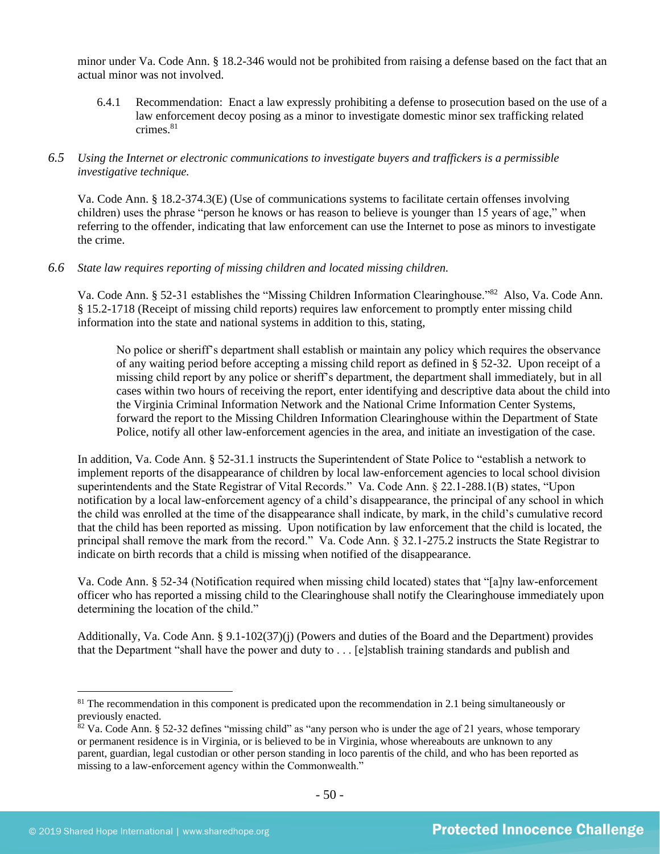minor under Va. Code Ann. § 18.2-346 would not be prohibited from raising a defense based on the fact that an actual minor was not involved.

6.4.1 Recommendation: Enact a law expressly prohibiting a defense to prosecution based on the use of a law enforcement decoy posing as a minor to investigate domestic minor sex trafficking related crimes.<sup>81</sup>

# *6.5 Using the Internet or electronic communications to investigate buyers and traffickers is a permissible investigative technique.*

Va. Code Ann. § 18.2-374.3(E) (Use of communications systems to facilitate certain offenses involving children) uses the phrase "person he knows or has reason to believe is younger than 15 years of age," when referring to the offender, indicating that law enforcement can use the Internet to pose as minors to investigate the crime.

#### *6.6 State law requires reporting of missing children and located missing children.*

Va. Code Ann. § 52-31 establishes the "Missing Children Information Clearinghouse."<sup>82</sup> Also, Va. Code Ann. § 15.2-1718 (Receipt of missing child reports) requires law enforcement to promptly enter missing child information into the state and national systems in addition to this, stating,

No police or sheriff's department shall establish or maintain any policy which requires the observance of any waiting period before accepting a missing child report as defined in § 52-32. Upon receipt of a missing child report by any police or sheriff's department, the department shall immediately, but in all cases within two hours of receiving the report, enter identifying and descriptive data about the child into the Virginia Criminal Information Network and the National Crime Information Center Systems, forward the report to the Missing Children Information Clearinghouse within the Department of State Police, notify all other law-enforcement agencies in the area, and initiate an investigation of the case.

In addition, Va. Code Ann. § 52-31.1 instructs the Superintendent of State Police to "establish a network to implement reports of the disappearance of children by local law-enforcement agencies to local school division superintendents and the State Registrar of Vital Records." Va. Code Ann. § 22.1-288.1(B) states, "Upon notification by a local law-enforcement agency of a child's disappearance, the principal of any school in which the child was enrolled at the time of the disappearance shall indicate, by mark, in the child's cumulative record that the child has been reported as missing. Upon notification by law enforcement that the child is located, the principal shall remove the mark from the record." Va. Code Ann. § 32.1-275.2 instructs the State Registrar to indicate on birth records that a child is missing when notified of the disappearance.

Va. Code Ann. § 52-34 (Notification required when missing child located) states that "[a]ny law-enforcement officer who has reported a missing child to the Clearinghouse shall notify the Clearinghouse immediately upon determining the location of the child."

Additionally, Va. Code Ann. § 9.1-102(37)(j) (Powers and duties of the Board and the Department) provides that the Department "shall have the power and duty to . . . [e]stablish training standards and publish and

 $81$  The recommendation in this component is predicated upon the recommendation in 2.1 being simultaneously or previously enacted.

 $82$  Va. Code Ann. § 52-32 defines "missing child" as "any person who is under the age of 21 years, whose temporary or permanent residence is in Virginia, or is believed to be in Virginia, whose whereabouts are unknown to any parent, guardian, legal custodian or other person standing in loco parentis of the child, and who has been reported as missing to a law-enforcement agency within the Commonwealth."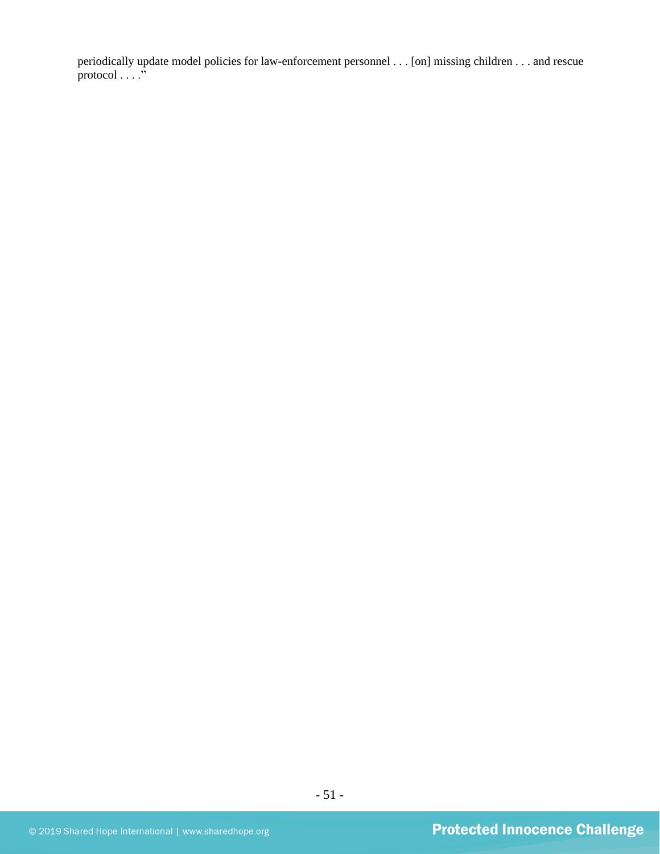periodically update model policies for law-enforcement personnel . . . [on] missing children . . . and rescue protocol . . . ."